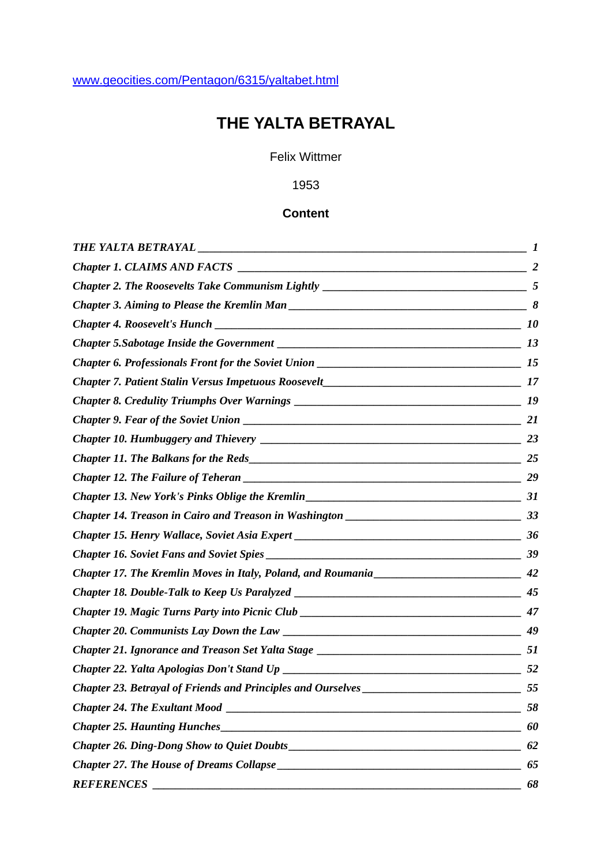<span id="page-0-0"></span>[www.geocities.com/Pentagon/6315/yaltabet.html](http://www.geocities.com/Pentagon/6315/yaltabet.html)

# **THE YALTA BETRAYAL**

Felix Wittmer

1953

### **Content**

| Chapter 9. Fear of the Soviet Union $\frac{1}{2}$ 21 |    |
|------------------------------------------------------|----|
|                                                      |    |
|                                                      |    |
|                                                      |    |
|                                                      |    |
|                                                      |    |
|                                                      |    |
|                                                      |    |
|                                                      |    |
|                                                      |    |
|                                                      |    |
|                                                      |    |
|                                                      |    |
|                                                      |    |
|                                                      |    |
|                                                      | 58 |
|                                                      | 60 |
|                                                      | 62 |
|                                                      | 65 |
|                                                      | 68 |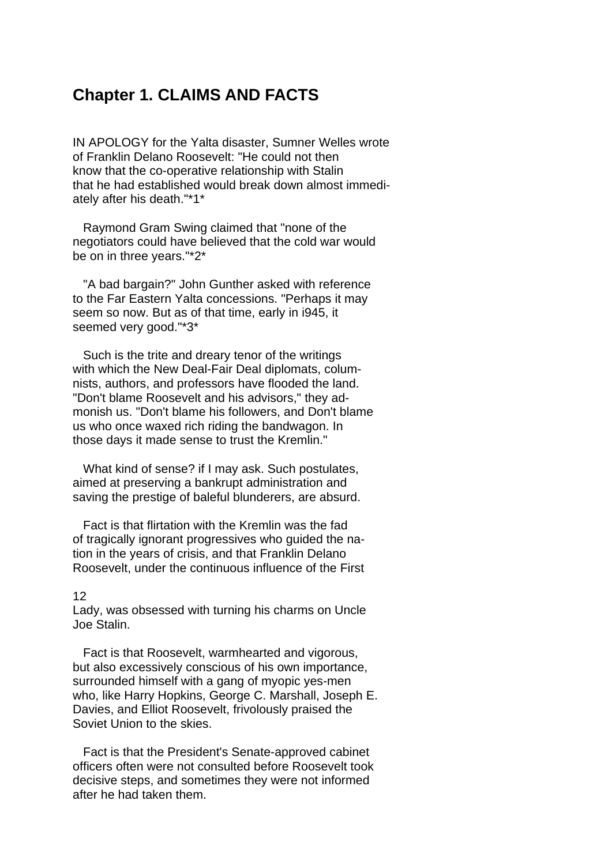# <span id="page-1-0"></span>**Chapter 1. CLAIMS AND FACTS**

IN APOLOGY for the Yalta disaster, Sumner Welles wrote of Franklin Delano Roosevelt: "He could not then know that the co-operative relationship with Stalin that he had established would break down almost immediately after his death."\*1\*

 Raymond Gram Swing claimed that "none of the negotiators could have believed that the cold war would be on in three years."\*2\*

 "A bad bargain?" John Gunther asked with reference to the Far Eastern Yalta concessions. "Perhaps it may seem so now. But as of that time, early in i945, it seemed very good."\*3\*

 Such is the trite and dreary tenor of the writings with which the New Deal-Fair Deal diplomats, columnists, authors, and professors have flooded the land. "Don't blame Roosevelt and his advisors," they admonish us. "Don't blame his followers, and Don't blame us who once waxed rich riding the bandwagon. In those days it made sense to trust the Kremlin."

 What kind of sense? if I may ask. Such postulates, aimed at preserving a bankrupt administration and saving the prestige of baleful blunderers, are absurd.

 Fact is that flirtation with the Kremlin was the fad of tragically ignorant progressives who guided the nation in the years of crisis, and that Franklin Delano Roosevelt, under the continuous influence of the First

#### 12

Lady, was obsessed with turning his charms on Uncle Joe Stalin.

 Fact is that Roosevelt, warmhearted and vigorous, but also excessively conscious of his own importance, surrounded himself with a gang of myopic yes-men who, like Harry Hopkins, George C. Marshall, Joseph E. Davies, and Elliot Roosevelt, frivolously praised the Soviet Union to the skies.

 Fact is that the President's Senate-approved cabinet officers often were not consulted before Roosevelt took decisive steps, and sometimes they were not informed after he had taken them.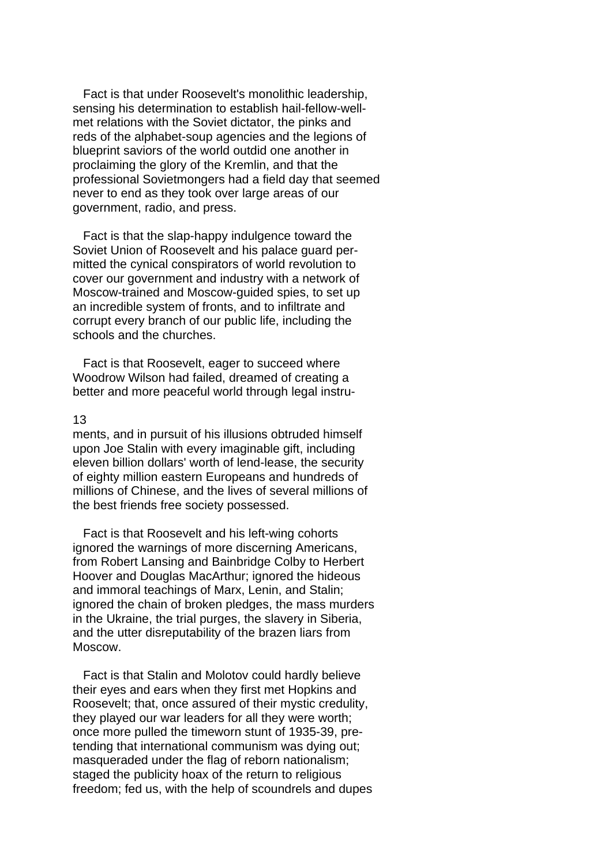Fact is that under Roosevelt's monolithic leadership, sensing his determination to establish hail-fellow-wellmet relations with the Soviet dictator, the pinks and reds of the alphabet-soup agencies and the legions of blueprint saviors of the world outdid one another in proclaiming the glory of the Kremlin, and that the professional Sovietmongers had a field day that seemed never to end as they took over large areas of our government, radio, and press.

 Fact is that the slap-happy indulgence toward the Soviet Union of Roosevelt and his palace guard permitted the cynical conspirators of world revolution to cover our government and industry with a network of Moscow-trained and Moscow-guided spies, to set up an incredible system of fronts, and to infiltrate and corrupt every branch of our public life, including the schools and the churches.

 Fact is that Roosevelt, eager to succeed where Woodrow Wilson had failed, dreamed of creating a better and more peaceful world through legal instru-

#### 13

ments, and in pursuit of his illusions obtruded himself upon Joe Stalin with every imaginable gift, including eleven billion dollars' worth of lend-lease, the security of eighty million eastern Europeans and hundreds of millions of Chinese, and the lives of several millions of the best friends free society possessed.

 Fact is that Roosevelt and his left-wing cohorts ignored the warnings of more discerning Americans, from Robert Lansing and Bainbridge Colby to Herbert Hoover and Douglas MacArthur; ignored the hideous and immoral teachings of Marx, Lenin, and Stalin; ignored the chain of broken pledges, the mass murders in the Ukraine, the trial purges, the slavery in Siberia, and the utter disreputability of the brazen liars from Moscow.

 Fact is that Stalin and Molotov could hardly believe their eyes and ears when they first met Hopkins and Roosevelt; that, once assured of their mystic credulity, they played our war leaders for all they were worth; once more pulled the timeworn stunt of 1935-39, pretending that international communism was dying out; masqueraded under the flag of reborn nationalism; staged the publicity hoax of the return to religious freedom; fed us, with the help of scoundrels and dupes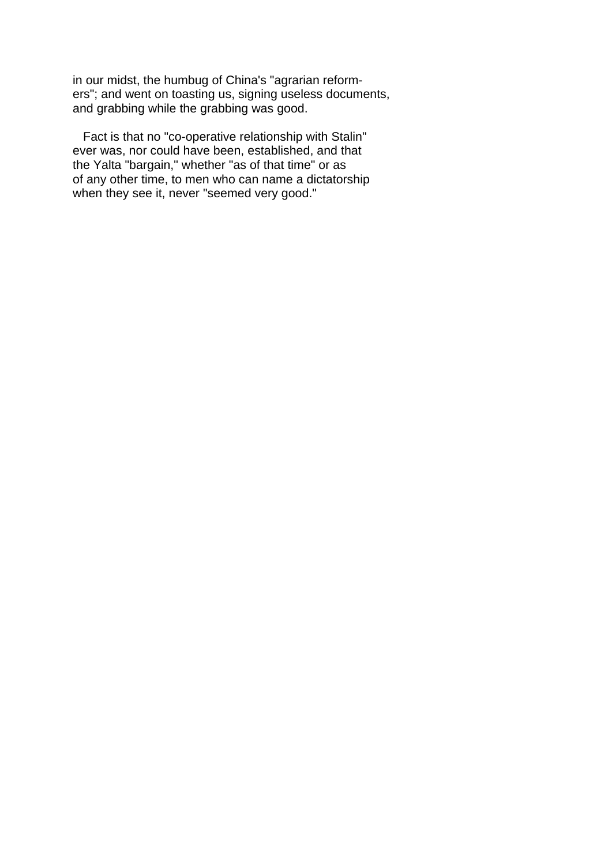in our midst, the humbug of China's "agrarian reformers"; and went on toasting us, signing useless documents, and grabbing while the grabbing was good.

 Fact is that no "co-operative relationship with Stalin" ever was, nor could have been, established, and that the Yalta "bargain," whether "as of that time" or as of any other time, to men who can name a dictatorship when they see it, never "seemed very good."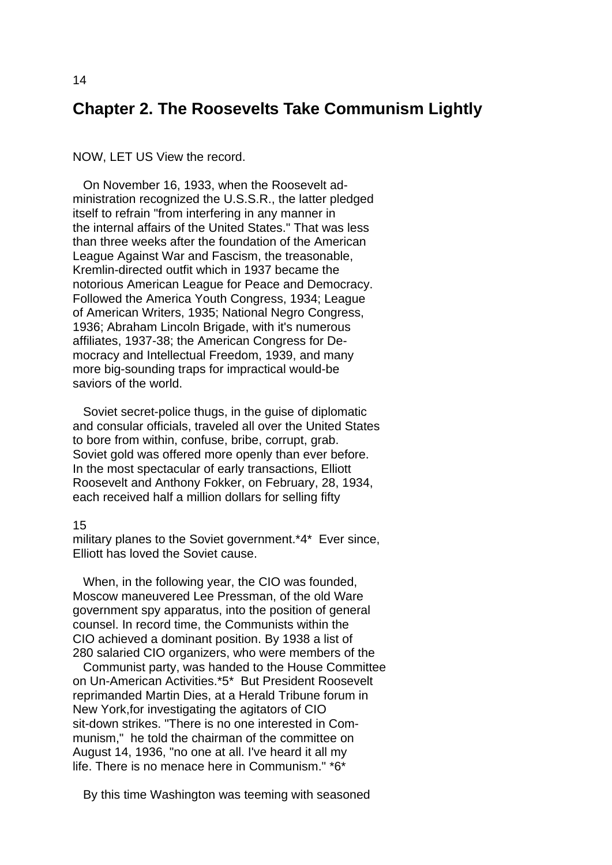# <span id="page-4-0"></span>**Chapter 2. The Roosevelts Take Communism Lightly**

### NOW, LET US View the record.

 On November 16, 1933, when the Roosevelt administration recognized the U.S.S.R., the latter pledged itself to refrain "from interfering in any manner in the internal affairs of the United States." That was less than three weeks after the foundation of the American League Against War and Fascism, the treasonable, Kremlin-directed outfit which in 1937 became the notorious American League for Peace and Democracy. Followed the America Youth Congress, 1934; League of American Writers, 1935; National Negro Congress, 1936; Abraham Lincoln Brigade, with it's numerous affiliates, 1937-38; the American Congress for Democracy and Intellectual Freedom, 1939, and many more big-sounding traps for impractical would-be saviors of the world.

Soviet secret-police thugs, in the guise of diplomatic and consular officials, traveled all over the United States to bore from within, confuse, bribe, corrupt, grab. Soviet gold was offered more openly than ever before. In the most spectacular of early transactions, Elliott Roosevelt and Anthony Fokker, on February, 28, 1934, each received half a million dollars for selling fifty

#### 15

military planes to the Soviet government.\*4\* Ever since, Elliott has loved the Soviet cause.

 When, in the following year, the CIO was founded, Moscow maneuvered Lee Pressman, of the old Ware government spy apparatus, into the position of general counsel. In record time, the Communists within the CIO achieved a dominant position. By 1938 a list of 280 salaried CIO organizers, who were members of the

 Communist party, was handed to the House Committee on Un-American Activities.\*5\* But President Roosevelt reprimanded Martin Dies, at a Herald Tribune forum in New York,for investigating the agitators of CIO sit-down strikes. "There is no one interested in Communism," he told the chairman of the committee on August 14, 1936, "no one at all. I've heard it all my life. There is no menace here in Communism." \*6\*

By this time Washington was teeming with seasoned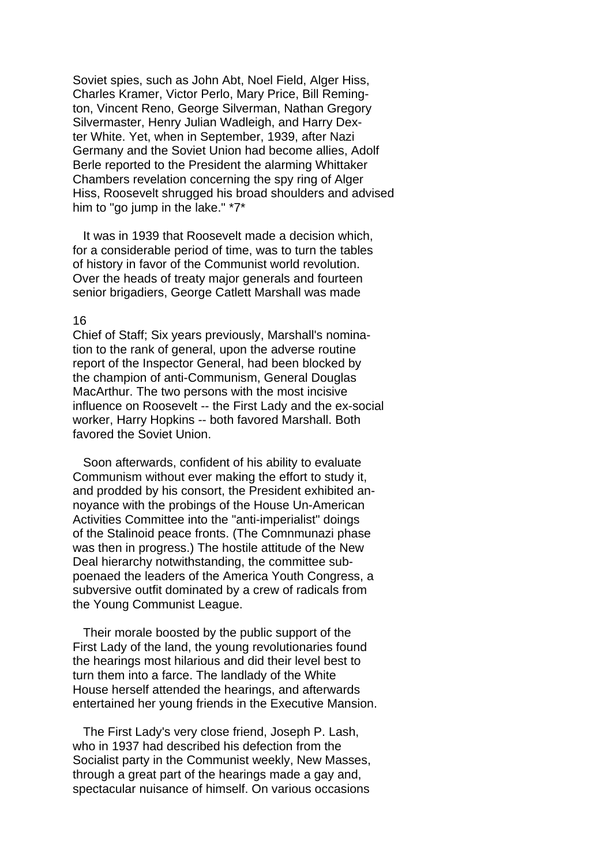Soviet spies, such as John Abt, Noel Field, Alger Hiss, Charles Kramer, Victor Perlo, Mary Price, Bill Remington, Vincent Reno, George Silverman, Nathan Gregory Silvermaster, Henry Julian Wadleigh, and Harry Dexter White. Yet, when in September, 1939, after Nazi Germany and the Soviet Union had become allies, Adolf Berle reported to the President the alarming Whittaker Chambers revelation concerning the spy ring of Alger Hiss, Roosevelt shrugged his broad shoulders and advised him to "go jump in the lake." \*7\*

 It was in 1939 that Roosevelt made a decision which, for a considerable period of time, was to turn the tables of history in favor of the Communist world revolution. Over the heads of treaty major generals and fourteen senior brigadiers, George Catlett Marshall was made

### 16

Chief of Staff; Six years previously, Marshall's nomination to the rank of general, upon the adverse routine report of the Inspector General, had been blocked by the champion of anti-Communism, General Douglas MacArthur. The two persons with the most incisive influence on Roosevelt -- the First Lady and the ex-social worker, Harry Hopkins -- both favored Marshall. Both favored the Soviet Union.

 Soon afterwards, confident of his ability to evaluate Communism without ever making the effort to study it, and prodded by his consort, the President exhibited annoyance with the probings of the House Un-American Activities Committee into the "anti-imperialist" doings of the Stalinoid peace fronts. (The Comnmunazi phase was then in progress.) The hostile attitude of the New Deal hierarchy notwithstanding, the committee subpoenaed the leaders of the America Youth Congress, a subversive outfit dominated by a crew of radicals from the Young Communist League.

 Their morale boosted by the public support of the First Lady of the land, the young revolutionaries found the hearings most hilarious and did their level best to turn them into a farce. The landlady of the White House herself attended the hearings, and afterwards entertained her young friends in the Executive Mansion.

 The First Lady's very close friend, Joseph P. Lash, who in 1937 had described his defection from the Socialist party in the Communist weekly, New Masses, through a great part of the hearings made a gay and, spectacular nuisance of himself. On various occasions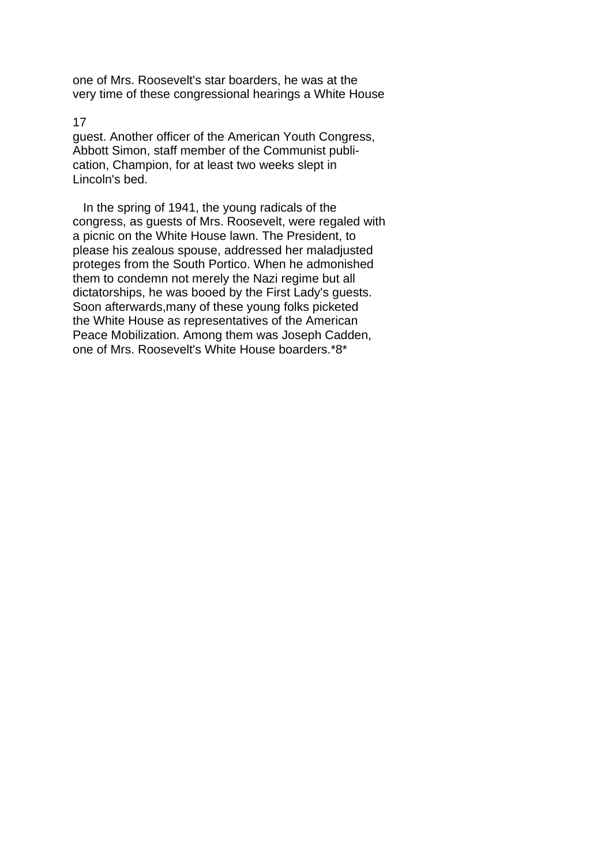one of Mrs. Roosevelt's star boarders, he was at the very time of these congressional hearings a White House

### 17

guest. Another officer of the American Youth Congress, Abbott Simon, staff member of the Communist publication, Champion, for at least two weeks slept in Lincoln's bed.

 In the spring of 1941, the young radicals of the congress, as guests of Mrs. Roosevelt, were regaled with a picnic on the White House lawn. The President, to please his zealous spouse, addressed her maladjusted proteges from the South Portico. When he admonished them to condemn not merely the Nazi regime but all dictatorships, he was booed by the First Lady's guests. Soon afterwards,many of these young folks picketed the White House as representatives of the American Peace Mobilization. Among them was Joseph Cadden, one of Mrs. Roosevelt's White House boarders.\*8\*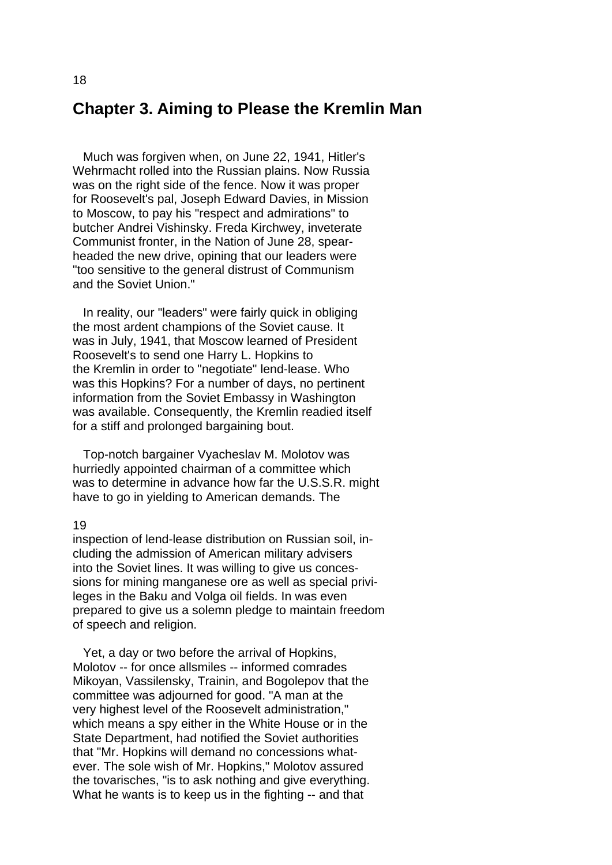# <span id="page-7-0"></span>**Chapter 3. Aiming to Please the Kremlin Man**

 Much was forgiven when, on June 22, 1941, Hitler's Wehrmacht rolled into the Russian plains. Now Russia was on the right side of the fence. Now it was proper for Roosevelt's pal, Joseph Edward Davies, in Mission to Moscow, to pay his "respect and admirations" to butcher Andrei Vishinsky. Freda Kirchwey, inveterate Communist fronter, in the Nation of June 28, spearheaded the new drive, opining that our leaders were "too sensitive to the general distrust of Communism and the Soviet Union."

 In reality, our "leaders" were fairly quick in obliging the most ardent champions of the Soviet cause. It was in July, 1941, that Moscow learned of President Roosevelt's to send one Harry L. Hopkins to the Kremlin in order to "negotiate" lend-lease. Who was this Hopkins? For a number of days, no pertinent information from the Soviet Embassy in Washington was available. Consequently, the Kremlin readied itself for a stiff and prolonged bargaining bout.

 Top-notch bargainer Vyacheslav M. Molotov was hurriedly appointed chairman of a committee which was to determine in advance how far the U.S.S.R. might have to go in yielding to American demands. The

### 19

inspection of lend-lease distribution on Russian soil, including the admission of American military advisers into the Soviet lines. It was willing to give us concessions for mining manganese ore as well as special privileges in the Baku and Volga oil fields. In was even prepared to give us a solemn pledge to maintain freedom of speech and religion.

 Yet, a day or two before the arrival of Hopkins, Molotov -- for once allsmiles -- informed comrades Mikoyan, Vassilensky, Trainin, and Bogolepov that the committee was adjourned for good. "A man at the very highest level of the Roosevelt administration," which means a spy either in the White House or in the State Department, had notified the Soviet authorities that "Mr. Hopkins will demand no concessions whatever. The sole wish of Mr. Hopkins," Molotov assured the tovarisches, "is to ask nothing and give everything. What he wants is to keep us in the fighting -- and that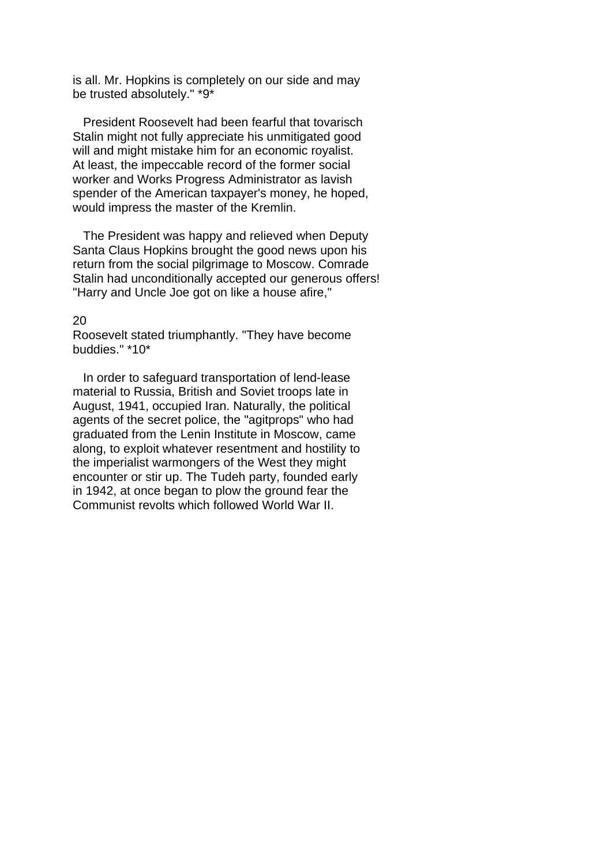is all. Mr. Hopkins is completely on our side and may be trusted absolutely." \*9\*

 President Roosevelt had been fearful that tovarisch Stalin might not fully appreciate his unmitigated good will and might mistake him for an economic royalist. At least, the impeccable record of the former social worker and Works Progress Administrator as lavish spender of the American taxpayer's money, he hoped, would impress the master of the Kremlin.

 The President was happy and relieved when Deputy Santa Claus Hopkins brought the good news upon his return from the social pilgrimage to Moscow. Comrade Stalin had unconditionally accepted our generous offers! "Harry and Uncle Joe got on like a house afire,"

### 20

Roosevelt stated triumphantly. "They have become buddies." \*10\*

 In order to safeguard transportation of lend-lease material to Russia, British and Soviet troops late in August, 1941, occupied Iran. Naturally, the political agents of the secret police, the "agitprops" who had graduated from the Lenin Institute in Moscow, came along, to exploit whatever resentment and hostility to the imperialist warmongers of the West they might encounter or stir up. The Tudeh party, founded early in 1942, at once began to plow the ground fear the Communist revolts which followed World War II.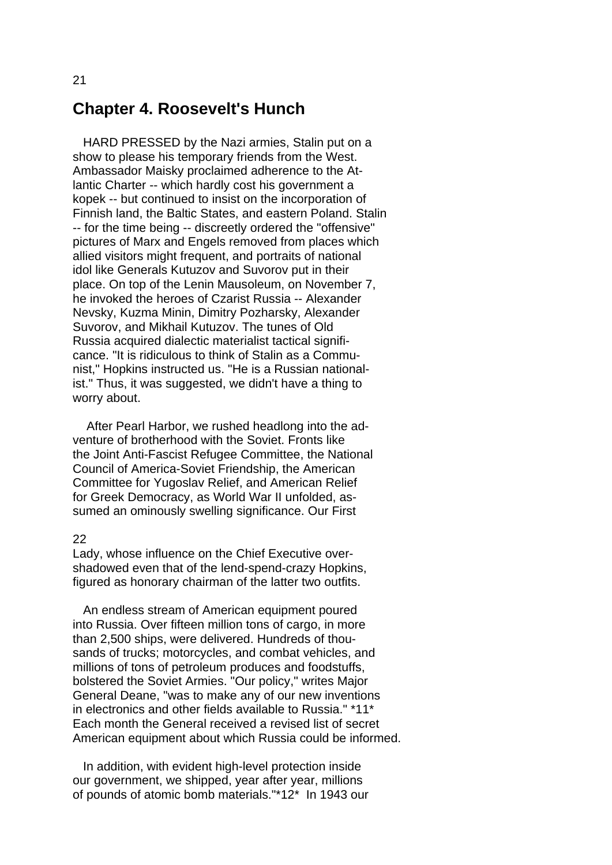### <span id="page-9-0"></span>**Chapter 4. Roosevelt's Hunch**

 HARD PRESSED by the Nazi armies, Stalin put on a show to please his temporary friends from the West. Ambassador Maisky proclaimed adherence to the Atlantic Charter -- which hardly cost his government a kopek -- but continued to insist on the incorporation of Finnish land, the Baltic States, and eastern Poland. Stalin -- for the time being -- discreetly ordered the "offensive" pictures of Marx and Engels removed from places which allied visitors might frequent, and portraits of national idol like Generals Kutuzov and Suvorov put in their place. On top of the Lenin Mausoleum, on November 7, he invoked the heroes of Czarist Russia -- Alexander Nevsky, Kuzma Minin, Dimitry Pozharsky, Alexander Suvorov, and Mikhail Kutuzov. The tunes of Old Russia acquired dialectic materialist tactical significance. "It is ridiculous to think of Stalin as a Communist," Hopkins instructed us. "He is a Russian nationalist." Thus, it was suggested, we didn't have a thing to worry about.

 After Pearl Harbor, we rushed headlong into the adventure of brotherhood with the Soviet. Fronts like the Joint Anti-Fascist Refugee Committee, the National Council of America-Soviet Friendship, the American Committee for Yugoslav Relief, and American Relief for Greek Democracy, as World War II unfolded, assumed an ominously swelling significance. Our First

#### 22

Lady, whose influence on the Chief Executive overshadowed even that of the lend-spend-crazy Hopkins, figured as honorary chairman of the latter two outfits.

 An endless stream of American equipment poured into Russia. Over fifteen million tons of cargo, in more than 2,500 ships, were delivered. Hundreds of thousands of trucks; motorcycles, and combat vehicles, and millions of tons of petroleum produces and foodstuffs, bolstered the Soviet Armies. "Our policy," writes Major General Deane, "was to make any of our new inventions in electronics and other fields available to Russia." \*11\* Each month the General received a revised list of secret American equipment about which Russia could be informed.

 In addition, with evident high-level protection inside our government, we shipped, year after year, millions of pounds of atomic bomb materials."\*12\* In 1943 our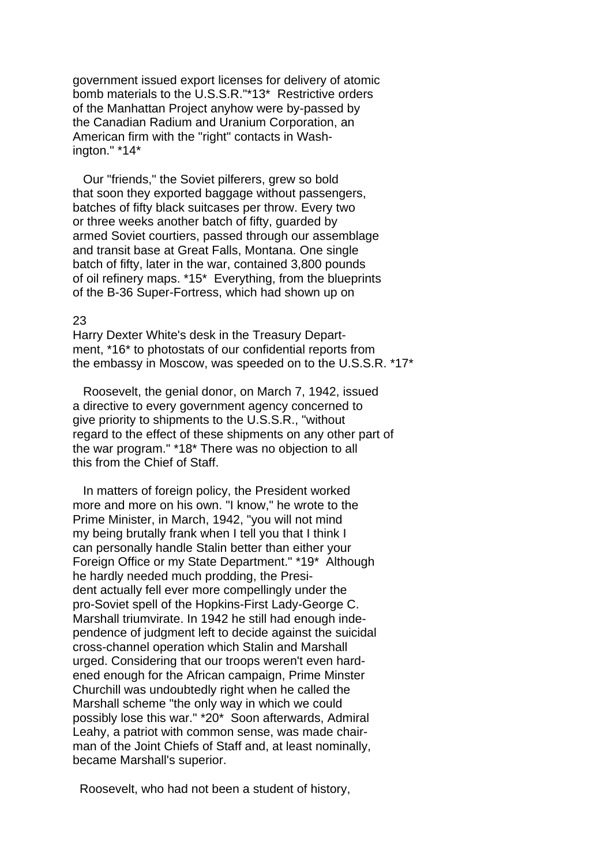government issued export licenses for delivery of atomic bomb materials to the U.S.S.R."\*13\* Restrictive orders of the Manhattan Project anyhow were by-passed by the Canadian Radium and Uranium Corporation, an American firm with the "right" contacts in Washington." \*14\*

 Our "friends," the Soviet pilferers, grew so bold that soon they exported baggage without passengers, batches of fifty black suitcases per throw. Every two or three weeks another batch of fifty, guarded by armed Soviet courtiers, passed through our assemblage and transit base at Great Falls, Montana. One single batch of fifty, later in the war, contained 3,800 pounds of oil refinery maps. \*15\* Everything, from the blueprints of the B-36 Super-Fortress, which had shown up on

### 23

Harry Dexter White's desk in the Treasury Department, \*16\* to photostats of our confidential reports from the embassy in Moscow, was speeded on to the U.S.S.R. \*17\*

 Roosevelt, the genial donor, on March 7, 1942, issued a directive to every government agency concerned to give priority to shipments to the U.S.S.R., "without regard to the effect of these shipments on any other part of the war program." \*18\* There was no objection to all this from the Chief of Staff.

 In matters of foreign policy, the President worked more and more on his own. "I know," he wrote to the Prime Minister, in March, 1942, "you will not mind my being brutally frank when I tell you that I think I can personally handle Stalin better than either your Foreign Office or my State Department." \*19\* Although he hardly needed much prodding, the President actually fell ever more compellingly under the pro-Soviet spell of the Hopkins-First Lady-George C. Marshall triumvirate. In 1942 he still had enough independence of judgment left to decide against the suicidal cross-channel operation which Stalin and Marshall urged. Considering that our troops weren't even hardened enough for the African campaign, Prime Minster Churchill was undoubtedly right when he called the Marshall scheme "the only way in which we could possibly lose this war." \*20\* Soon afterwards, Admiral Leahy, a patriot with common sense, was made chairman of the Joint Chiefs of Staff and, at least nominally, became Marshall's superior.

Roosevelt, who had not been a student of history,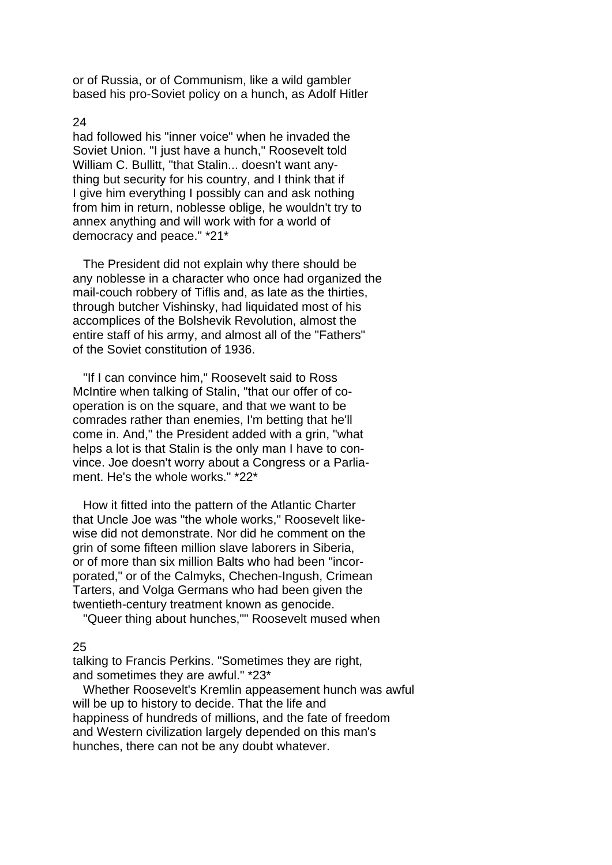or of Russia, or of Communism, like a wild gambler based his pro-Soviet policy on a hunch, as Adolf Hitler

#### 24

had followed his "inner voice" when he invaded the Soviet Union. "I just have a hunch," Roosevelt told William C. Bullitt, "that Stalin... doesn't want anything but security for his country, and I think that if I give him everything I possibly can and ask nothing from him in return, noblesse oblige, he wouldn't try to annex anything and will work with for a world of democracy and peace." \*21\*

 The President did not explain why there should be any noblesse in a character who once had organized the mail-couch robbery of Tiflis and, as late as the thirties, through butcher Vishinsky, had liquidated most of his accomplices of the Bolshevik Revolution, almost the entire staff of his army, and almost all of the "Fathers" of the Soviet constitution of 1936.

 "If I can convince him," Roosevelt said to Ross McIntire when talking of Stalin, "that our offer of cooperation is on the square, and that we want to be comrades rather than enemies, I'm betting that he'll come in. And," the President added with a grin, "what helps a lot is that Stalin is the only man I have to convince. Joe doesn't worry about a Congress or a Parliament. He's the whole works." \*22\*

 How it fitted into the pattern of the Atlantic Charter that Uncle Joe was "the whole works," Roosevelt likewise did not demonstrate. Nor did he comment on the grin of some fifteen million slave laborers in Siberia, or of more than six million Balts who had been "incorporated," or of the Calmyks, Chechen-Ingush, Crimean Tarters, and Volga Germans who had been given the twentieth-century treatment known as genocide.

"Queer thing about hunches,"" Roosevelt mused when

#### 25

talking to Francis Perkins. "Sometimes they are right, and sometimes they are awful." \*23\*

 Whether Roosevelt's Kremlin appeasement hunch was awful will be up to history to decide. That the life and happiness of hundreds of millions, and the fate of freedom and Western civilization largely depended on this man's hunches, there can not be any doubt whatever.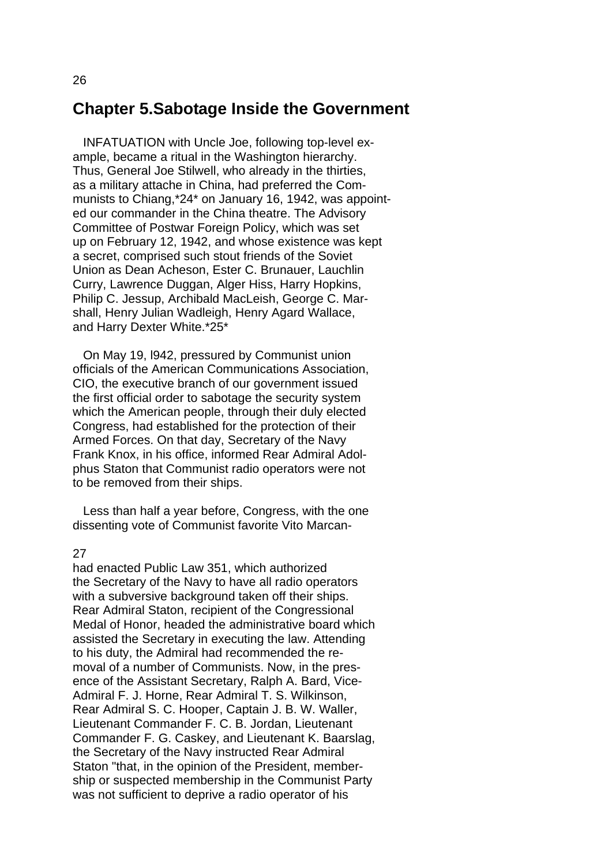# <span id="page-12-0"></span>**Chapter 5.Sabotage Inside the Government**

 INFATUATION with Uncle Joe, following top-level example, became a ritual in the Washington hierarchy. Thus, General Joe Stilwell, who already in the thirties, as a military attache in China, had preferred the Communists to Chiang,\*24\* on January 16, 1942, was appointed our commander in the China theatre. The Advisory Committee of Postwar Foreign Policy, which was set up on February 12, 1942, and whose existence was kept a secret, comprised such stout friends of the Soviet Union as Dean Acheson, Ester C. Brunauer, Lauchlin Curry, Lawrence Duggan, Alger Hiss, Harry Hopkins, Philip C. Jessup, Archibald MacLeish, George C. Marshall, Henry Julian Wadleigh, Henry Agard Wallace, and Harry Dexter White.\*25\*

 On May 19, l942, pressured by Communist union officials of the American Communications Association, CIO, the executive branch of our government issued the first official order to sabotage the security system which the American people, through their duly elected Congress, had established for the protection of their Armed Forces. On that day, Secretary of the Navy Frank Knox, in his office, informed Rear Admiral Adolphus Staton that Communist radio operators were not to be removed from their ships.

 Less than half a year before, Congress, with the one dissenting vote of Communist favorite Vito Marcan-

### 27

had enacted Public Law 351, which authorized the Secretary of the Navy to have all radio operators with a subversive background taken off their ships. Rear Admiral Staton, recipient of the Congressional Medal of Honor, headed the administrative board which assisted the Secretary in executing the law. Attending to his duty, the Admiral had recommended the removal of a number of Communists. Now, in the presence of the Assistant Secretary, Ralph A. Bard, Vice-Admiral F. J. Horne, Rear Admiral T. S. Wilkinson, Rear Admiral S. C. Hooper, Captain J. B. W. Waller, Lieutenant Commander F. C. B. Jordan, Lieutenant Commander F. G. Caskey, and Lieutenant K. Baarslag, the Secretary of the Navy instructed Rear Admiral Staton "that, in the opinion of the President, membership or suspected membership in the Communist Party was not sufficient to deprive a radio operator of his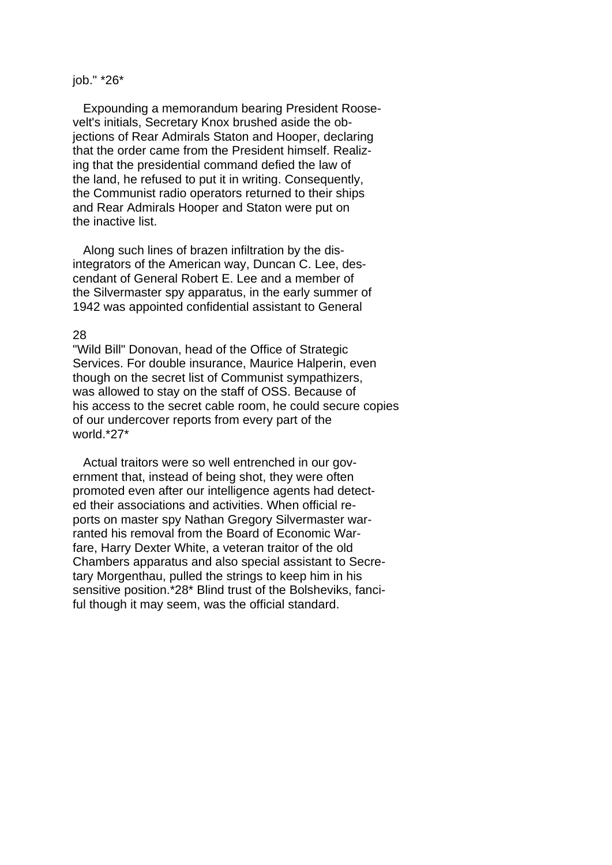### job." \*26\*

 Expounding a memorandum bearing President Roosevelt's initials, Secretary Knox brushed aside the objections of Rear Admirals Staton and Hooper, declaring that the order came from the President himself. Realizing that the presidential command defied the law of the land, he refused to put it in writing. Consequently, the Communist radio operators returned to their ships and Rear Admirals Hooper and Staton were put on the inactive list.

 Along such lines of brazen infiltration by the disintegrators of the American way, Duncan C. Lee, descendant of General Robert E. Lee and a member of the Silvermaster spy apparatus, in the early summer of 1942 was appointed confidential assistant to General

### 28

"Wild Bill" Donovan, head of the Office of Strategic Services. For double insurance, Maurice Halperin, even though on the secret list of Communist sympathizers, was allowed to stay on the staff of OSS. Because of his access to the secret cable room, he could secure copies of our undercover reports from every part of the world.\*27\*

 Actual traitors were so well entrenched in our government that, instead of being shot, they were often promoted even after our intelligence agents had detected their associations and activities. When official reports on master spy Nathan Gregory Silvermaster warranted his removal from the Board of Economic Warfare, Harry Dexter White, a veteran traitor of the old Chambers apparatus and also special assistant to Secretary Morgenthau, pulled the strings to keep him in his sensitive position.\*28\* Blind trust of the Bolsheviks, fanciful though it may seem, was the official standard.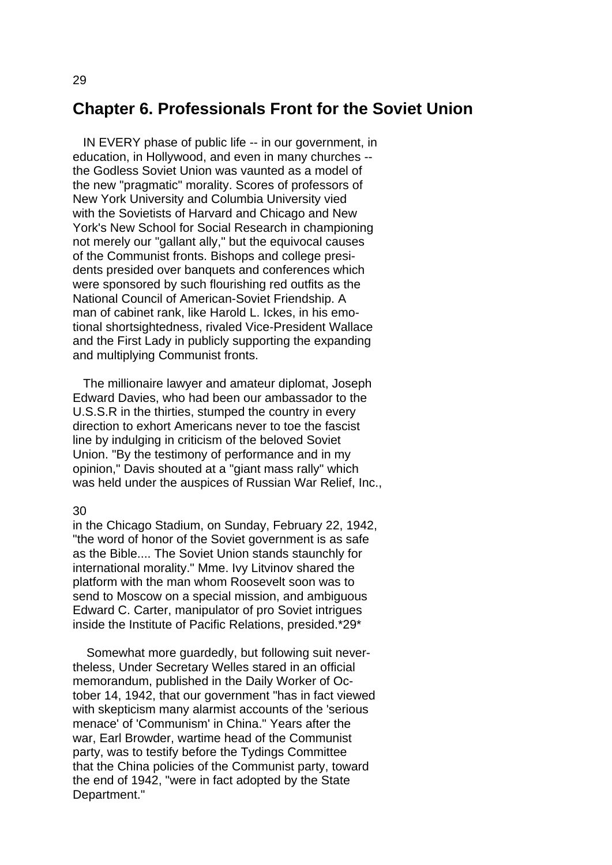# <span id="page-14-0"></span>**Chapter 6. Professionals Front for the Soviet Union**

 IN EVERY phase of public life -- in our government, in education, in Hollywood, and even in many churches - the Godless Soviet Union was vaunted as a model of the new "pragmatic" morality. Scores of professors of New York University and Columbia University vied with the Sovietists of Harvard and Chicago and New York's New School for Social Research in championing not merely our "gallant ally," but the equivocal causes of the Communist fronts. Bishops and college presidents presided over banquets and conferences which were sponsored by such flourishing red outfits as the National Council of American-Soviet Friendship. A man of cabinet rank, like Harold L. Ickes, in his emotional shortsightedness, rivaled Vice-President Wallace and the First Lady in publicly supporting the expanding and multiplying Communist fronts.

 The millionaire lawyer and amateur diplomat, Joseph Edward Davies, who had been our ambassador to the U.S.S.R in the thirties, stumped the country in every direction to exhort Americans never to toe the fascist line by indulging in criticism of the beloved Soviet Union. "By the testimony of performance and in my opinion," Davis shouted at a "giant mass rally" which was held under the auspices of Russian War Relief, Inc.,

### 30

in the Chicago Stadium, on Sunday, February 22, 1942, "the word of honor of the Soviet government is as safe as the Bible.... The Soviet Union stands staunchly for international morality." Mme. Ivy Litvinov shared the platform with the man whom Roosevelt soon was to send to Moscow on a special mission, and ambiguous Edward C. Carter, manipulator of pro Soviet intrigues inside the Institute of Pacific Relations, presided.\*29\*

 Somewhat more guardedly, but following suit nevertheless, Under Secretary Welles stared in an official memorandum, published in the Daily Worker of October 14, 1942, that our government "has in fact viewed with skepticism many alarmist accounts of the 'serious menace' of 'Communism' in China." Years after the war, Earl Browder, wartime head of the Communist party, was to testify before the Tydings Committee that the China policies of the Communist party, toward the end of 1942, "were in fact adopted by the State Department."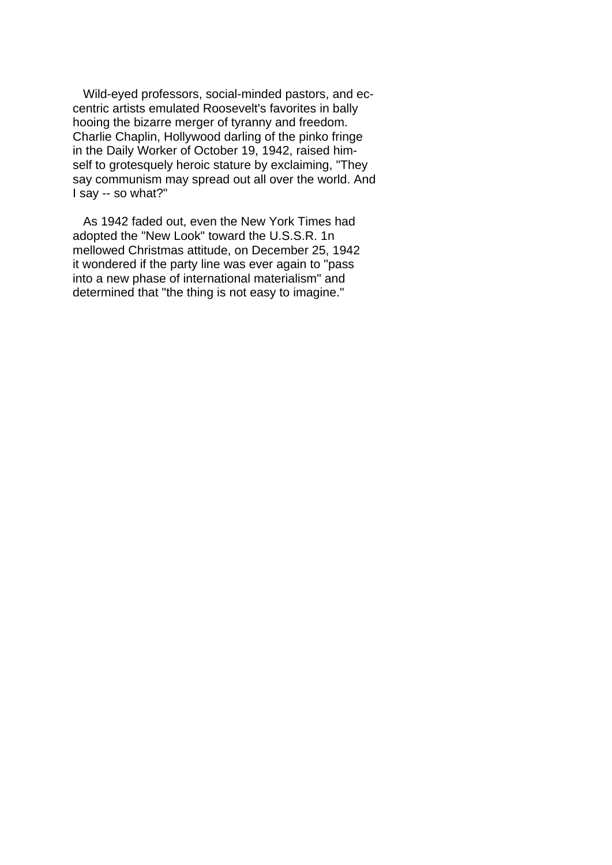Wild-eyed professors, social-minded pastors, and eccentric artists emulated Roosevelt's favorites in bally hooing the bizarre merger of tyranny and freedom. Charlie Chaplin, Hollywood darling of the pinko fringe in the Daily Worker of October 19, 1942, raised himself to grotesquely heroic stature by exclaiming, "They say communism may spread out all over the world. And I say -- so what?"

 As 1942 faded out, even the New York Times had adopted the "New Look" toward the U.S.S.R. 1n mellowed Christmas attitude, on December 25, 1942 it wondered if the party line was ever again to "pass into a new phase of international materialism" and determined that "the thing is not easy to imagine."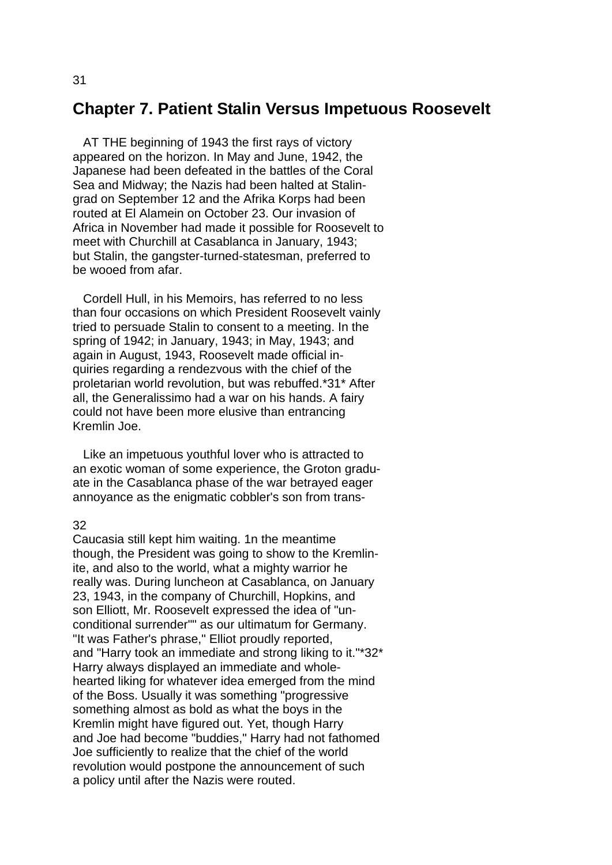# <span id="page-16-0"></span>**Chapter 7. Patient Stalin Versus Impetuous Roosevelt**

 AT THE beginning of 1943 the first rays of victory appeared on the horizon. In May and June, 1942, the Japanese had been defeated in the battles of the Coral Sea and Midway; the Nazis had been halted at Stalingrad on September 12 and the Afrika Korps had been routed at El Alamein on October 23. Our invasion of Africa in November had made it possible for Roosevelt to meet with Churchill at Casablanca in January, 1943; but Stalin, the gangster-turned-statesman, preferred to be wooed from afar.

 Cordell Hull, in his Memoirs, has referred to no less than four occasions on which President Roosevelt vainly tried to persuade Stalin to consent to a meeting. In the spring of 1942; in January, 1943; in May, 1943; and again in August, 1943, Roosevelt made official inquiries regarding a rendezvous with the chief of the proletarian world revolution, but was rebuffed.\*31\* After all, the Generalissimo had a war on his hands. A fairy could not have been more elusive than entrancing Kremlin Joe.

 Like an impetuous youthful lover who is attracted to an exotic woman of some experience, the Groton graduate in the Casablanca phase of the war betrayed eager annoyance as the enigmatic cobbler's son from trans-

### 32

Caucasia still kept him waiting. 1n the meantime though, the President was going to show to the Kremlinite, and also to the world, what a mighty warrior he really was. During luncheon at Casablanca, on January 23, 1943, in the company of Churchill, Hopkins, and son Elliott, Mr. Roosevelt expressed the idea of "unconditional surrender"" as our ultimatum for Germany. "It was Father's phrase," Elliot proudly reported, and "Harry took an immediate and strong liking to it."\*32\* Harry always displayed an immediate and wholehearted liking for whatever idea emerged from the mind of the Boss. Usually it was something "progressive something almost as bold as what the boys in the Kremlin might have figured out. Yet, though Harry and Joe had become "buddies," Harry had not fathomed Joe sufficiently to realize that the chief of the world revolution would postpone the announcement of such a policy until after the Nazis were routed.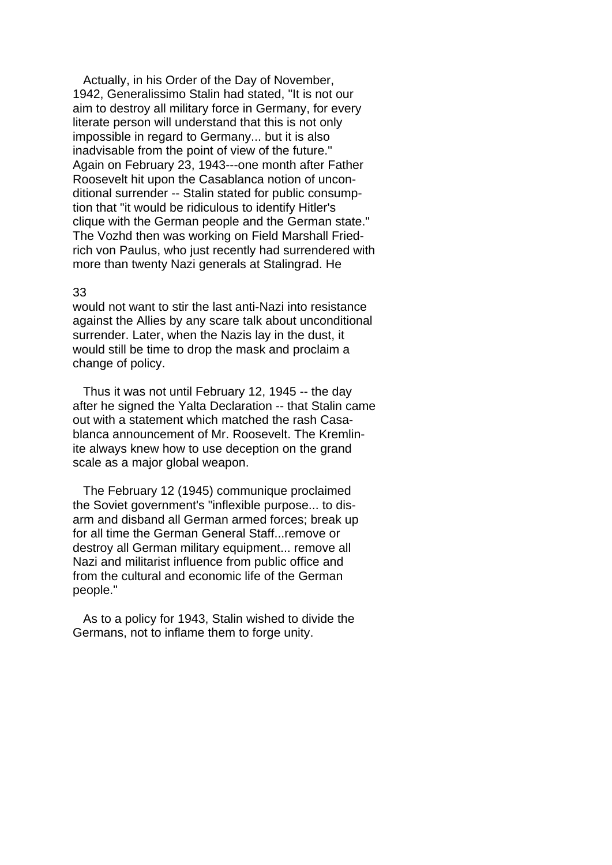Actually, in his Order of the Day of November, 1942, Generalissimo Stalin had stated, "It is not our aim to destroy all military force in Germany, for every literate person will understand that this is not only impossible in regard to Germany... but it is also inadvisable from the point of view of the future." Again on February 23, 1943---one month after Father Roosevelt hit upon the Casablanca notion of unconditional surrender -- Stalin stated for public consumption that "it would be ridiculous to identify Hitler's clique with the German people and the German state." The Vozhd then was working on Field Marshall Friedrich von Paulus, who just recently had surrendered with more than twenty Nazi generals at Stalingrad. He

#### 33

would not want to stir the last anti-Nazi into resistance against the Allies by any scare talk about unconditional surrender. Later, when the Nazis lay in the dust, it would still be time to drop the mask and proclaim a change of policy.

 Thus it was not until February 12, 1945 -- the day after he signed the Yalta Declaration -- that Stalin came out with a statement which matched the rash Casablanca announcement of Mr. Roosevelt. The Kremlinite always knew how to use deception on the grand scale as a major global weapon.

 The February 12 (1945) communique proclaimed the Soviet government's "inflexible purpose... to disarm and disband all German armed forces; break up for all time the German General Staff...remove or destroy all German military equipment... remove all Nazi and militarist influence from public office and from the cultural and economic life of the German people."

 As to a policy for 1943, Stalin wished to divide the Germans, not to inflame them to forge unity.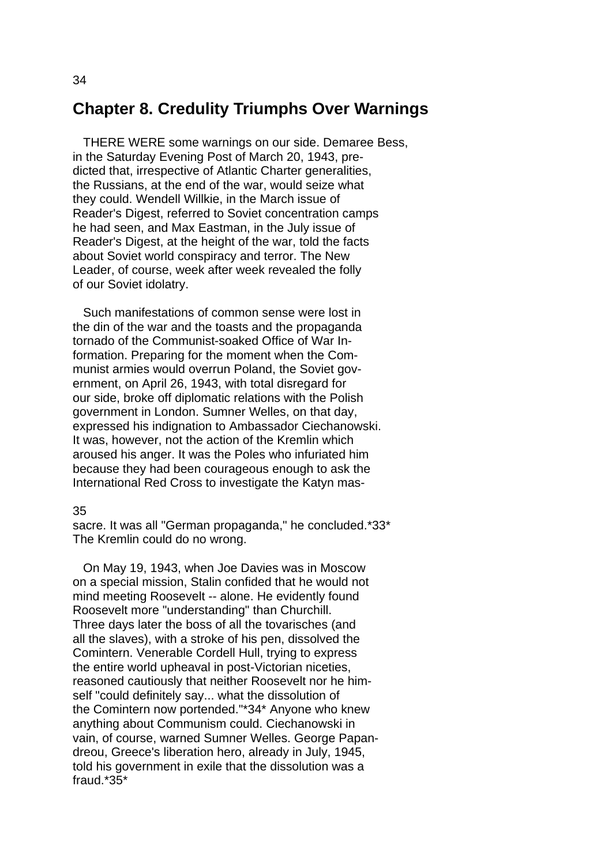# <span id="page-18-0"></span>**Chapter 8. Credulity Triumphs Over Warnings**

 THERE WERE some warnings on our side. Demaree Bess, in the Saturday Evening Post of March 20, 1943, predicted that, irrespective of Atlantic Charter generalities, the Russians, at the end of the war, would seize what they could. Wendell Willkie, in the March issue of Reader's Digest, referred to Soviet concentration camps he had seen, and Max Eastman, in the July issue of Reader's Digest, at the height of the war, told the facts about Soviet world conspiracy and terror. The New Leader, of course, week after week revealed the folly of our Soviet idolatry.

 Such manifestations of common sense were lost in the din of the war and the toasts and the propaganda tornado of the Communist-soaked Office of War Information. Preparing for the moment when the Communist armies would overrun Poland, the Soviet government, on April 26, 1943, with total disregard for our side, broke off diplomatic relations with the Polish government in London. Sumner Welles, on that day, expressed his indignation to Ambassador Ciechanowski. It was, however, not the action of the Kremlin which aroused his anger. It was the Poles who infuriated him because they had been courageous enough to ask the International Red Cross to investigate the Katyn mas-

### 35

sacre. It was all "German propaganda," he concluded.\*33\* The Kremlin could do no wrong.

 On May 19, 1943, when Joe Davies was in Moscow on a special mission, Stalin confided that he would not mind meeting Roosevelt -- alone. He evidently found Roosevelt more "understanding" than Churchill. Three days later the boss of all the tovarisches (and all the slaves), with a stroke of his pen, dissolved the Comintern. Venerable Cordell Hull, trying to express the entire world upheaval in post-Victorian niceties, reasoned cautiously that neither Roosevelt nor he himself "could definitely say... what the dissolution of the Comintern now portended."\*34\* Anyone who knew anything about Communism could. Ciechanowski in vain, of course, warned Sumner Welles. George Papandreou, Greece's liberation hero, already in July, 1945, told his government in exile that the dissolution was a fraud.\*35\*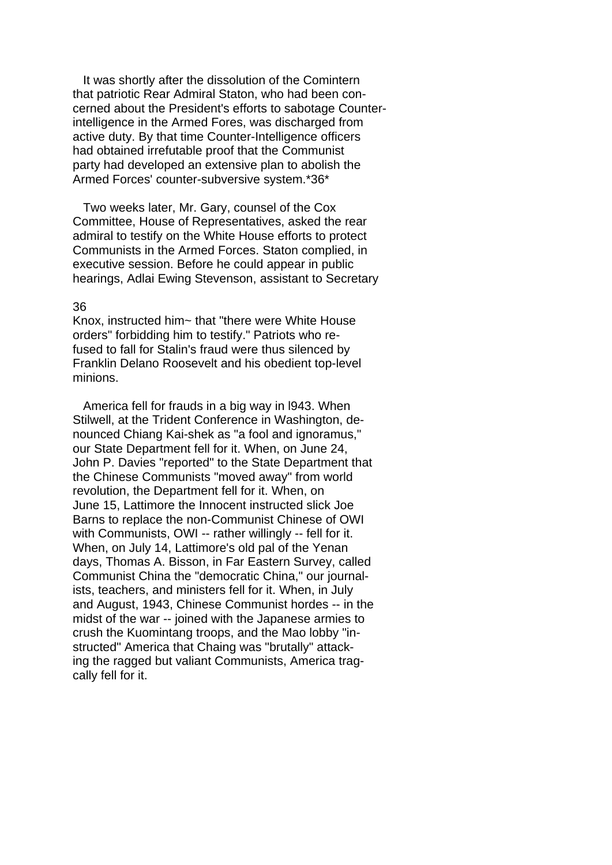It was shortly after the dissolution of the Comintern that patriotic Rear Admiral Staton, who had been concerned about the President's efforts to sabotage Counterintelligence in the Armed Fores, was discharged from active duty. By that time Counter-Intelligence officers had obtained irrefutable proof that the Communist party had developed an extensive plan to abolish the Armed Forces' counter-subversive system.\*36\*

 Two weeks later, Mr. Gary, counsel of the Cox Committee, House of Representatives, asked the rear admiral to testify on the White House efforts to protect Communists in the Armed Forces. Staton complied, in executive session. Before he could appear in public hearings, Adlai Ewing Stevenson, assistant to Secretary

#### 36

Knox, instructed him~ that "there were White House orders" forbidding him to testify." Patriots who refused to fall for Stalin's fraud were thus silenced by Franklin Delano Roosevelt and his obedient top-level minions.

 America fell for frauds in a big way in l943. When Stilwell, at the Trident Conference in Washington, denounced Chiang Kai-shek as "a fool and ignoramus," our State Department fell for it. When, on June 24, John P. Davies "reported" to the State Department that the Chinese Communists "moved away" from world revolution, the Department fell for it. When, on June 15, Lattimore the Innocent instructed slick Joe Barns to replace the non-Communist Chinese of OWI with Communists, OWI -- rather willingly -- fell for it. When, on July 14, Lattimore's old pal of the Yenan days, Thomas A. Bisson, in Far Eastern Survey, called Communist China the "democratic China," our journalists, teachers, and ministers fell for it. When, in July and August, 1943, Chinese Communist hordes -- in the midst of the war -- joined with the Japanese armies to crush the Kuomintang troops, and the Mao lobby "instructed" America that Chaing was "brutally" attacking the ragged but valiant Communists, America tragcally fell for it.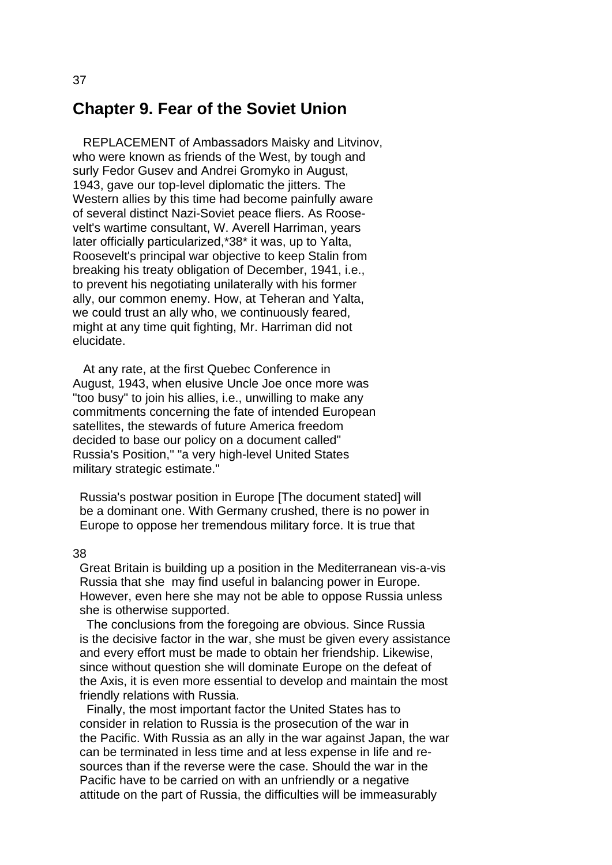# <span id="page-20-0"></span>**Chapter 9. Fear of the Soviet Union**

 REPLACEMENT of Ambassadors Maisky and Litvinov, who were known as friends of the West, by tough and surly Fedor Gusev and Andrei Gromyko in August, 1943, gave our top-level diplomatic the jitters. The Western allies by this time had become painfully aware of several distinct Nazi-Soviet peace fliers. As Roosevelt's wartime consultant, W. Averell Harriman, years later officially particularized,\*38\* it was, up to Yalta, Roosevelt's principal war objective to keep Stalin from breaking his treaty obligation of December, 1941, i.e., to prevent his negotiating unilaterally with his former ally, our common enemy. How, at Teheran and Yalta, we could trust an ally who, we continuously feared, might at any time quit fighting, Mr. Harriman did not elucidate.

 At any rate, at the first Quebec Conference in August, 1943, when elusive Uncle Joe once more was "too busy" to join his allies, i.e., unwilling to make any commitments concerning the fate of intended European satellites, the stewards of future America freedom decided to base our policy on a document called" Russia's Position," "a very high-level United States military strategic estimate."

 Russia's postwar position in Europe [The document stated] will be a dominant one. With Germany crushed, there is no power in Europe to oppose her tremendous military force. It is true that

#### 38

 Great Britain is building up a position in the Mediterranean vis-a-vis Russia that she may find useful in balancing power in Europe. However, even here she may not be able to oppose Russia unless she is otherwise supported.

 The conclusions from the foregoing are obvious. Since Russia is the decisive factor in the war, she must be given every assistance and every effort must be made to obtain her friendship. Likewise, since without question she will dominate Europe on the defeat of the Axis, it is even more essential to develop and maintain the most friendly relations with Russia.

 Finally, the most important factor the United States has to consider in relation to Russia is the prosecution of the war in the Pacific. With Russia as an ally in the war against Japan, the war can be terminated in less time and at less expense in life and re sources than if the reverse were the case. Should the war in the Pacific have to be carried on with an unfriendly or a negative attitude on the part of Russia, the difficulties will be immeasurably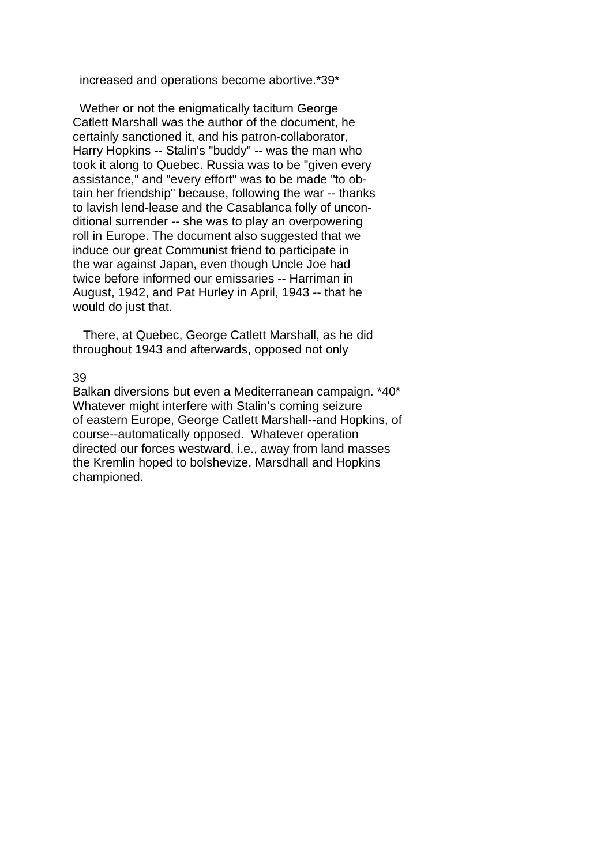increased and operations become abortive.\*39\*

 Wether or not the enigmatically taciturn George Catlett Marshall was the author of the document, he certainly sanctioned it, and his patron-collaborator, Harry Hopkins -- Stalin's "buddy" -- was the man who took it along to Quebec. Russia was to be "given every assistance," and "every effort" was to be made "to obtain her friendship" because, following the war -- thanks to lavish lend-lease and the Casablanca folly of unconditional surrender -- she was to play an overpowering roll in Europe. The document also suggested that we induce our great Communist friend to participate in the war against Japan, even though Uncle Joe had twice before informed our emissaries -- Harriman in August, 1942, and Pat Hurley in April, 1943 -- that he would do just that.

 There, at Quebec, George Catlett Marshall, as he did throughout 1943 and afterwards, opposed not only

#### 39

Balkan diversions but even a Mediterranean campaign. \*40\* Whatever might interfere with Stalin's coming seizure of eastern Europe, George Catlett Marshall--and Hopkins, of course--automatically opposed. Whatever operation directed our forces westward, i.e., away from land masses the Kremlin hoped to bolshevize, Marsdhall and Hopkins championed.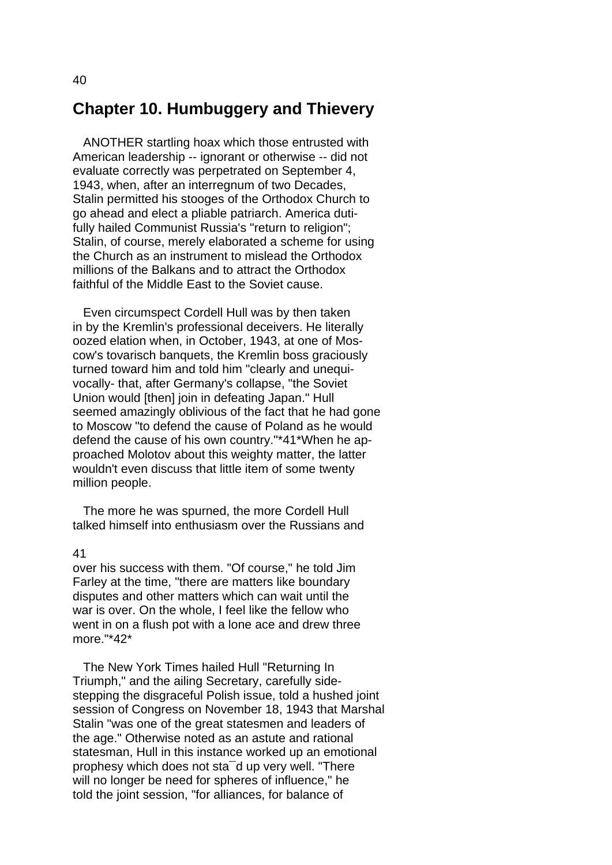# <span id="page-22-0"></span>**Chapter 10. Humbuggery and Thievery**

 ANOTHER startling hoax which those entrusted with American leadership -- ignorant or otherwise -- did not evaluate correctly was perpetrated on September 4, 1943, when, after an interregnum of two Decades, Stalin permitted his stooges of the Orthodox Church to go ahead and elect a pliable patriarch. America dutifully hailed Communist Russia's "return to religion"; Stalin, of course, merely elaborated a scheme for using the Church as an instrument to mislead the Orthodox millions of the Balkans and to attract the Orthodox faithful of the Middle East to the Soviet cause.

 Even circumspect Cordell Hull was by then taken in by the Kremlin's professional deceivers. He literally oozed elation when, in October, 1943, at one of Moscow's tovarisch banquets, the Kremlin boss graciously turned toward him and told him "clearly and unequivocally- that, after Germany's collapse, "the Soviet Union would [then] join in defeating Japan." Hull seemed amazingly oblivious of the fact that he had gone to Moscow "to defend the cause of Poland as he would defend the cause of his own country."\*41\*When he approached Molotov about this weighty matter, the latter wouldn't even discuss that little item of some twenty million people.

 The more he was spurned, the more Cordell Hull talked himself into enthusiasm over the Russians and

### 41

over his success with them. "Of course," he told Jim Farley at the time, "there are matters like boundary disputes and other matters which can wait until the war is over. On the whole, I feel like the fellow who went in on a flush pot with a lone ace and drew three more."\*42\*

 The New York Times hailed Hull "Returning In Triumph," and the ailing Secretary, carefully sidestepping the disgraceful Polish issue, told a hushed joint session of Congress on November 18, 1943 that Marshal Stalin "was one of the great statesmen and leaders of the age." Otherwise noted as an astute and rational statesman, Hull in this instance worked up an emotional prophesy which does not sta¯d up very well. "There will no longer be need for spheres of influence," he told the joint session, "for alliances, for balance of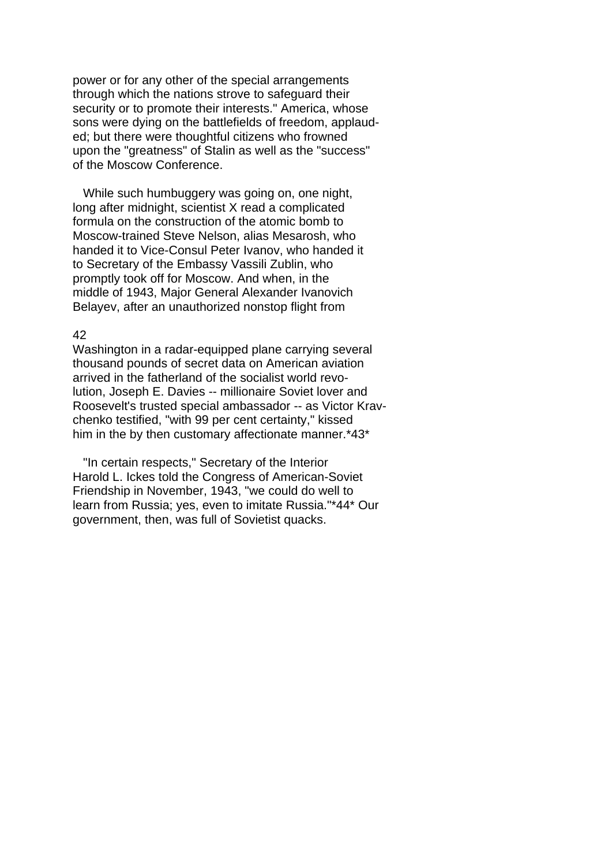power or for any other of the special arrangements through which the nations strove to safeguard their security or to promote their interests." America, whose sons were dying on the battlefields of freedom, applauded; but there were thoughtful citizens who frowned upon the "greatness" of Stalin as well as the "success" of the Moscow Conference.

 While such humbuggery was going on, one night, long after midnight, scientist X read a complicated formula on the construction of the atomic bomb to Moscow-trained Steve Nelson, alias Mesarosh, who handed it to Vice-Consul Peter Ivanov, who handed it to Secretary of the Embassy Vassili Zublin, who promptly took off for Moscow. And when, in the middle of 1943, Major General Alexander Ivanovich Belayev, after an unauthorized nonstop flight from

### 42

Washington in a radar-equipped plane carrying several thousand pounds of secret data on American aviation arrived in the fatherland of the socialist world revolution, Joseph E. Davies -- millionaire Soviet lover and Roosevelt's trusted special ambassador -- as Victor Kravchenko testified, "with 99 per cent certainty," kissed him in the by then customary affectionate manner.\*43\*

 "In certain respects," Secretary of the Interior Harold L. Ickes told the Congress of American-Soviet Friendship in November, 1943, "we could do well to learn from Russia; yes, even to imitate Russia."\*44\* Our government, then, was full of Sovietist quacks.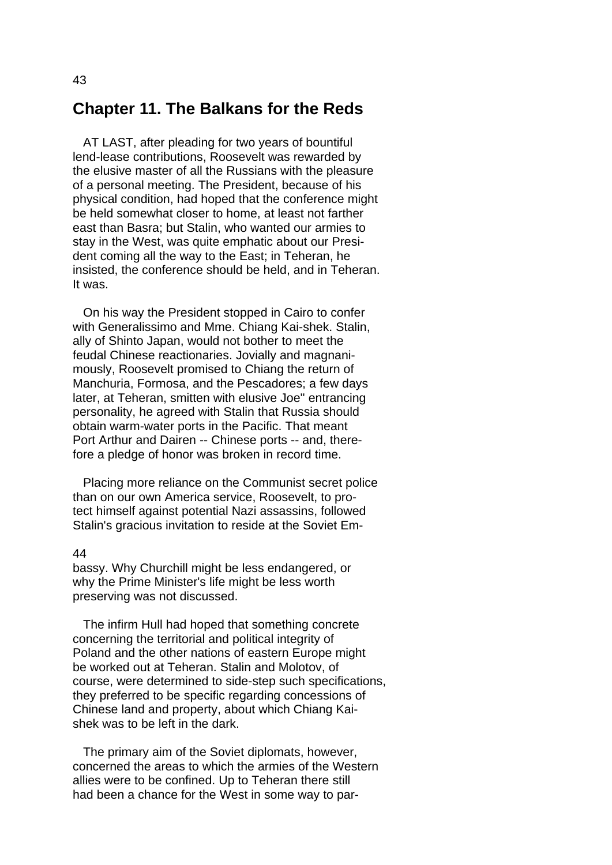# <span id="page-24-0"></span>**Chapter 11. The Balkans for the Reds**

 AT LAST, after pleading for two years of bountiful lend-lease contributions, Roosevelt was rewarded by the elusive master of all the Russians with the pleasure of a personal meeting. The President, because of his physical condition, had hoped that the conference might be held somewhat closer to home, at least not farther east than Basra; but Stalin, who wanted our armies to stay in the West, was quite emphatic about our President coming all the way to the East; in Teheran, he insisted, the conference should be held, and in Teheran. It was.

 On his way the President stopped in Cairo to confer with Generalissimo and Mme. Chiang Kai-shek. Stalin, ally of Shinto Japan, would not bother to meet the feudal Chinese reactionaries. Jovially and magnanimously, Roosevelt promised to Chiang the return of Manchuria, Formosa, and the Pescadores; a few days later, at Teheran, smitten with elusive Joe'' entrancing personality, he agreed with Stalin that Russia should obtain warm-water ports in the Pacific. That meant Port Arthur and Dairen -- Chinese ports -- and, therefore a pledge of honor was broken in record time.

 Placing more reliance on the Communist secret police than on our own America service, Roosevelt, to protect himself against potential Nazi assassins, followed Stalin's gracious invitation to reside at the Soviet Em-

### 44

bassy. Why Churchill might be less endangered, or why the Prime Minister's life might be less worth preserving was not discussed.

 The infirm Hull had hoped that something concrete concerning the territorial and political integrity of Poland and the other nations of eastern Europe might be worked out at Teheran. Stalin and Molotov, of course, were determined to side-step such specifications, they preferred to be specific regarding concessions of Chinese land and property, about which Chiang Kaishek was to be left in the dark.

 The primary aim of the Soviet diplomats, however, concerned the areas to which the armies of the Western allies were to be confined. Up to Teheran there still had been a chance for the West in some way to par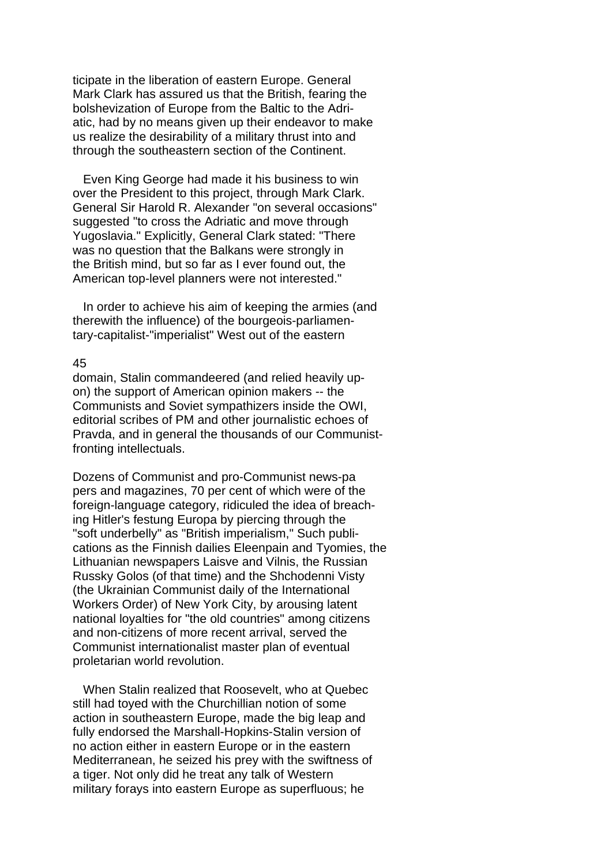ticipate in the liberation of eastern Europe. General Mark Clark has assured us that the British, fearing the bolshevization of Europe from the Baltic to the Adriatic, had by no means given up their endeavor to make us realize the desirability of a military thrust into and through the southeastern section of the Continent.

 Even King George had made it his business to win over the President to this project, through Mark Clark. General Sir Harold R. Alexander "on several occasions" suggested "to cross the Adriatic and move through Yugoslavia." Explicitly, General Clark stated: "There was no question that the Balkans were strongly in the British mind, but so far as I ever found out, the American top-level planners were not interested."

 In order to achieve his aim of keeping the armies (and therewith the influence) of the bourgeois-parliamentary-capitalist-"imperialist" West out of the eastern

#### 45

domain, Stalin commandeered (and relied heavily upon) the support of American opinion makers -- the Communists and Soviet sympathizers inside the OWI, editorial scribes of PM and other journalistic echoes of Pravda, and in general the thousands of our Communistfronting intellectuals.

Dozens of Communist and pro-Communist news-pa pers and magazines, 70 per cent of which were of the foreign-language category, ridiculed the idea of breaching Hitler's festung Europa by piercing through the "soft underbelly" as "British imperialism," Such publications as the Finnish dailies Eleenpain and Tyomies, the Lithuanian newspapers Laisve and Vilnis, the Russian Russky Golos (of that time) and the Shchodenni Visty (the Ukrainian Communist daily of the International Workers Order) of New York City, by arousing latent national loyalties for "the old countries" among citizens and non-citizens of more recent arrival, served the Communist internationalist master plan of eventual proletarian world revolution.

 When Stalin realized that Roosevelt, who at Quebec still had toyed with the Churchillian notion of some action in southeastern Europe, made the big leap and fully endorsed the Marshall-Hopkins-Stalin version of no action either in eastern Europe or in the eastern Mediterranean, he seized his prey with the swiftness of a tiger. Not only did he treat any talk of Western military forays into eastern Europe as superfluous; he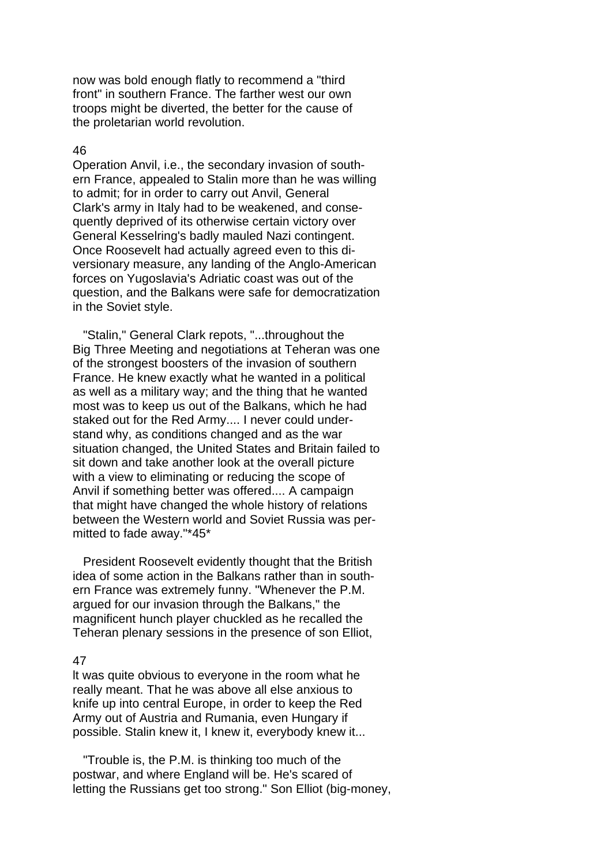now was bold enough flatly to recommend a "third front" in southern France. The farther west our own troops might be diverted, the better for the cause of the proletarian world revolution.

### 46

Operation Anvil, i.e., the secondary invasion of southern France, appealed to Stalin more than he was willing to admit; for in order to carry out Anvil, General Clark's army in Italy had to be weakened, and consequently deprived of its otherwise certain victory over General Kesselring's badly mauled Nazi contingent. Once Roosevelt had actually agreed even to this diversionary measure, any landing of the Anglo-American forces on Yugoslavia's Adriatic coast was out of the question, and the Balkans were safe for democratization in the Soviet style.

 "Stalin," General Clark repots, "...throughout the Big Three Meeting and negotiations at Teheran was one of the strongest boosters of the invasion of southern France. He knew exactly what he wanted in a political as well as a military way; and the thing that he wanted most was to keep us out of the Balkans, which he had staked out for the Red Army.... I never could understand why, as conditions changed and as the war situation changed, the United States and Britain failed to sit down and take another look at the overall picture with a view to eliminating or reducing the scope of Anvil if something better was offered.... A campaign that might have changed the whole history of relations between the Western world and Soviet Russia was permitted to fade away."\*45\*

 President Roosevelt evidently thought that the British idea of some action in the Balkans rather than in southern France was extremely funny. "Whenever the P.M. argued for our invasion through the Balkans," the magnificent hunch player chuckled as he recalled the Teheran plenary sessions in the presence of son Elliot,

### 47

lt was quite obvious to everyone in the room what he really meant. That he was above all else anxious to knife up into central Europe, in order to keep the Red Army out of Austria and Rumania, even Hungary if possible. Stalin knew it, I knew it, everybody knew it...

 "Trouble is, the P.M. is thinking too much of the postwar, and where England will be. He's scared of letting the Russians get too strong." Son Elliot (big-money,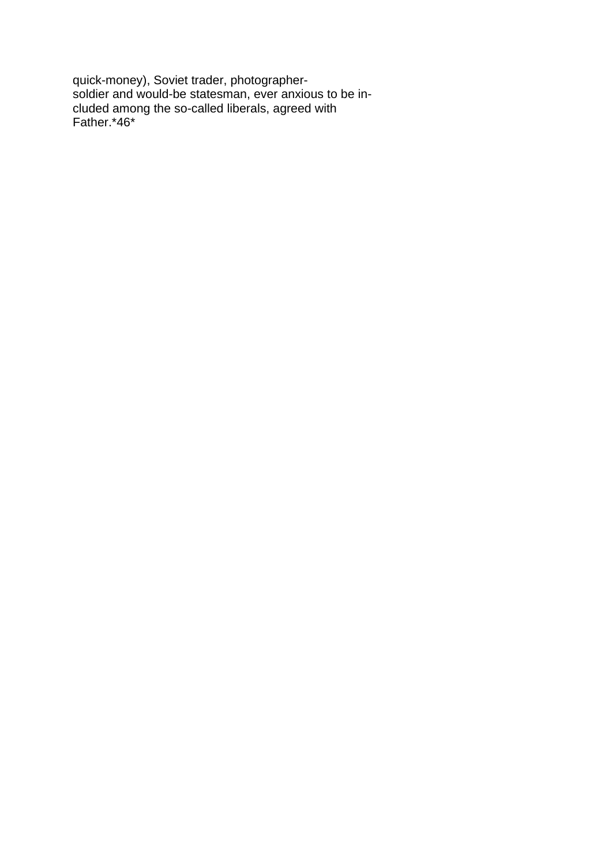quick-money), Soviet trader, photographersoldier and would-be statesman, ever anxious to be included among the so-called liberals, agreed with Father.\*46\*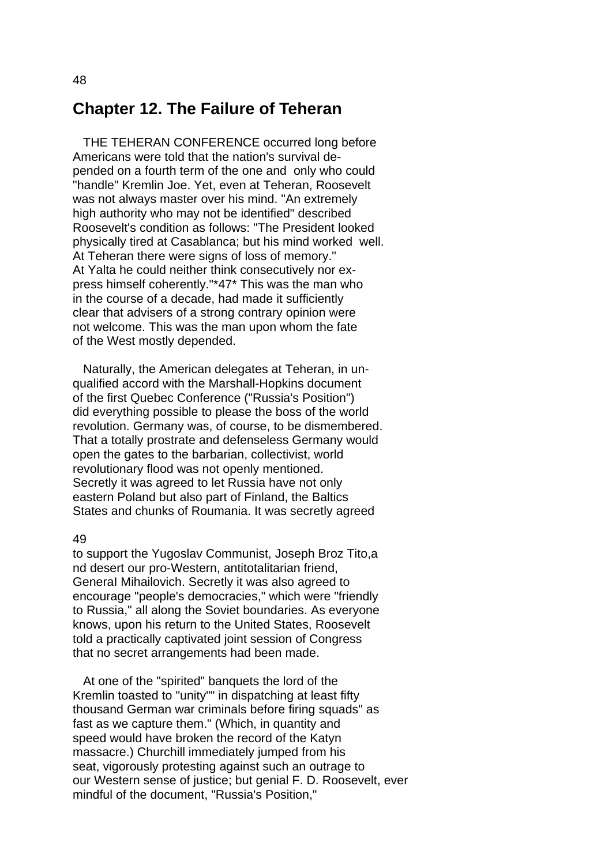# <span id="page-28-0"></span>**Chapter 12. The Failure of Teheran**

 THE TEHERAN CONFERENCE occurred long before Americans were told that the nation's survival depended on a fourth term of the one and only who could "handle" Kremlin Joe. Yet, even at Teheran, Roosevelt was not always master over his mind. "An extremely high authority who may not be identified" described Roosevelt's condition as follows: "The President looked physically tired at Casablanca; but his mind worked well. At Teheran there were signs of loss of memory." At Yalta he could neither think consecutively nor express himself coherently."\*47\* This was the man who in the course of a decade, had made it sufficiently clear that advisers of a strong contrary opinion were not welcome. This was the man upon whom the fate of the West mostly depended.

 Naturally, the American delegates at Teheran, in unqualified accord with the Marshall-Hopkins document of the first Quebec Conference ("Russia's Position") did everything possible to please the boss of the world revolution. Germany was, of course, to be dismembered. That a totally prostrate and defenseless Germany would open the gates to the barbarian, collectivist, world revolutionary flood was not openly mentioned. Secretly it was agreed to let Russia have not only eastern Poland but also part of Finland, the Baltics States and chunks of Roumania. It was secretly agreed

### 49

to support the Yugoslav Communist, Joseph Broz Tito,a nd desert our pro-Western, antitotalitarian friend, GeneraI Mihailovich. Secretly it was also agreed to encourage "people's democracies," which were "friendly to Russia," all along the Soviet boundaries. As everyone knows, upon his return to the United States, Roosevelt told a practically captivated joint session of Congress that no secret arrangements had been made.

 At one of the "spirited" banquets the lord of the Kremlin toasted to "unity"" in dispatching at least fifty thousand German war criminals before firing squads" as fast as we capture them." (Which, in quantity and speed would have broken the record of the Katyn massacre.) Churchill immediately jumped from his seat, vigorously protesting against such an outrage to our Western sense of justice; but genial F. D. Roosevelt, ever mindful of the document, "Russia's Position,"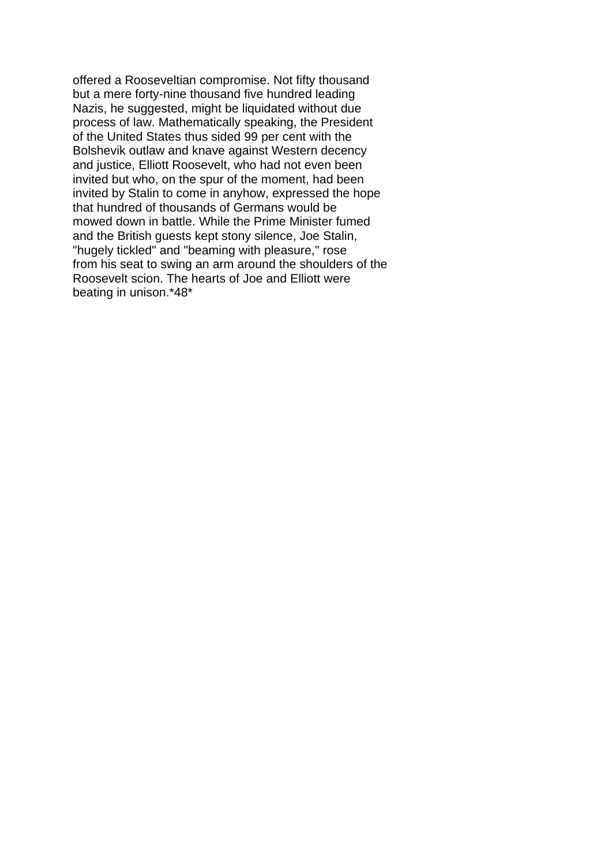offered a Rooseveltian compromise. Not fifty thousand but a mere forty-nine thousand five hundred leading Nazis, he suggested, might be liquidated without due process of law. Mathematically speaking, the President of the United States thus sided 99 per cent with the Bolshevik outlaw and knave against Western decency and justice, Elliott Roosevelt, who had not even been invited but who, on the spur of the moment, had been invited by Stalin to come in anyhow, expressed the hope that hundred of thousands of Germans would be mowed down in battle. While the Prime Minister fumed and the British guests kept stony silence, Joe Stalin, "hugely tickled" and "beaming with pleasure," rose from his seat to swing an arm around the shoulders of the Roosevelt scion. The hearts of Joe and Elliott were beating in unison.\*48\*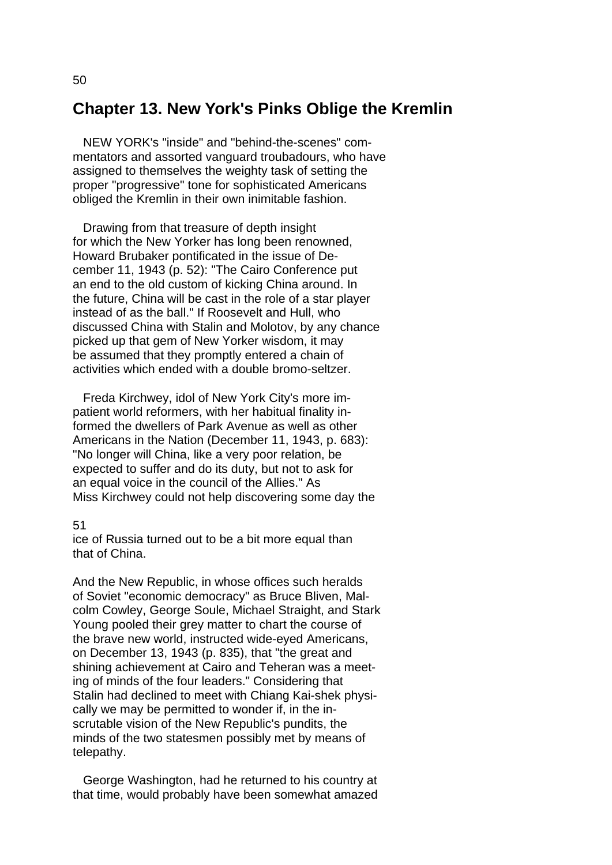# <span id="page-30-0"></span>**Chapter 13. New York's Pinks Oblige the Kremlin**

 NEW YORK's "inside" and "behind-the-scenes" commentators and assorted vanguard troubadours, who have assigned to themselves the weighty task of setting the proper "progressive" tone for sophisticated Americans obliged the Kremlin in their own inimitable fashion.

 Drawing from that treasure of depth insight for which the New Yorker has long been renowned, Howard Brubaker pontificated in the issue of December 11, 1943 (p. 52): "The Cairo Conference put an end to the old custom of kicking China around. In the future, China will be cast in the role of a star player instead of as the ball." If Roosevelt and Hull, who discussed China with Stalin and Molotov, by any chance picked up that gem of New Yorker wisdom, it may be assumed that they promptly entered a chain of activities which ended with a double bromo-seltzer.

 Freda Kirchwey, idol of New York City's more impatient world reformers, with her habitual finality informed the dwellers of Park Avenue as well as other Americans in the Nation (December 11, 1943, p. 683): "No longer will China, like a very poor relation, be expected to suffer and do its duty, but not to ask for an equal voice in the council of the Allies." As Miss Kirchwey could not help discovering some day the

#### 51

ice of Russia turned out to be a bit more equal than that of China.

And the New Republic, in whose offices such heralds of Soviet "economic democracy" as Bruce Bliven, Malcolm Cowley, George Soule, Michael Straight, and Stark Young pooled their grey matter to chart the course of the brave new world, instructed wide-eyed Americans, on December 13, 1943 (p. 835), that "the great and shining achievement at Cairo and Teheran was a meeting of minds of the four leaders." Considering that Stalin had declined to meet with Chiang Kai-shek physically we may be permitted to wonder if, in the inscrutable vision of the New Republic's pundits, the minds of the two statesmen possibly met by means of telepathy.

 George Washington, had he returned to his country at that time, would probably have been somewhat amazed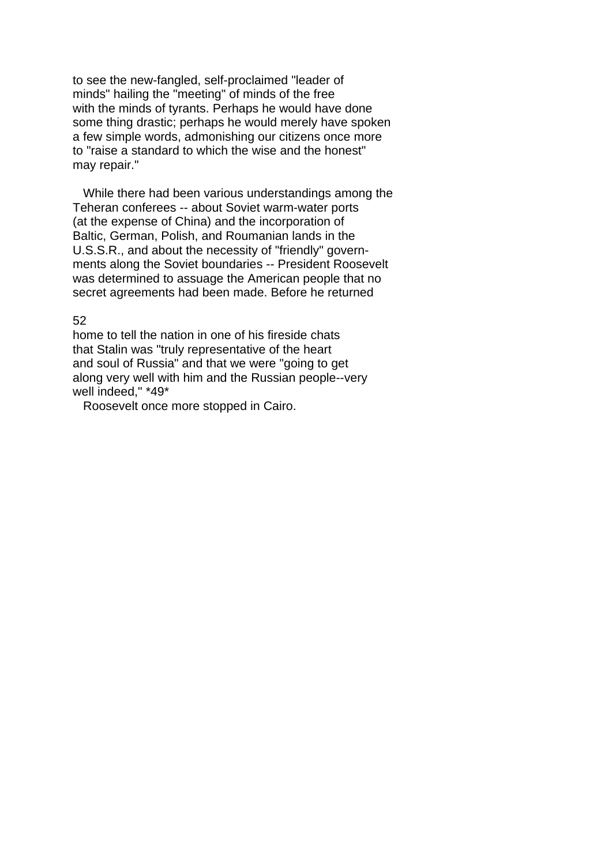to see the new-fangled, self-proclaimed "leader of minds" hailing the "meeting" of minds of the free with the minds of tyrants. Perhaps he would have done some thing drastic; perhaps he would merely have spoken a few simple words, admonishing our citizens once more to "raise a standard to which the wise and the honest" may repair."

 While there had been various understandings among the Teheran conferees -- about Soviet warm-water ports (at the expense of China) and the incorporation of Baltic, German, Polish, and Roumanian lands in the U.S.S.R., and about the necessity of "friendly" governments along the Soviet boundaries -- President Roosevelt was determined to assuage the American people that no secret agreements had been made. Before he returned

### 52

home to tell the nation in one of his fireside chats that Stalin was "truly representative of the heart and soul of Russia" and that we were "going to get along very well with him and the Russian people--very well indeed," \*49\*

Roosevelt once more stopped in Cairo.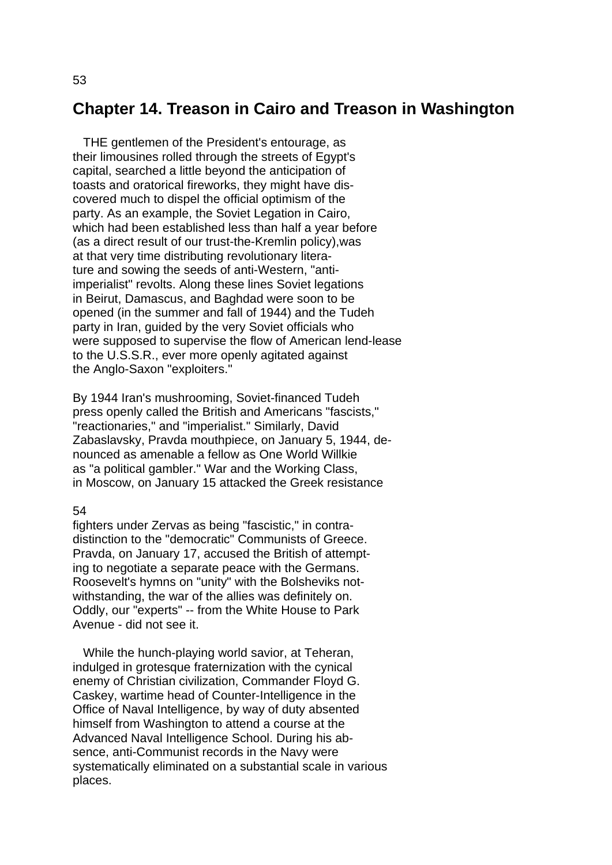# <span id="page-32-0"></span>**Chapter 14. Treason in Cairo and Treason in Washington**

 THE gentlemen of the President's entourage, as their limousines rolled through the streets of Egypt's capital, searched a little beyond the anticipation of toasts and oratorical fireworks, they might have discovered much to dispel the official optimism of the party. As an example, the Soviet Legation in Cairo, which had been established less than half a year before (as a direct result of our trust-the-Kremlin policy),was at that very time distributing revolutionary literature and sowing the seeds of anti-Western, "antiimperialist" revolts. Along these lines Soviet legations in Beirut, Damascus, and Baghdad were soon to be opened (in the summer and fall of 1944) and the Tudeh party in Iran, guided by the very Soviet officials who were supposed to supervise the flow of American lend-lease to the U.S.S.R., ever more openly agitated against the Anglo-Saxon "exploiters."

By 1944 Iran's mushrooming, Soviet-financed Tudeh press openly called the British and Americans "fascists," "reactionaries," and "imperialist." Similarly, David Zabaslavsky, Pravda mouthpiece, on January 5, 1944, denounced as amenable a fellow as One World Willkie as "a political gambler." War and the Working Class, in Moscow, on January 15 attacked the Greek resistance

### 54

fighters under Zervas as being "fascistic," in contradistinction to the "democratic" Communists of Greece. Pravda, on January 17, accused the British of attempting to negotiate a separate peace with the Germans. Roosevelt's hymns on "unity" with the Bolsheviks notwithstanding, the war of the allies was definitely on. Oddly, our "experts" -- from the White House to Park Avenue - did not see it.

 While the hunch-playing world savior, at Teheran, indulged in grotesque fraternization with the cynical enemy of Christian civilization, Commander Floyd G. Caskey, wartime head of Counter-Intelligence in the Office of Naval Intelligence, by way of duty absented himself from Washington to attend a course at the Advanced Naval Intelligence School. During his absence, anti-Communist records in the Navy were systematically eliminated on a substantial scale in various places.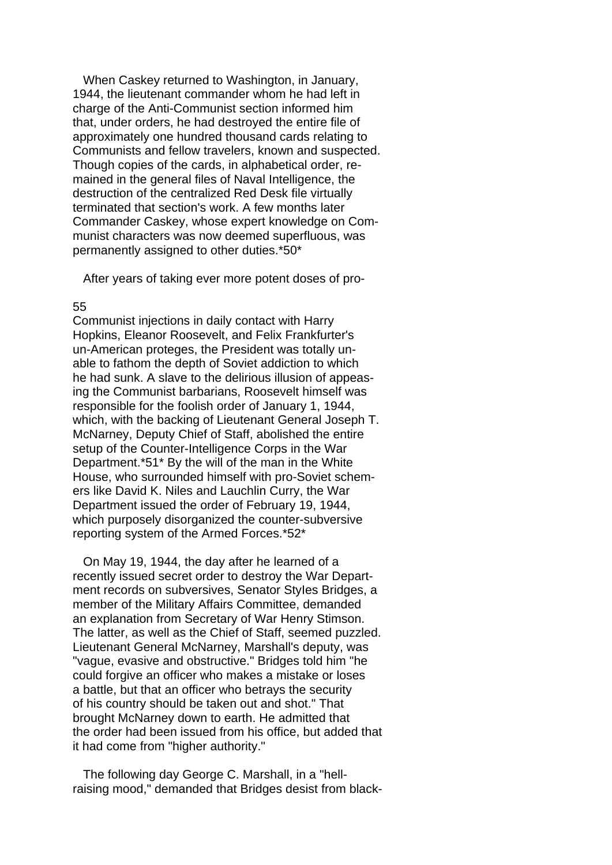When Caskey returned to Washington, in January, 1944, the lieutenant commander whom he had left in charge of the Anti-Communist section informed him that, under orders, he had destroyed the entire file of approximately one hundred thousand cards relating to Communists and fellow travelers, known and suspected. Though copies of the cards, in alphabetical order, remained in the general files of Naval Intelligence, the destruction of the centralized Red Desk file virtually terminated that section's work. A few months later Commander Caskey, whose expert knowledge on Communist characters was now deemed superfluous, was permanently assigned to other duties.\*50\*

After years of taking ever more potent doses of pro-

#### 55

Communist injections in daily contact with Harry Hopkins, Eleanor Roosevelt, and Felix Frankfurter's un-American proteges, the President was totally unable to fathom the depth of Soviet addiction to which he had sunk. A slave to the delirious illusion of appeasing the Communist barbarians, Roosevelt himself was responsible for the foolish order of January 1, 1944, which, with the backing of Lieutenant General Joseph T. McNarney, Deputy Chief of Staff, abolished the entire setup of the Counter-Intelligence Corps in the War Department.\*51\* By the will of the man in the White House, who surrounded himself with pro-Soviet schemers like David K. Niles and Lauchlin Curry, the War Department issued the order of February 19, 1944, which purposely disorganized the counter-subversive reporting system of the Armed Forces.\*52\*

 On May 19, 1944, the day after he learned of a recently issued secret order to destroy the War Department records on subversives, Senator StyIes Bridges, a member of the Military Affairs Committee, demanded an explanation from Secretary of War Henry Stimson. The latter, as well as the Chief of Staff, seemed puzzled. Lieutenant General McNarney, Marshall's deputy, was "vague, evasive and obstructive." Bridges told him "he could forgive an officer who makes a mistake or loses a battle, but that an officer who betrays the security of his country should be taken out and shot." That brought McNarney down to earth. He admitted that the order had been issued from his office, but added that it had come from "higher authority."

 The following day George C. Marshall, in a "hellraising mood," demanded that Bridges desist from black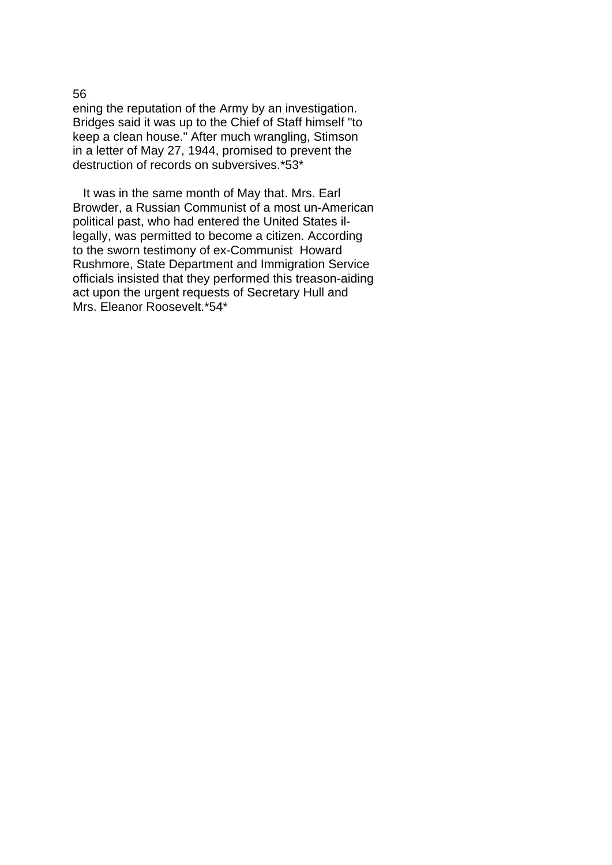ening the reputation of the Army by an investigation. Bridges said it was up to the Chief of Staff himself "to keep a clean house." After much wrangling, Stimson in a letter of May 27, 1944, promised to prevent the destruction of records on subversives.\*53\*

 It was in the same month of May that. Mrs. Earl Browder, a Russian Communist of a most un-American political past, who had entered the United States illegally, was permitted to become a citizen. According to the sworn testimony of ex-Communist Howard Rushmore, State Department and Immigration Service officials insisted that they performed this treason-aiding act upon the urgent requests of Secretary Hull and Mrs. Eleanor Roosevelt.\*54\*

#### 56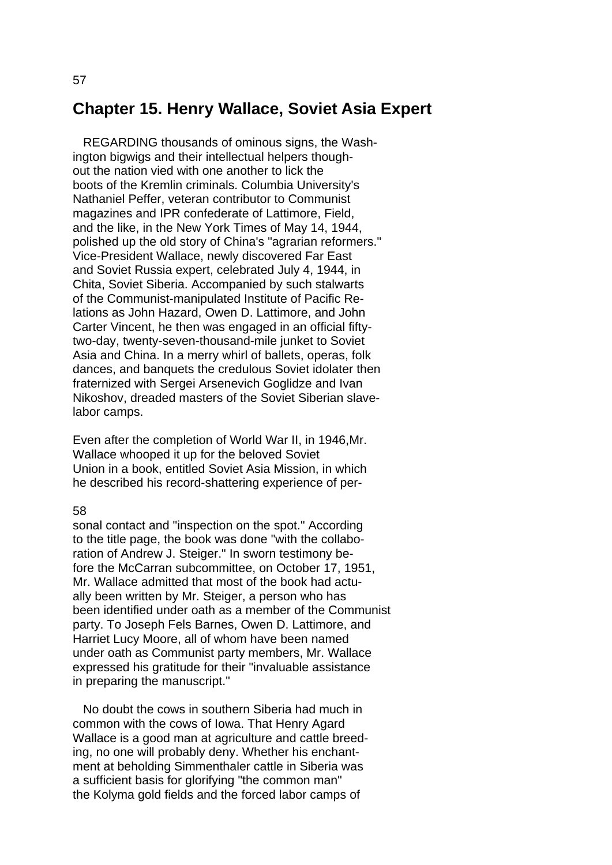# <span id="page-35-0"></span>**Chapter 15. Henry Wallace, Soviet Asia Expert**

 REGARDING thousands of ominous signs, the Washington bigwigs and their intellectual helpers thoughout the nation vied with one another to lick the boots of the Kremlin criminals. Columbia University's Nathaniel Peffer, veteran contributor to Communist magazines and IPR confederate of Lattimore, Field, and the like, in the New York Times of May 14, 1944, polished up the old story of China's "agrarian reformers." Vice-President Wallace, newly discovered Far East and Soviet Russia expert, celebrated July 4, 1944, in Chita, Soviet Siberia. Accompanied by such stalwarts of the Communist-manipulated Institute of Pacific Relations as John Hazard, Owen D. Lattimore, and John Carter Vincent, he then was engaged in an official fiftytwo-day, twenty-seven-thousand-mile junket to Soviet Asia and China. In a merry whirl of ballets, operas, folk dances, and banquets the credulous Soviet idolater then fraternized with Sergei Arsenevich Goglidze and Ivan Nikoshov, dreaded masters of the Soviet Siberian slavelabor camps.

Even after the completion of World War II, in 1946,Mr. Wallace whooped it up for the beloved Soviet Union in a book, entitled Soviet Asia Mission, in which he described his record-shattering experience of per-

### 58

sonal contact and "inspection on the spot." According to the title page, the book was done "with the collaboration of Andrew J. Steiger." In sworn testimony before the McCarran subcommittee, on October 17, 1951, Mr. Wallace admitted that most of the book had actually been written by Mr. Steiger, a person who has been identified under oath as a member of the Communist party. To Joseph Fels Barnes, Owen D. Lattimore, and Harriet Lucy Moore, all of whom have been named under oath as Communist party members, Mr. Wallace expressed his gratitude for their "invaluable assistance in preparing the manuscript."

 No doubt the cows in southern Siberia had much in common with the cows of Iowa. That Henry Agard Wallace is a good man at agriculture and cattle breeding, no one will probably deny. Whether his enchantment at beholding Simmenthaler cattle in Siberia was a sufficient basis for glorifying "the common man" the Kolyma gold fields and the forced labor camps of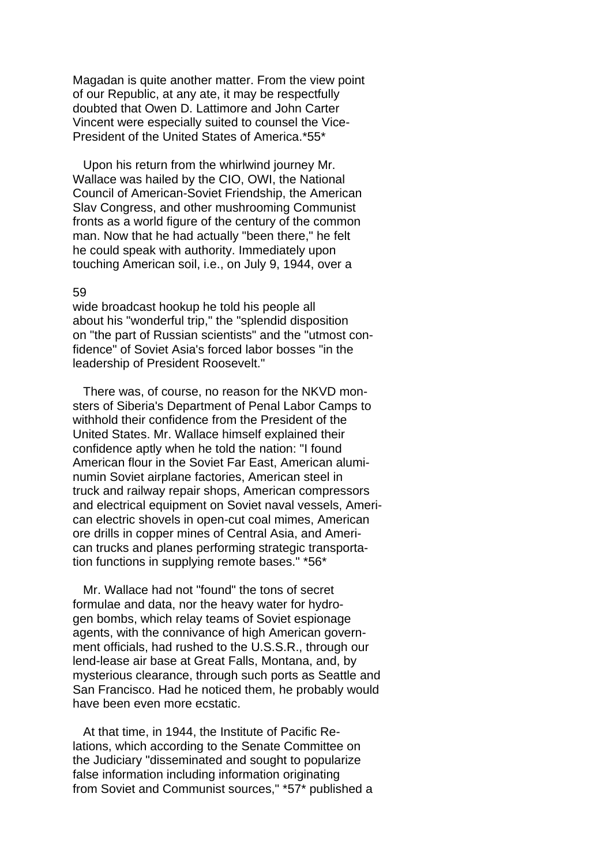Magadan is quite another matter. From the view point of our Republic, at any ate, it may be respectfully doubted that Owen D. Lattimore and John Carter Vincent were especially suited to counsel the Vice-President of the United States of America.\*55\*

 Upon his return from the whirlwind journey Mr. Wallace was hailed by the CIO, OWI, the National Council of American-Soviet Friendship, the American Slav Congress, and other mushrooming Communist fronts as a world figure of the century of the common man. Now that he had actually "been there," he felt he could speak with authority. Immediately upon touching American soil, i.e., on July 9, 1944, over a

### 59

wide broadcast hookup he told his people all about his "wonderful trip," the "splendid disposition on "the part of Russian scientists" and the "utmost confidence" of Soviet Asia's forced labor bosses "in the leadership of President Roosevelt."

 There was, of course, no reason for the NKVD monsters of Siberia's Department of Penal Labor Camps to withhold their confidence from the President of the United States. Mr. Wallace himself explained their confidence aptly when he told the nation: "I found American flour in the Soviet Far East, American aluminumin Soviet airplane factories, American steel in truck and railway repair shops, American compressors and electrical equipment on Soviet naval vessels, American electric shovels in open-cut coal mimes, American ore drills in copper mines of Central Asia, and American trucks and planes performing strategic transportation functions in supplying remote bases." \*56\*

 Mr. Wallace had not "found" the tons of secret formulae and data, nor the heavy water for hydrogen bombs, which relay teams of Soviet espionage agents, with the connivance of high American government officials, had rushed to the U.S.S.R., through our lend-lease air base at Great Falls, Montana, and, by mysterious clearance, through such ports as Seattle and San Francisco. Had he noticed them, he probably would have been even more ecstatic.

 At that time, in 1944, the Institute of Pacific Relations, which according to the Senate Committee on the Judiciary "disseminated and sought to popularize false information including information originating from Soviet and Communist sources," \*57\* published a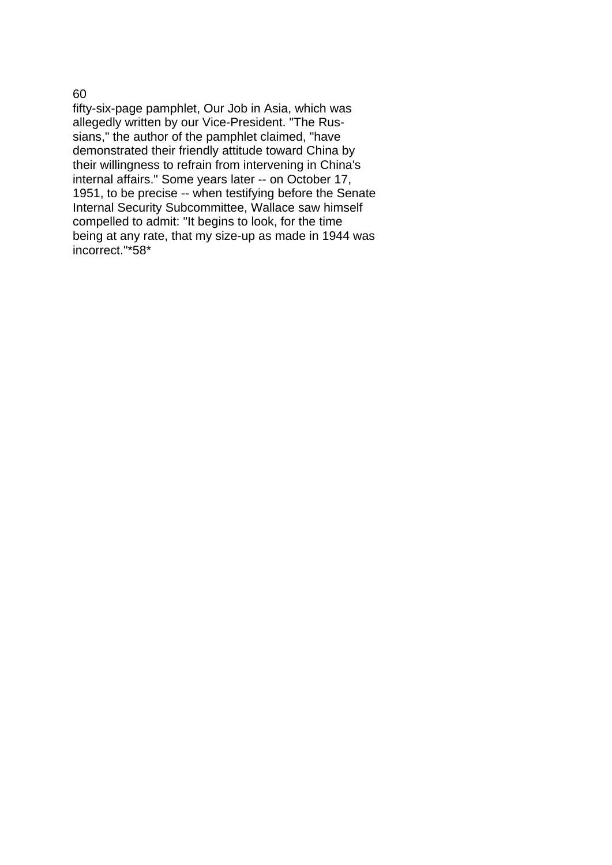### 60

fifty-six-page pamphlet, Our Job in Asia, which was allegedly written by our Vice-President. "The Russians," the author of the pamphlet claimed, "have demonstrated their friendly attitude toward China by their willingness to refrain from intervening in China's internal affairs." Some years later -- on October 17, 1951, to be precise -- when testifying before the Senate Internal Security Subcommittee, Wallace saw himself compelled to admit: "It begins to look, for the time being at any rate, that my size-up as made in 1944 was incorrect."\*58\*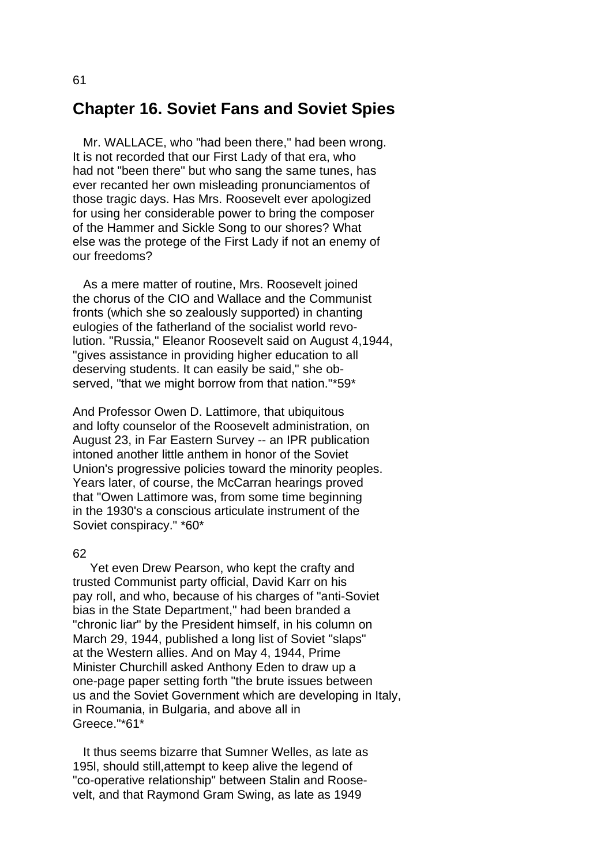## **Chapter 16. Soviet Fans and Soviet Spies**

 Mr. WALLACE, who "had been there," had been wrong. It is not recorded that our First Lady of that era, who had not "been there" but who sang the same tunes, has ever recanted her own misleading pronunciamentos of those tragic days. Has Mrs. Roosevelt ever apologized for using her considerable power to bring the composer of the Hammer and Sickle Song to our shores? What else was the protege of the First Lady if not an enemy of our freedoms?

 As a mere matter of routine, Mrs. Roosevelt joined the chorus of the CIO and Wallace and the Communist fronts (which she so zealously supported) in chanting eulogies of the fatherland of the socialist world revolution. "Russia," Eleanor Roosevelt said on August 4,1944, "gives assistance in providing higher education to all deserving students. It can easily be said," she observed, "that we might borrow from that nation."\*59\*

And Professor Owen D. Lattimore, that ubiquitous and lofty counselor of the Roosevelt administration, on August 23, in Far Eastern Survey -- an IPR publication intoned another little anthem in honor of the Soviet Union's progressive policies toward the minority peoples. Years later, of course, the McCarran hearings proved that "Owen Lattimore was, from some time beginning in the 1930's a conscious articulate instrument of the Soviet conspiracy." \*60\*

#### 62

 Yet even Drew Pearson, who kept the crafty and trusted Communist party official, David Karr on his pay roll, and who, because of his charges of "anti-Soviet bias in the State Department," had been branded a "chronic liar" by the President himself, in his column on March 29, 1944, published a long list of Soviet "slaps" at the Western allies. And on May 4, 1944, Prime Minister Churchill asked Anthony Eden to draw up a one-page paper setting forth "the brute issues between us and the Soviet Government which are developing in Italy, in Roumania, in Bulgaria, and above all in Greece."\*61\*

 It thus seems bizarre that Sumner Welles, as late as 195l, should still,attempt to keep alive the legend of "co-operative relationship" between Stalin and Roosevelt, and that Raymond Gram Swing, as late as 1949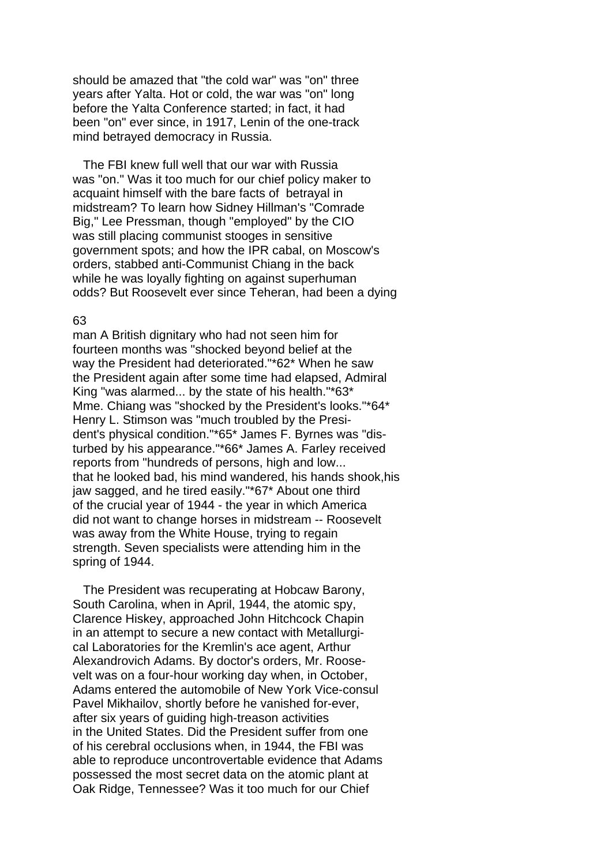should be amazed that "the cold war" was "on" three years after Yalta. Hot or cold, the war was "on" long before the Yalta Conference started; in fact, it had been "on" ever since, in 1917, Lenin of the one-track mind betrayed democracy in Russia.

 The FBI knew full well that our war with Russia was "on." Was it too much for our chief policy maker to acquaint himself with the bare facts of betrayal in midstream? To learn how Sidney Hillman's "Comrade Big," Lee Pressman, though "employed" by the CIO was still placing communist stooges in sensitive government spots; and how the IPR cabal, on Moscow's orders, stabbed anti-Communist Chiang in the back while he was loyally fighting on against superhuman odds? But Roosevelt ever since Teheran, had been a dying

### 63

man A British dignitary who had not seen him for fourteen months was "shocked beyond belief at the way the President had deteriorated."\*62\* When he saw the President again after some time had elapsed, Admiral King "was alarmed... by the state of his health."\*63\* Mme. Chiang was "shocked by the President's looks."\*64\* Henry L. Stimson was "much troubled by the President's physical condition."\*65\* James F. Byrnes was "disturbed by his appearance."\*66\* James A. Farley received reports from "hundreds of persons, high and low... that he looked bad, his mind wandered, his hands shook,his jaw sagged, and he tired easily."\*67\* About one third of the crucial year of 1944 - the year in which America did not want to change horses in midstream -- Roosevelt was away from the White House, trying to regain strength. Seven specialists were attending him in the spring of 1944.

 The President was recuperating at Hobcaw Barony, South Carolina, when in April, 1944, the atomic spy, Clarence Hiskey, approached John Hitchcock Chapin in an attempt to secure a new contact with Metallurgical Laboratories for the Kremlin's ace agent, Arthur Alexandrovich Adams. By doctor's orders, Mr. Roosevelt was on a four-hour working day when, in October, Adams entered the automobile of New York Vice-consul Pavel Mikhailov, shortly before he vanished for-ever, after six years of guiding high-treason activities in the United States. Did the President suffer from one of his cerebral occlusions when, in 1944, the FBI was able to reproduce uncontrovertable evidence that Adams possessed the most secret data on the atomic plant at Oak Ridge, Tennessee? Was it too much for our Chief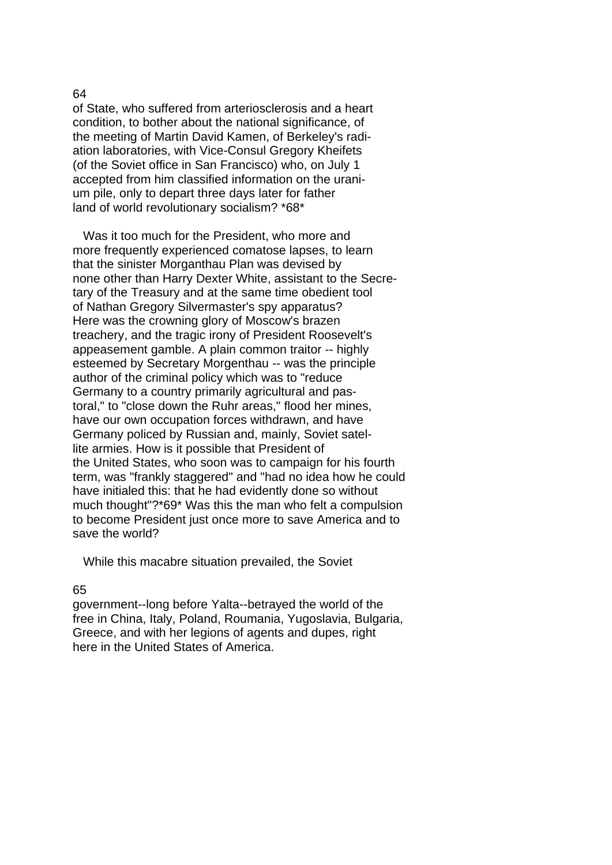64

of State, who suffered from arteriosclerosis and a heart condition, to bother about the national significance, of the meeting of Martin David Kamen, of Berkeley's radiation laboratories, with Vice-Consul Gregory Kheifets (of the Soviet office in San Francisco) who, on July 1 accepted from him classified information on the uranium pile, only to depart three days later for father land of world revolutionary socialism? \*68\*

 Was it too much for the President, who more and more frequently experienced comatose lapses, to learn that the sinister Morganthau Plan was devised by none other than Harry Dexter White, assistant to the Secretary of the Treasury and at the same time obedient tool of Nathan Gregory Silvermaster's spy apparatus? Here was the crowning glory of Moscow's brazen treachery, and the tragic irony of President Roosevelt's appeasement gamble. A plain common traitor -- highly esteemed by Secretary Morgenthau -- was the principle author of the criminal policy which was to "reduce Germany to a country primarily agricultural and pastoral," to "close down the Ruhr areas," flood her mines, have our own occupation forces withdrawn, and have Germany policed by Russian and, mainly, Soviet satellite armies. How is it possible that President of the United States, who soon was to campaign for his fourth term, was "frankly staggered" and "had no idea how he could have initialed this: that he had evidently done so without much thought"?\*69\* Was this the man who felt a compulsion to become President just once more to save America and to save the world?

While this macabre situation prevailed, the Soviet

#### 65

government--long before Yalta--betrayed the world of the free in China, Italy, Poland, Roumania, Yugoslavia, Bulgaria, Greece, and with her legions of agents and dupes, right here in the United States of America.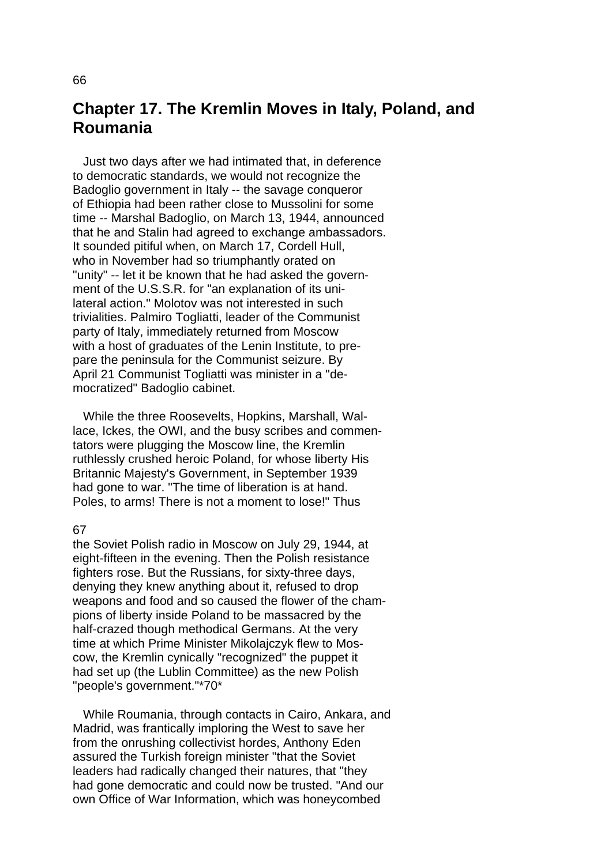## **Chapter 17. The Kremlin Moves in Italy, Poland, and Roumania**

 Just two days after we had intimated that, in deference to democratic standards, we would not recognize the Badoglio government in Italy -- the savage conqueror of Ethiopia had been rather close to Mussolini for some time -- Marshal Badoglio, on March 13, 1944, announced that he and Stalin had agreed to exchange ambassadors. It sounded pitiful when, on March 17, Cordell Hull, who in November had so triumphantly orated on "unity" -- let it be known that he had asked the government of the U.S.S.R. for "an explanation of its unilateral action." Molotov was not interested in such trivialities. Palmiro Togliatti, leader of the Communist party of Italy, immediately returned from Moscow with a host of graduates of the Lenin Institute, to prepare the peninsula for the Communist seizure. By April 21 Communist Togliatti was minister in a "democratized" Badoglio cabinet.

 While the three Roosevelts, Hopkins, Marshall, Wallace, Ickes, the OWI, and the busy scribes and commentators were plugging the Moscow line, the Kremlin ruthlessly crushed heroic Poland, for whose liberty His Britannic Majesty's Government, in September 1939 had gone to war. "The time of liberation is at hand. Poles, to arms! There is not a moment to lose!" Thus

#### 67

the Soviet Polish radio in Moscow on July 29, 1944, at eight-fifteen in the evening. Then the Polish resistance fighters rose. But the Russians, for sixty-three days, denying they knew anything about it, refused to drop weapons and food and so caused the flower of the champions of liberty inside Poland to be massacred by the half-crazed though methodical Germans. At the very time at which Prime Minister Mikolajczyk flew to Moscow, the Kremlin cynically "recognized" the puppet it had set up (the Lublin Committee) as the new Polish "people's government."\*70\*

 While Roumania, through contacts in Cairo, Ankara, and Madrid, was frantically imploring the West to save her from the onrushing collectivist hordes, Anthony Eden assured the Turkish foreign minister "that the Soviet leaders had radically changed their natures, that "they had gone democratic and could now be trusted. "And our own Office of War Information, which was honeycombed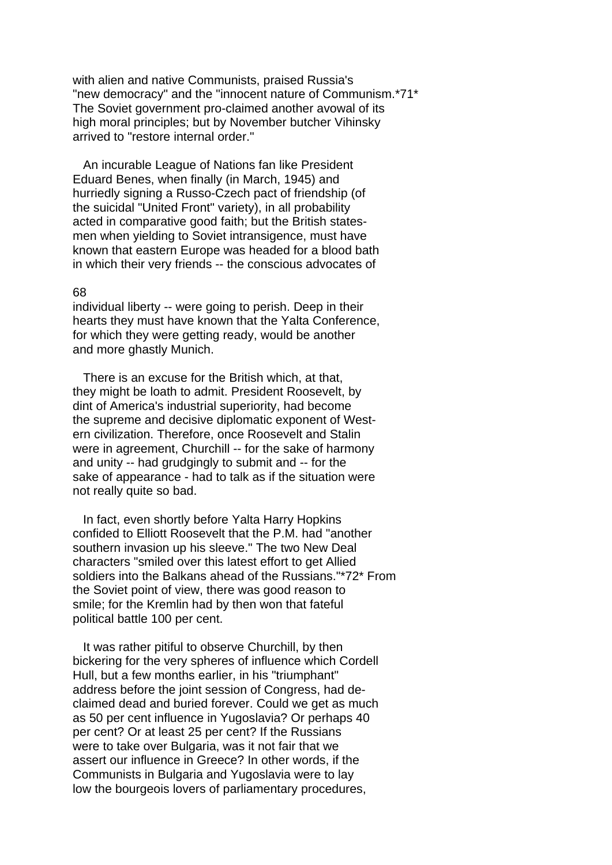with alien and native Communists, praised Russia's "new democracy" and the "innocent nature of Communism.\*71\* The Soviet government pro-claimed another avowal of its high moral principles; but by November butcher Vihinsky arrived to "restore internal order."

 An incurable League of Nations fan like President Eduard Benes, when finally (in March, 1945) and hurriedly signing a Russo-Czech pact of friendship (of the suicidal "United Front" variety), in all probability acted in comparative good faith; but the British statesmen when yielding to Soviet intransigence, must have known that eastern Europe was headed for a blood bath in which their very friends -- the conscious advocates of

#### 68

individual liberty -- were going to perish. Deep in their hearts they must have known that the Yalta Conference, for which they were getting ready, would be another and more ghastly Munich.

 There is an excuse for the British which, at that, they might be loath to admit. President Roosevelt, by dint of America's industrial superiority, had become the supreme and decisive diplomatic exponent of Western civilization. Therefore, once Roosevelt and Stalin were in agreement, Churchill -- for the sake of harmony and unity -- had grudgingly to submit and -- for the sake of appearance - had to talk as if the situation were not really quite so bad.

 In fact, even shortly before Yalta Harry Hopkins confided to Elliott Roosevelt that the P.M. had "another southern invasion up his sleeve." The two New Deal characters "smiled over this latest effort to get Allied soldiers into the Balkans ahead of the Russians."\*72\* From the Soviet point of view, there was good reason to smile; for the Kremlin had by then won that fateful political battle 100 per cent.

 It was rather pitiful to observe Churchill, by then bickering for the very spheres of influence which Cordell Hull, but a few months earlier, in his "triumphant" address before the joint session of Congress, had declaimed dead and buried forever. Could we get as much as 50 per cent influence in Yugoslavia? Or perhaps 40 per cent? Or at least 25 per cent? If the Russians were to take over Bulgaria, was it not fair that we assert our influence in Greece? In other words, if the Communists in Bulgaria and Yugoslavia were to lay low the bourgeois lovers of parliamentary procedures,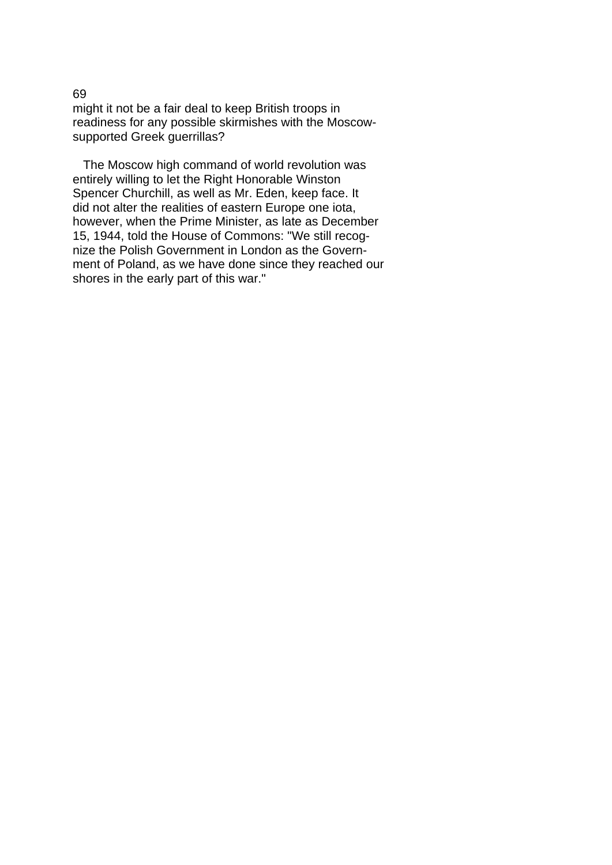might it not be a fair deal to keep British troops in readiness for any possible skirmishes with the Moscowsupported Greek guerrillas?

 The Moscow high command of world revolution was entirely willing to let the Right Honorable Winston Spencer Churchill, as well as Mr. Eden, keep face. It did not alter the realities of eastern Europe one iota, however, when the Prime Minister, as late as December 15, 1944, told the House of Commons: "We still recognize the Polish Government in London as the Government of Poland, as we have done since they reached our shores in the early part of this war."

#### 69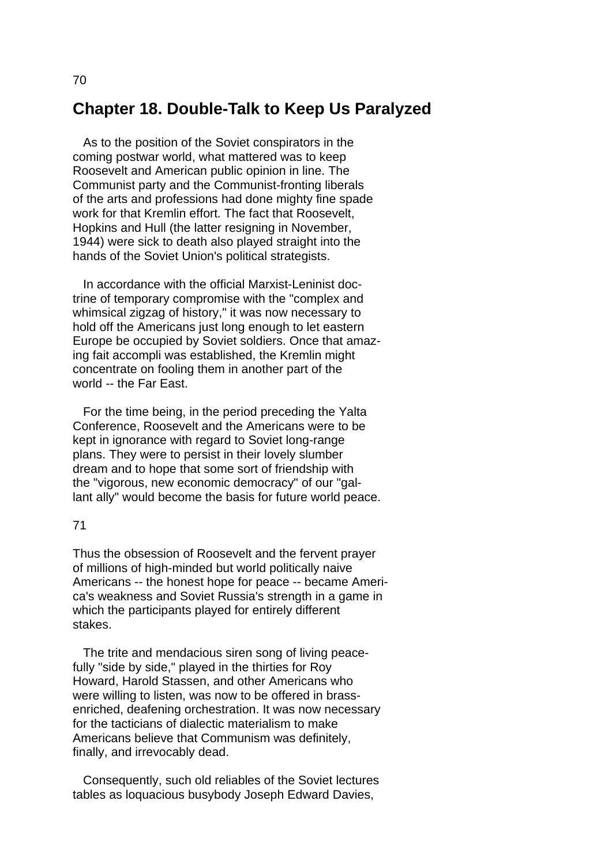## **Chapter 18. Double-Talk to Keep Us Paralyzed**

 As to the position of the Soviet conspirators in the coming postwar world, what mattered was to keep Roosevelt and American public opinion in line. The Communist party and the Communist-fronting liberals of the arts and professions had done mighty fine spade work for that Kremlin effort. The fact that Roosevelt, Hopkins and Hull (the latter resigning in November, 1944) were sick to death also played straight into the hands of the Soviet Union's political strategists.

 In accordance with the official Marxist-Leninist doctrine of temporary compromise with the "complex and whimsical zigzag of history," it was now necessary to hold off the Americans just long enough to let eastern Europe be occupied by Soviet soldiers. Once that amazing fait accompli was established, the Kremlin might concentrate on fooling them in another part of the world -- the Far East.

 For the time being, in the period preceding the Yalta Conference, Roosevelt and the Americans were to be kept in ignorance with regard to Soviet long-range plans. They were to persist in their lovely slumber dream and to hope that some sort of friendship with the "vigorous, new economic democracy" of our "gallant ally" would become the basis for future world peace.

### 71

Thus the obsession of Roosevelt and the fervent prayer of millions of high-minded but world politically naive Americans -- the honest hope for peace -- became America's weakness and Soviet Russia's strength in a game in which the participants played for entirely different stakes.

 The trite and mendacious siren song of living peacefully "side by side," played in the thirties for Roy Howard, Harold Stassen, and other Americans who were willing to listen, was now to be offered in brassenriched, deafening orchestration. It was now necessary for the tacticians of dialectic materialism to make Americans believe that Communism was definitely, finally, and irrevocably dead.

 Consequently, such old reliables of the Soviet lectures tables as loquacious busybody Joseph Edward Davies,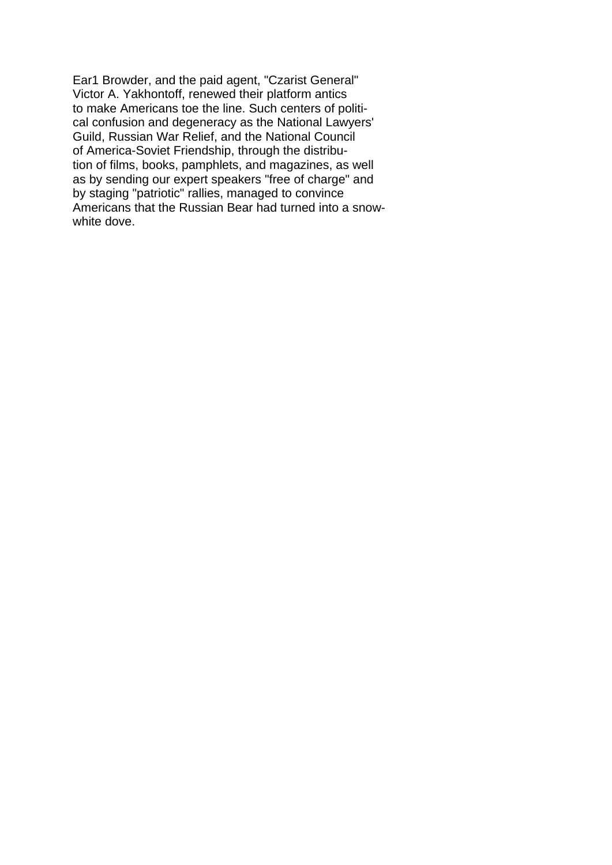Ear1 Browder, and the paid agent, "Czarist General" Victor A. Yakhontoff, renewed their platform antics to make Americans toe the line. Such centers of political confusion and degeneracy as the National Lawyers' Guild, Russian War Relief, and the National Council of America-Soviet Friendship, through the distribution of films, books, pamphlets, and magazines, as well as by sending our expert speakers "free of charge" and by staging "patriotic" rallies, managed to convince Americans that the Russian Bear had turned into a snowwhite dove.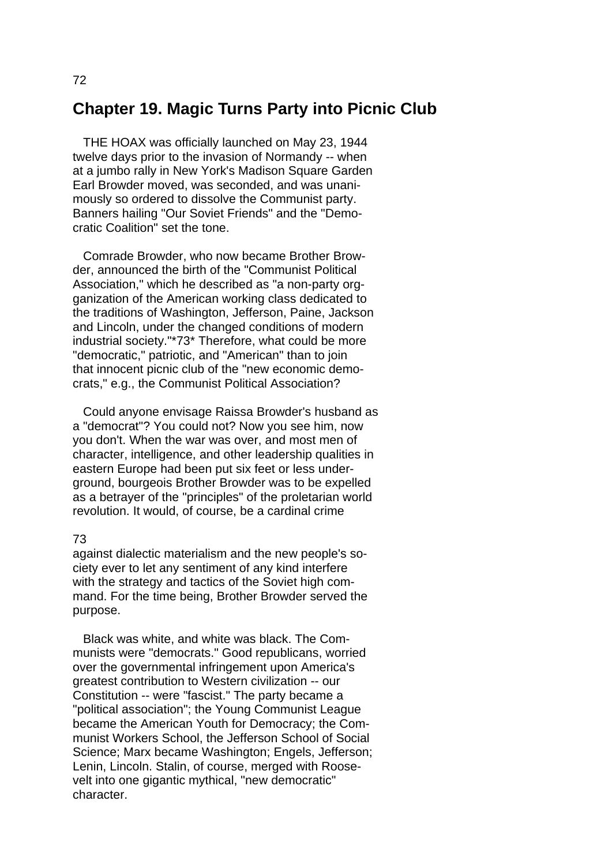## **Chapter 19. Magic Turns Party into Picnic Club**

 THE HOAX was officially launched on May 23, 1944 twelve days prior to the invasion of Normandy -- when at a jumbo rally in New York's Madison Square Garden Earl Browder moved, was seconded, and was unanimously so ordered to dissolve the Communist party. Banners hailing "Our Soviet Friends" and the "Democratic Coalition" set the tone.

 Comrade Browder, who now became Brother Browder, announced the birth of the "Communist Political Association," which he described as "a non-party orgganization of the American working class dedicated to the traditions of Washington, Jefferson, Paine, Jackson and Lincoln, under the changed conditions of modern industrial society."\*73\* Therefore, what could be more "democratic," patriotic, and "American" than to join that innocent picnic club of the "new economic democrats," e.g., the Communist Political Association?

 Could anyone envisage Raissa Browder's husband as a "democrat"? You could not? Now you see him, now you don't. When the war was over, and most men of character, intelligence, and other leadership qualities in eastern Europe had been put six feet or less underground, bourgeois Brother Browder was to be expelled as a betrayer of the "principles" of the proletarian world revolution. It would, of course, be a cardinal crime

### 73

against dialectic materialism and the new people's society ever to let any sentiment of any kind interfere with the strategy and tactics of the Soviet high command. For the time being, Brother Browder served the purpose.

 Black was white, and white was black. The Communists were "democrats." Good republicans, worried over the governmental infringement upon America's greatest contribution to Western civilization -- our Constitution -- were "fascist." The party became a "political association"; the Young Communist League became the American Youth for Democracy; the Communist Workers School, the Jefferson School of Social Science; Marx became Washington; Engels, Jefferson; Lenin, Lincoln. Stalin, of course, merged with Roosevelt into one gigantic mythical, "new democratic" character.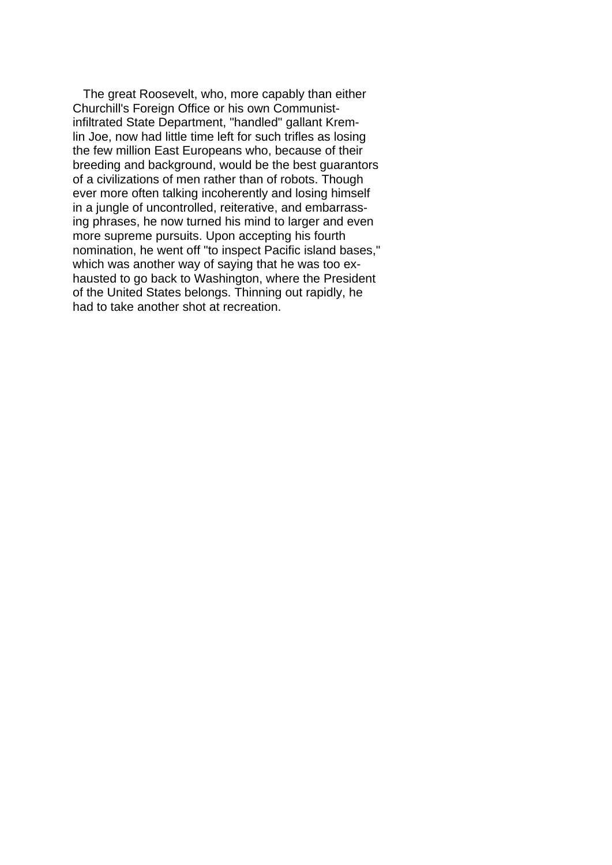The great Roosevelt, who, more capably than either Churchill's Foreign Office or his own Communistinfiltrated State Department, "handled" gallant Kremlin Joe, now had little time left for such trifles as losing the few million East Europeans who, because of their breeding and background, would be the best guarantors of a civilizations of men rather than of robots. Though ever more often talking incoherently and losing himself in a jungle of uncontrolled, reiterative, and embarrassing phrases, he now turned his mind to larger and even more supreme pursuits. Upon accepting his fourth nomination, he went off "to inspect Pacific island bases," which was another way of saying that he was too exhausted to go back to Washington, where the President of the United States belongs. Thinning out rapidly, he had to take another shot at recreation.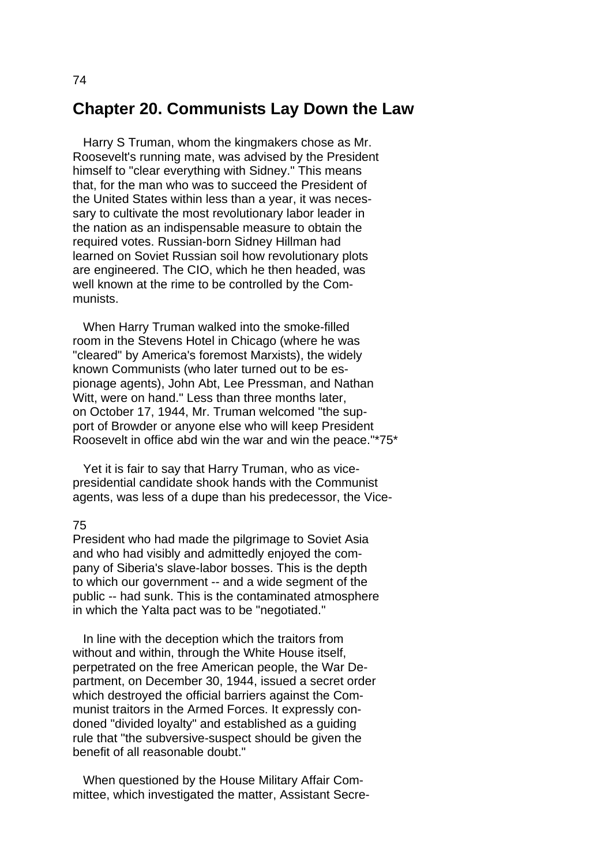## **Chapter 20. Communists Lay Down the Law**

 Harry S Truman, whom the kingmakers chose as Mr. Roosevelt's running mate, was advised by the President himself to "clear everything with Sidney." This means that, for the man who was to succeed the President of the United States within less than a year, it was necessary to cultivate the most revolutionary labor leader in the nation as an indispensable measure to obtain the required votes. Russian-born Sidney Hillman had learned on Soviet Russian soil how revolutionary plots are engineered. The CIO, which he then headed, was well known at the rime to be controlled by the Communists.

 When Harry Truman walked into the smoke-filled room in the Stevens Hotel in Chicago (where he was "cleared" by America's foremost Marxists), the widely known Communists (who later turned out to be espionage agents), John Abt, Lee Pressman, and Nathan Witt, were on hand." Less than three months later, on October 17, 1944, Mr. Truman welcomed "the support of Browder or anyone else who will keep President Roosevelt in office abd win the war and win the peace."\*75\*

 Yet it is fair to say that Harry Truman, who as vicepresidential candidate shook hands with the Communist agents, was less of a dupe than his predecessor, the Vice-

### 75

President who had made the pilgrimage to Soviet Asia and who had visibly and admittedly enjoyed the company of Siberia's slave-labor bosses. This is the depth to which our government -- and a wide segment of the public -- had sunk. This is the contaminated atmosphere in which the Yalta pact was to be "negotiated."

 In line with the deception which the traitors from without and within, through the White House itself, perpetrated on the free American people, the War Department, on December 30, 1944, issued a secret order which destroyed the official barriers against the Communist traitors in the Armed Forces. It expressly condoned "divided loyalty" and established as a guiding rule that "the subversive-suspect should be given the benefit of all reasonable doubt."

 When questioned by the House Military Affair Committee, which investigated the matter, Assistant Secre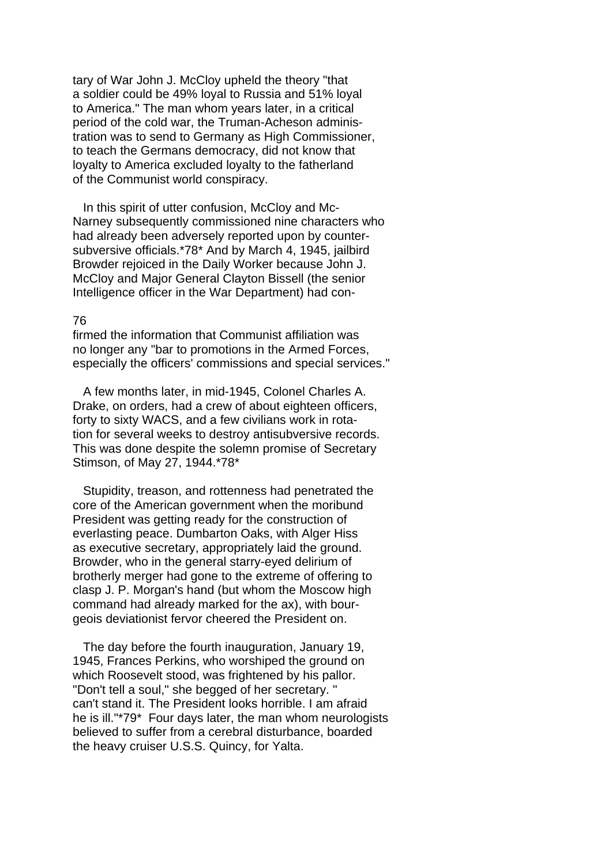tary of War John J. McCloy upheld the theory "that a soldier could be 49% loyal to Russia and 51% loyal to America." The man whom years later, in a critical period of the cold war, the Truman-Acheson administration was to send to Germany as High Commissioner, to teach the Germans democracy, did not know that loyalty to America excluded loyalty to the fatherland of the Communist world conspiracy.

 In this spirit of utter confusion, McCloy and Mc-Narney subsequently commissioned nine characters who had already been adversely reported upon by countersubversive officials.\*78\* And by March 4, 1945, jailbird Browder rejoiced in the Daily Worker because John J. McCloy and Major General Clayton Bissell (the senior Intelligence officer in the War Department) had con-

### 76

firmed the information that Communist affiliation was no longer any "bar to promotions in the Armed Forces, especially the officers' commissions and special services."

 A few months later, in mid-1945, Colonel Charles A. Drake, on orders, had a crew of about eighteen officers, forty to sixty WACS, and a few civilians work in rotation for several weeks to destroy antisubversive records. This was done despite the solemn promise of Secretary Stimson, of May 27, 1944.\*78\*

 Stupidity, treason, and rottenness had penetrated the core of the American government when the moribund President was getting ready for the construction of everlasting peace. Dumbarton Oaks, with Alger Hiss as executive secretary, appropriately laid the ground. Browder, who in the general starry-eyed delirium of brotherly merger had gone to the extreme of offering to clasp J. P. Morgan's hand (but whom the Moscow high command had already marked for the ax), with bourgeois deviationist fervor cheered the President on.

 The day before the fourth inauguration, January 19, 1945, Frances Perkins, who worshiped the ground on which Roosevelt stood, was frightened by his pallor. "Don't tell a soul," she begged of her secretary. " can't stand it. The President looks horrible. I am afraid he is ill."\*79\* Four days later, the man whom neurologists believed to suffer from a cerebral disturbance, boarded the heavy cruiser U.S.S. Quincy, for Yalta.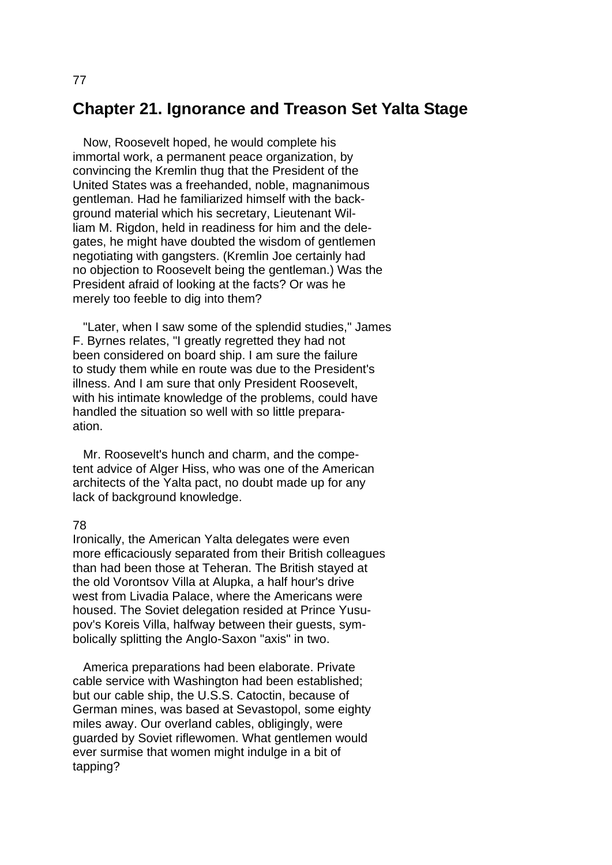# **Chapter 21. Ignorance and Treason Set Yalta Stage**

 Now, Roosevelt hoped, he would complete his immortal work, a permanent peace organization, by convincing the Kremlin thug that the President of the United States was a freehanded, noble, magnanimous gentleman. Had he familiarized himself with the background material which his secretary, Lieutenant William M. Rigdon, held in readiness for him and the delegates, he might have doubted the wisdom of gentlemen negotiating with gangsters. (Kremlin Joe certainly had no objection to Roosevelt being the gentleman.) Was the President afraid of looking at the facts? Or was he merely too feeble to dig into them?

 "Later, when I saw some of the splendid studies," James F. Byrnes relates, "I greatly regretted they had not been considered on board ship. I am sure the failure to study them while en route was due to the President's illness. And I am sure that only President Roosevelt, with his intimate knowledge of the problems, could have handled the situation so well with so little preparaation.

 Mr. Roosevelt's hunch and charm, and the competent advice of Alger Hiss, who was one of the American architects of the Yalta pact, no doubt made up for any lack of background knowledge.

### 78

Ironically, the American Yalta delegates were even more efficaciously separated from their British colleagues than had been those at Teheran. The British stayed at the old Vorontsov Villa at Alupka, a half hour's drive west from Livadia Palace, where the Americans were housed. The Soviet delegation resided at Prince Yusupov's Koreis Villa, halfway between their guests, symbolically splitting the Anglo-Saxon "axis" in two.

 America preparations had been elaborate. Private cable service with Washington had been established; but our cable ship, the U.S.S. Catoctin, because of German mines, was based at Sevastopol, some eighty miles away. Our overland cables, obligingly, were guarded by Soviet riflewomen. What gentlemen would ever surmise that women might indulge in a bit of tapping?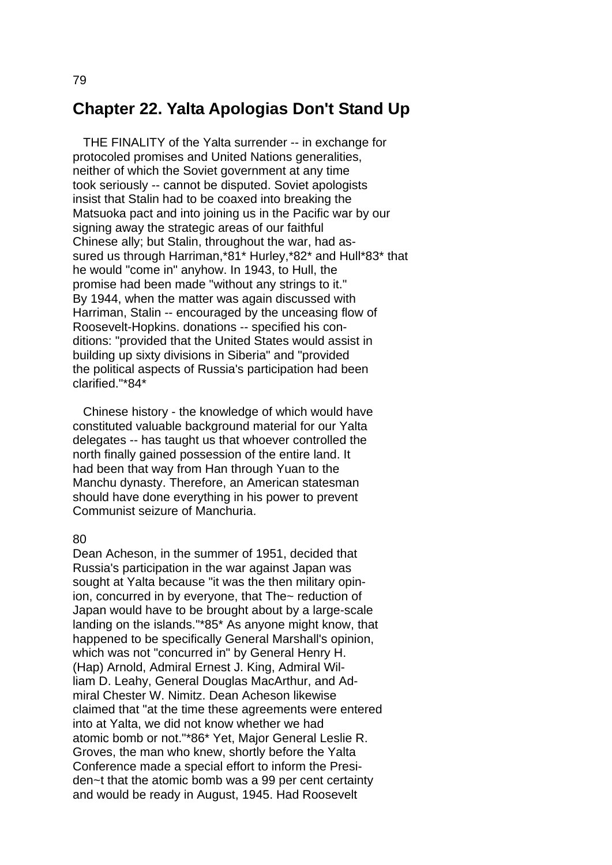## **Chapter 22. Yalta Apologias Don't Stand Up**

 THE FINALITY of the Yalta surrender -- in exchange for protocoled promises and United Nations generalities, neither of which the Soviet government at any time took seriously -- cannot be disputed. Soviet apologists insist that Stalin had to be coaxed into breaking the Matsuoka pact and into joining us in the Pacific war by our signing away the strategic areas of our faithful Chinese ally; but Stalin, throughout the war, had assured us through Harriman,\*81\* Hurley,\*82\* and Hull\*83\* that he would "come in" anyhow. In 1943, to Hull, the promise had been made "without any strings to it." By 1944, when the matter was again discussed with Harriman, Stalin -- encouraged by the unceasing flow of Roosevelt-Hopkins. donations -- specified his conditions: "provided that the United States would assist in building up sixty divisions in Siberia" and "provided the political aspects of Russia's participation had been clarified."\*84\*

 Chinese history - the knowledge of which would have constituted valuable background material for our Yalta delegates -- has taught us that whoever controlled the north finally gained possession of the entire land. It had been that way from Han through Yuan to the Manchu dynasty. Therefore, an American statesman should have done everything in his power to prevent Communist seizure of Manchuria.

#### 80

Dean Acheson, in the summer of 1951, decided that Russia's participation in the war against Japan was sought at Yalta because "it was the then military opinion, concurred in by everyone, that The~ reduction of Japan would have to be brought about by a large-scale landing on the islands."\*85\* As anyone might know, that happened to be specifically General Marshall's opinion, which was not "concurred in" by General Henry H. (Hap) Arnold, Admiral Ernest J. King, Admiral William D. Leahy, General Douglas MacArthur, and Admiral Chester W. Nimitz. Dean Acheson likewise claimed that "at the time these agreements were entered into at Yalta, we did not know whether we had atomic bomb or not."\*86\* Yet, Major General Leslie R. Groves, the man who knew, shortly before the Yalta Conference made a special effort to inform the Presiden~t that the atomic bomb was a 99 per cent certainty and would be ready in August, 1945. Had Roosevelt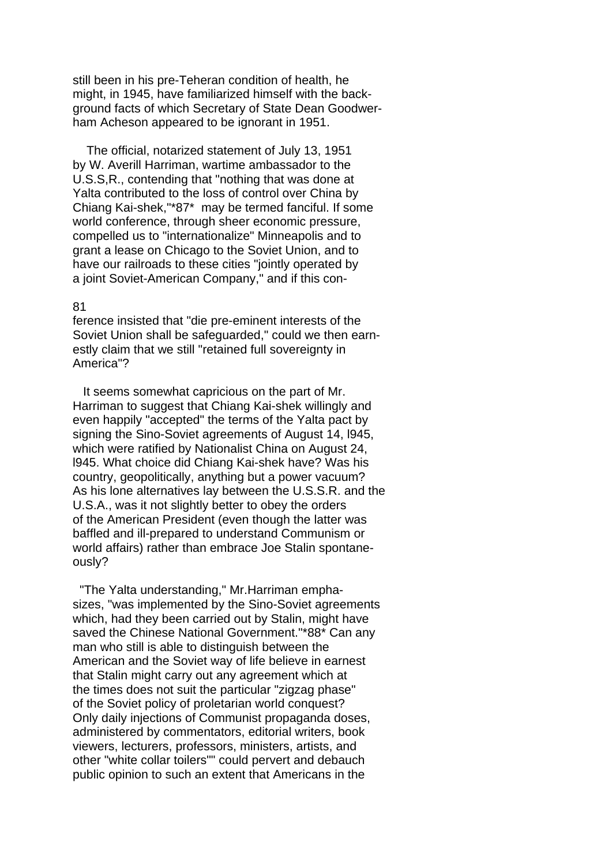still been in his pre-Teheran condition of health, he might, in 1945, have familiarized himself with the background facts of which Secretary of State Dean Goodwerham Acheson appeared to be ignorant in 1951.

 The official, notarized statement of July 13, 1951 by W. Averill Harriman, wartime ambassador to the U.S.S,R., contending that "nothing that was done at Yalta contributed to the loss of control over China by Chiang Kai-shek,"\*87\* may be termed fanciful. If some world conference, through sheer economic pressure, compelled us to "internationalize" Minneapolis and to grant a lease on Chicago to the Soviet Union, and to have our railroads to these cities "jointly operated by a joint Soviet-American Company," and if this con-

#### 81

ference insisted that "die pre-eminent interests of the Soviet Union shall be safeguarded," could we then earnestly claim that we still "retained full sovereignty in America"?

 It seems somewhat capricious on the part of Mr. Harriman to suggest that Chiang Kai-shek willingly and even happily "accepted" the terms of the Yalta pact by signing the Sino-Soviet agreements of August 14, l945, which were ratified by Nationalist China on August 24, l945. What choice did Chiang Kai-shek have? Was his country, geopolitically, anything but a power vacuum? As his lone alternatives lay between the U.S.S.R. and the U.S.A., was it not slightly better to obey the orders of the American President (even though the latter was baffled and ill-prepared to understand Communism or world affairs) rather than embrace Joe Stalin spontaneously?

 "The Yalta understanding," Mr.Harriman emphasizes, "was implemented by the Sino-Soviet agreements which, had they been carried out by Stalin, might have saved the Chinese National Government."\*88\* Can any man who still is able to distinguish between the American and the Soviet way of life believe in earnest that Stalin might carry out any agreement which at the times does not suit the particular "zigzag phase" of the Soviet policy of proletarian world conquest? Only daily injections of Communist propaganda doses, administered by commentators, editorial writers, book viewers, lecturers, professors, ministers, artists, and other "white collar toilers"" could pervert and debauch public opinion to such an extent that Americans in the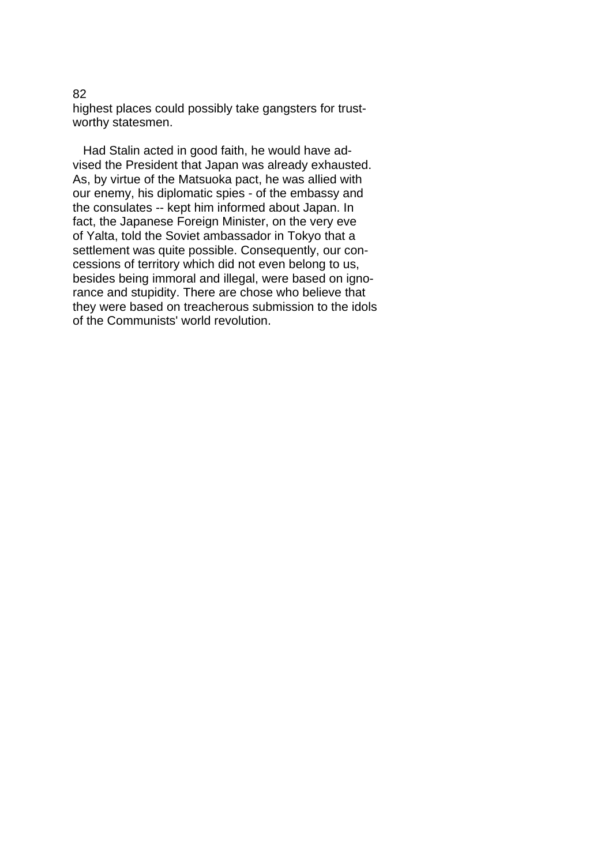## highest places could possibly take gangsters for trustworthy statesmen.

 Had Stalin acted in good faith, he would have advised the President that Japan was already exhausted. As, by virtue of the Matsuoka pact, he was allied with our enemy, his diplomatic spies - of the embassy and the consulates -- kept him informed about Japan. In fact, the Japanese Foreign Minister, on the very eve of Yalta, told the Soviet ambassador in Tokyo that a settlement was quite possible. Consequently, our concessions of territory which did not even belong to us, besides being immoral and illegal, were based on ignorance and stupidity. There are chose who believe that they were based on treacherous submission to the idols of the Communists' world revolution.

#### 82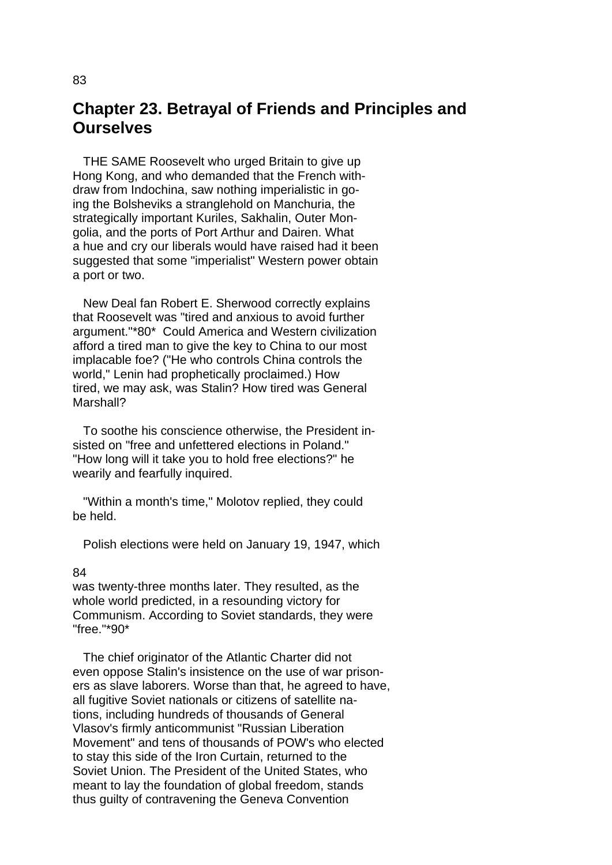## **Chapter 23. Betrayal of Friends and Principles and Ourselves**

 THE SAME Roosevelt who urged Britain to give up Hong Kong, and who demanded that the French withdraw from Indochina, saw nothing imperialistic in going the Bolsheviks a stranglehold on Manchuria, the strategically important Kuriles, Sakhalin, Outer Mongolia, and the ports of Port Arthur and Dairen. What a hue and cry our liberals would have raised had it been suggested that some "imperialist" Western power obtain a port or two.

 New Deal fan Robert E. Sherwood correctly explains that Roosevelt was "tired and anxious to avoid further argument."\*80\* Could America and Western civilization afford a tired man to give the key to China to our most implacable foe? ("He who controls China controls the world," Lenin had prophetically proclaimed.) How tired, we may ask, was Stalin? How tired was General Marshall?

 To soothe his conscience otherwise, the President insisted on "free and unfettered elections in Poland." "How long will it take you to hold free elections?" he wearily and fearfully inquired.

 "Within a month's time," Molotov replied, they could be held.

Polish elections were held on January 19, 1947, which

#### 84

was twenty-three months later. They resulted, as the whole world predicted, in a resounding victory for Communism. According to Soviet standards, they were "free."\*90\*

The chief originator of the Atlantic Charter did not even oppose Stalin's insistence on the use of war prisoners as slave laborers. Worse than that, he agreed to have, all fugitive Soviet nationals or citizens of satellite nations, including hundreds of thousands of General Vlasov's firmly anticommunist "Russian Liberation Movement" and tens of thousands of POW's who elected to stay this side of the Iron Curtain, returned to the Soviet Union. The President of the United States, who meant to lay the foundation of global freedom, stands thus guilty of contravening the Geneva Convention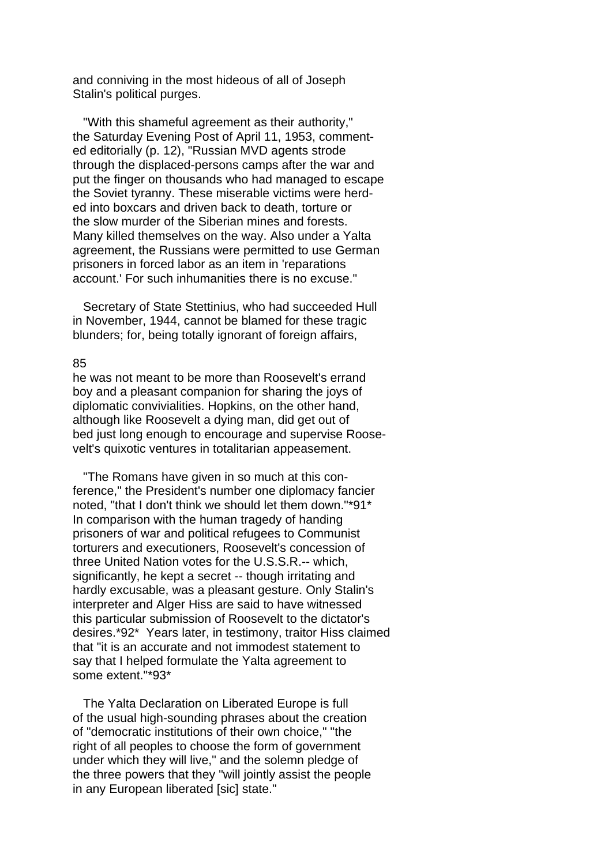and conniving in the most hideous of all of Joseph Stalin's political purges.

 "With this shameful agreement as their authority," the Saturday Evening Post of April 11, 1953, commented editorially (p. 12), "Russian MVD agents strode through the displaced-persons camps after the war and put the finger on thousands who had managed to escape the Soviet tyranny. These miserable victims were herded into boxcars and driven back to death, torture or the slow murder of the Siberian mines and forests. Many killed themselves on the way. Also under a Yalta agreement, the Russians were permitted to use German prisoners in forced labor as an item in 'reparations account.' For such inhumanities there is no excuse."

 Secretary of State Stettinius, who had succeeded Hull in November, 1944, cannot be blamed for these tragic blunders; for, being totally ignorant of foreign affairs,

#### 85

he was not meant to be more than Roosevelt's errand boy and a pleasant companion for sharing the joys of diplomatic convivialities. Hopkins, on the other hand, although like Roosevelt a dying man, did get out of bed just long enough to encourage and supervise Roosevelt's quixotic ventures in totalitarian appeasement.

 "The Romans have given in so much at this conference," the President's number one diplomacy fancier noted, "that I don't think we should let them down."\*91\* In comparison with the human tragedy of handing prisoners of war and political refugees to Communist torturers and executioners, Roosevelt's concession of three United Nation votes for the U.S.S.R.-- which, significantly, he kept a secret -- though irritating and hardly excusable, was a pleasant gesture. Only Stalin's interpreter and Alger Hiss are said to have witnessed this particular submission of Roosevelt to the dictator's desires.\*92\* Years later, in testimony, traitor Hiss claimed that "it is an accurate and not immodest statement to say that I helped formulate the Yalta agreement to some extent."\*93\*

 The Yalta Declaration on Liberated Europe is full of the usual high-sounding phrases about the creation of "democratic institutions of their own choice," "the right of all peoples to choose the form of government under which they will live," and the solemn pledge of the three powers that they "will jointly assist the people in any European liberated [sic] state."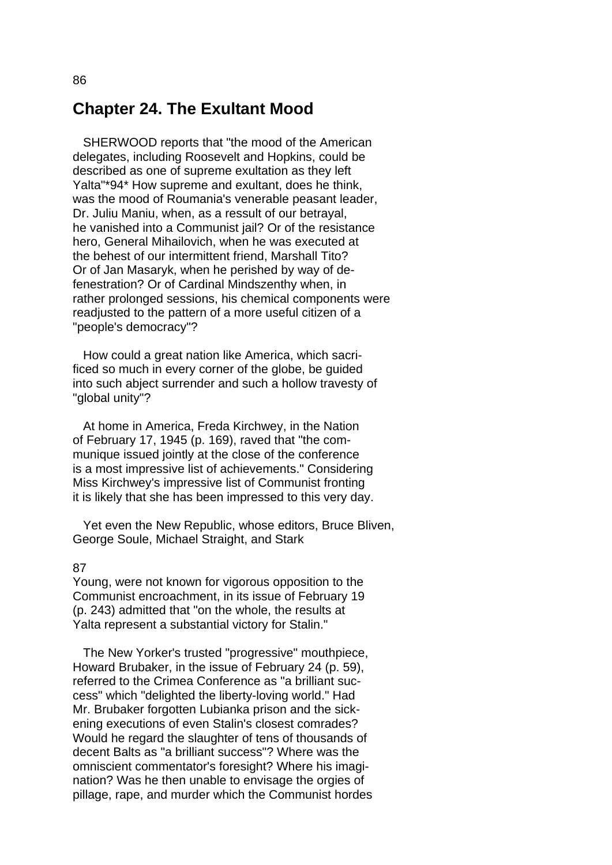### **Chapter 24. The Exultant Mood**

 SHERWOOD reports that "the mood of the American delegates, including Roosevelt and Hopkins, could be described as one of supreme exultation as they left Yalta"\*94\* How supreme and exultant, does he think, was the mood of Roumania's venerable peasant leader, Dr. Juliu Maniu, when, as a ressult of our betrayal, he vanished into a Communist jail? Or of the resistance hero, General Mihailovich, when he was executed at the behest of our intermittent friend, Marshall Tito? Or of Jan Masaryk, when he perished by way of defenestration? Or of Cardinal Mindszenthy when, in rather prolonged sessions, his chemical components were readjusted to the pattern of a more useful citizen of a "people's democracy"?

 How could a great nation like America, which sacrificed so much in every corner of the globe, be guided into such abject surrender and such a hollow travesty of "global unity"?

 At home in America, Freda Kirchwey, in the Nation of February 17, 1945 (p. 169), raved that "the communique issued jointly at the close of the conference is a most impressive list of achievements." Considering Miss Kirchwey's impressive list of Communist fronting it is likely that she has been impressed to this very day.

 Yet even the New Republic, whose editors, Bruce Bliven, George Soule, Michael Straight, and Stark

### 87

Young, were not known for vigorous opposition to the Communist encroachment, in its issue of February 19 (p. 243) admitted that "on the whole, the results at Yalta represent a substantial victory for Stalin."

 The New Yorker's trusted "progressive" mouthpiece, Howard Brubaker, in the issue of February 24 (p. 59), referred to the Crimea Conference as "a brilliant success" which "delighted the liberty-loving world." Had Mr. Brubaker forgotten Lubianka prison and the sickening executions of even Stalin's closest comrades? Would he regard the slaughter of tens of thousands of decent Balts as "a brilliant success"? Where was the omniscient commentator's foresight? Where his imagination? Was he then unable to envisage the orgies of pillage, rape, and murder which the Communist hordes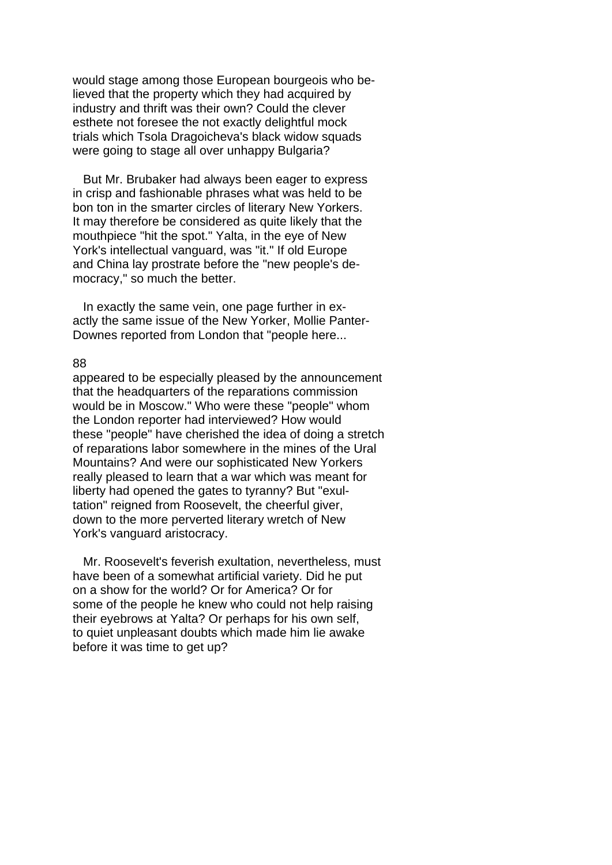would stage among those European bourgeois who believed that the property which they had acquired by industry and thrift was their own? Could the clever esthete not foresee the not exactly delightful mock trials which Tsola Dragoicheva's black widow squads were going to stage all over unhappy Bulgaria?

 But Mr. Brubaker had always been eager to express in crisp and fashionable phrases what was held to be bon ton in the smarter circles of literary New Yorkers. It may therefore be considered as quite likely that the mouthpiece "hit the spot." Yalta, in the eye of New York's intellectual vanguard, was "it." If old Europe and China lay prostrate before the "new people's democracy," so much the better.

 In exactly the same vein, one page further in exactly the same issue of the New Yorker, Mollie Panter-Downes reported from London that "people here...

#### 88

appeared to be especially pleased by the announcement that the headquarters of the reparations commission would be in Moscow." Who were these "people" whom the London reporter had interviewed? How would these "people" have cherished the idea of doing a stretch of reparations labor somewhere in the mines of the Ural Mountains? And were our sophisticated New Yorkers really pleased to learn that a war which was meant for liberty had opened the gates to tyranny? But "exultation" reigned from Roosevelt, the cheerful giver, down to the more perverted literary wretch of New York's vanguard aristocracy.

 Mr. Roosevelt's feverish exultation, nevertheless, must have been of a somewhat artificial variety. Did he put on a show for the world? Or for America? Or for some of the people he knew who could not help raising their eyebrows at Yalta? Or perhaps for his own self, to quiet unpleasant doubts which made him lie awake before it was time to get up?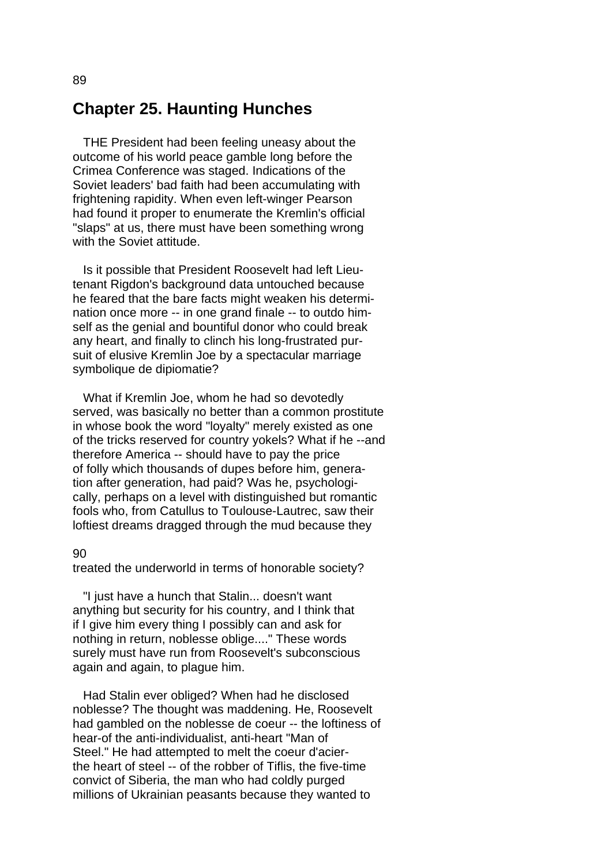## **Chapter 25. Haunting Hunches**

 THE President had been feeling uneasy about the outcome of his world peace gamble long before the Crimea Conference was staged. Indications of the Soviet leaders' bad faith had been accumulating with frightening rapidity. When even left-winger Pearson had found it proper to enumerate the Kremlin's official "slaps" at us, there must have been something wrong with the Soviet attitude.

 Is it possible that President Roosevelt had left Lieutenant Rigdon's background data untouched because he feared that the bare facts might weaken his determination once more -- in one grand finale -- to outdo himself as the genial and bountiful donor who could break any heart, and finally to clinch his long-frustrated pursuit of elusive Kremlin Joe by a spectacular marriage symbolique de dipiomatie?

 What if Kremlin Joe, whom he had so devotedly served, was basically no better than a common prostitute in whose book the word "loyalty" merely existed as one of the tricks reserved for country yokels? What if he --and therefore America -- should have to pay the price of folly which thousands of dupes before him, generation after generation, had paid? Was he, psychologically, perhaps on a level with distinguished but romantic fools who, from Catullus to Toulouse-Lautrec, saw their loftiest dreams dragged through the mud because they

#### $90$

treated the underworld in terms of honorable society?

 "I just have a hunch that Stalin... doesn't want anything but security for his country, and I think that if I give him every thing I possibly can and ask for nothing in return, noblesse oblige...." These words surely must have run from Roosevelt's subconscious again and again, to plague him.

 Had Stalin ever obliged? When had he disclosed noblesse? The thought was maddening. He, Roosevelt had gambled on the noblesse de coeur -- the loftiness of hear-of the anti-individualist, anti-heart "Man of Steel." He had attempted to melt the coeur d'acierthe heart of steel -- of the robber of Tiflis, the five-time convict of Siberia, the man who had coldly purged millions of Ukrainian peasants because they wanted to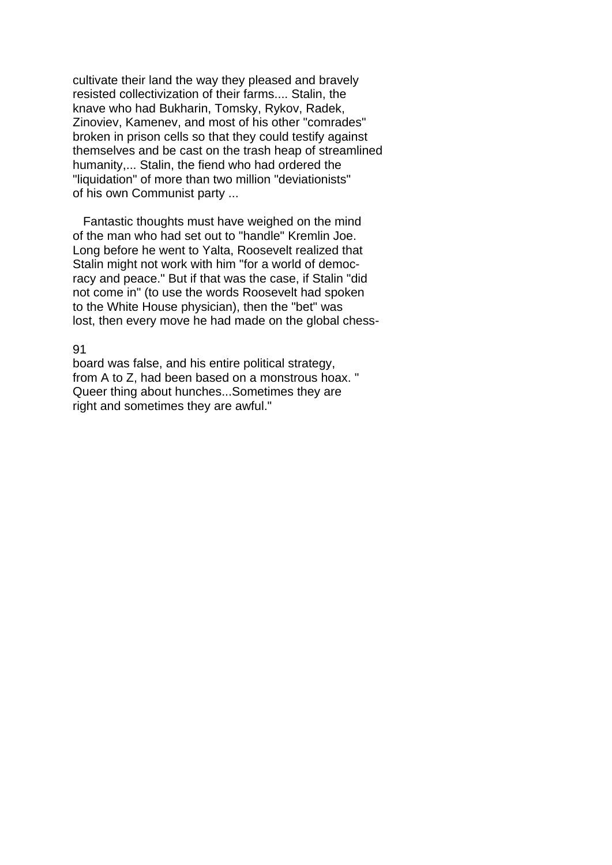cultivate their land the way they pleased and bravely resisted collectivization of their farms.... Stalin, the knave who had Bukharin, Tomsky, Rykov, Radek, Zinoviev, Kamenev, and most of his other "comrades" broken in prison cells so that they could testify against themselves and be cast on the trash heap of streamlined humanity,... Stalin, the fiend who had ordered the "liquidation" of more than two million "deviationists" of his own Communist party ...

 Fantastic thoughts must have weighed on the mind of the man who had set out to "handle" Kremlin Joe. Long before he went to Yalta, Roosevelt realized that Stalin might not work with him "for a world of democracy and peace." But if that was the case, if Stalin "did not come in" (to use the words Roosevelt had spoken to the White House physician), then the "bet" was lost, then every move he had made on the global chess-

91

board was false, and his entire political strategy, from A to Z, had been based on a monstrous hoax. " Queer thing about hunches...Sometimes they are right and sometimes they are awful."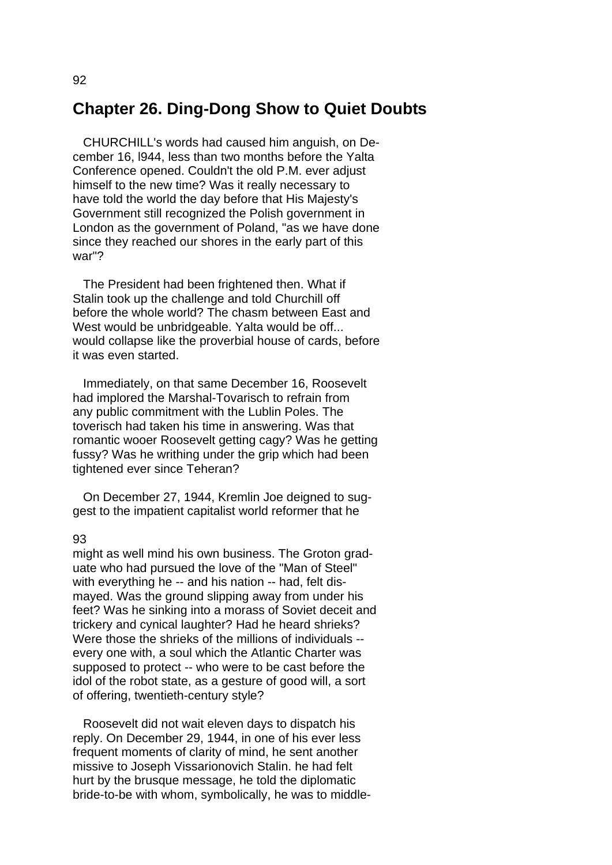## **Chapter 26. Ding-Dong Show to Quiet Doubts**

 CHURCHILL's words had caused him anguish, on December 16, l944, less than two months before the Yalta Conference opened. Couldn't the old P.M. ever adjust himself to the new time? Was it really necessary to have told the world the day before that His Majesty's Government still recognized the Polish government in London as the government of Poland, "as we have done since they reached our shores in the early part of this war"?

 The President had been frightened then. What if Stalin took up the challenge and told Churchill off before the whole world? The chasm between East and West would be unbridgeable. Yalta would be off... would collapse like the proverbial house of cards, before it was even started.

 Immediately, on that same December 16, Roosevelt had implored the Marshal-Tovarisch to refrain from any public commitment with the Lublin Poles. The toverisch had taken his time in answering. Was that romantic wooer Roosevelt getting cagy? Was he getting fussy? Was he writhing under the grip which had been tightened ever since Teheran?

 On December 27, 1944, Kremlin Joe deigned to suggest to the impatient capitalist world reformer that he

#### 93

might as well mind his own business. The Groton graduate who had pursued the love of the "Man of Steel" with everything he -- and his nation -- had, felt dismayed. Was the ground slipping away from under his feet? Was he sinking into a morass of Soviet deceit and trickery and cynical laughter? Had he heard shrieks? Were those the shrieks of the millions of individuals - every one with, a soul which the Atlantic Charter was supposed to protect -- who were to be cast before the idol of the robot state, as a gesture of good will, a sort of offering, twentieth-century style?

 Roosevelt did not wait eleven days to dispatch his reply. On December 29, 1944, in one of his ever less frequent moments of clarity of mind, he sent another missive to Joseph Vissarionovich Stalin. he had felt hurt by the brusque message, he told the diplomatic bride-to-be with whom, symbolically, he was to middle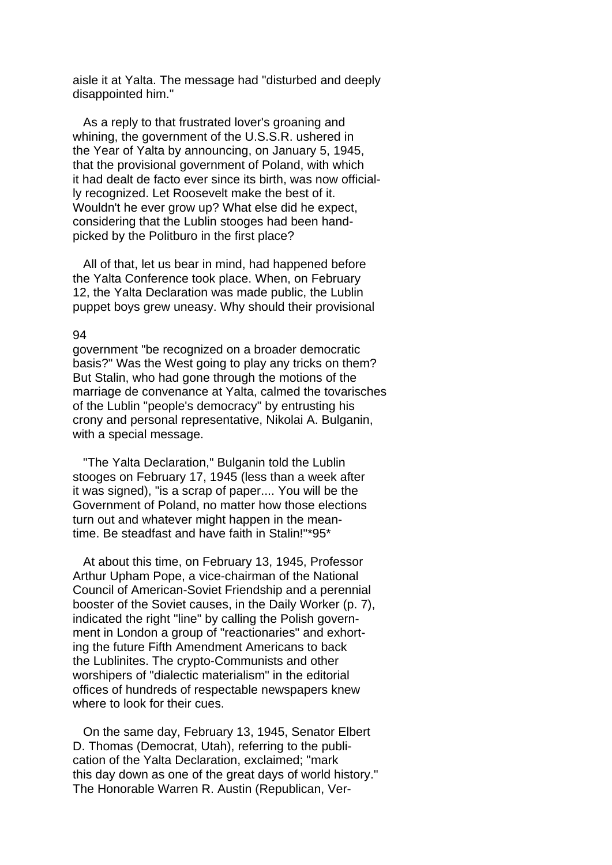aisle it at Yalta. The message had "disturbed and deeply disappointed him."

 As a reply to that frustrated lover's groaning and whining, the government of the U.S.S.R. ushered in the Year of Yalta by announcing, on January 5, 1945, that the provisional government of Poland, with which it had dealt de facto ever since its birth, was now officially recognized. Let Roosevelt make the best of it. Wouldn't he ever grow up? What else did he expect, considering that the Lublin stooges had been handpicked by the Politburo in the first place?

 All of that, let us bear in mind, had happened before the Yalta Conference took place. When, on February 12, the Yalta Declaration was made public, the Lublin puppet boys grew uneasy. Why should their provisional

#### 94

government "be recognized on a broader democratic basis?" Was the West going to play any tricks on them? But Stalin, who had gone through the motions of the marriage de convenance at Yalta, calmed the tovarisches of the Lublin "people's democracy" by entrusting his crony and personal representative, Nikolai A. Bulganin, with a special message.

 "The Yalta Declaration," Bulganin told the Lublin stooges on February 17, 1945 (less than a week after it was signed), "is a scrap of paper.... You will be the Government of Poland, no matter how those elections turn out and whatever might happen in the meantime. Be steadfast and have faith in Stalin!"\*95\*

 At about this time, on February 13, 1945, Professor Arthur Upham Pope, a vice-chairman of the National Council of American-Soviet Friendship and a perennial booster of the Soviet causes, in the Daily Worker (p. 7), indicated the right "line" by calling the Polish government in London a group of "reactionaries" and exhorting the future Fifth Amendment Americans to back the Lublinites. The crypto-Communists and other worshipers of "dialectic materialism" in the editorial offices of hundreds of respectable newspapers knew where to look for their cues.

 On the same day, February 13, 1945, Senator Elbert D. Thomas (Democrat, Utah), referring to the publication of the Yalta Declaration, exclaimed; "mark this day down as one of the great days of world history." The Honorable Warren R. Austin (Republican, Ver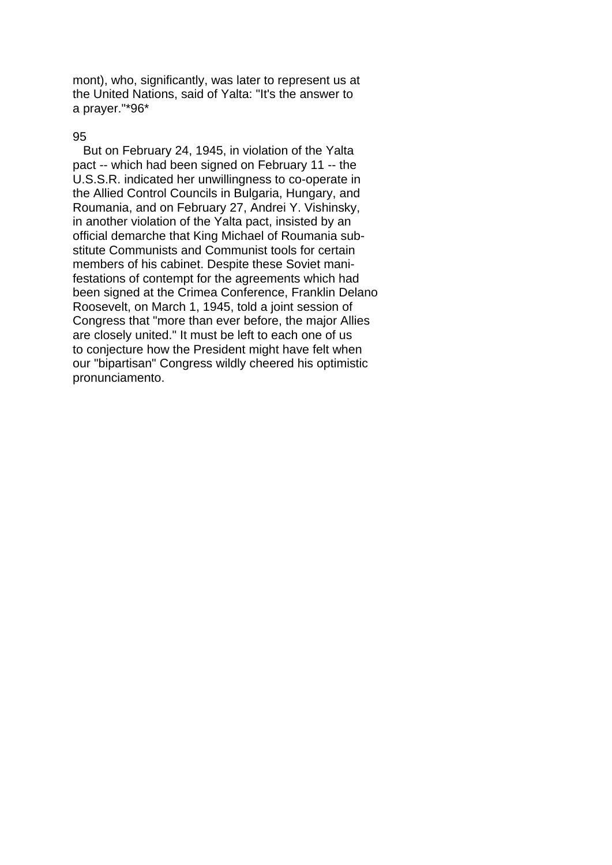mont), who, significantly, was later to represent us at the United Nations, said of Yalta: "It's the answer to a prayer."\*96\*

#### 95

 But on February 24, 1945, in violation of the Yalta pact -- which had been signed on February 11 -- the U.S.S.R. indicated her unwillingness to co-operate in the Allied Control Councils in Bulgaria, Hungary, and Roumania, and on February 27, Andrei Y. Vishinsky, in another violation of the Yalta pact, insisted by an official demarche that King Michael of Roumania substitute Communists and Communist tools for certain members of his cabinet. Despite these Soviet manifestations of contempt for the agreements which had been signed at the Crimea Conference, Franklin Delano Roosevelt, on March 1, 1945, told a joint session of Congress that "more than ever before, the major Allies are closely united." It must be left to each one of us to conjecture how the President might have felt when our "bipartisan" Congress wildly cheered his optimistic pronunciamento.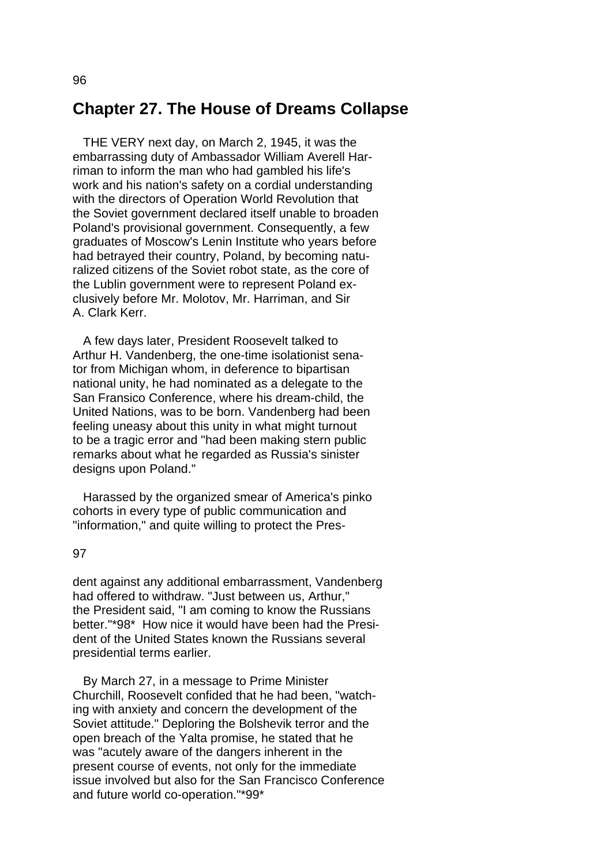## **Chapter 27. The House of Dreams Collapse**

 THE VERY next day, on March 2, 1945, it was the embarrassing duty of Ambassador William Averell Harriman to inform the man who had gambled his life's work and his nation's safety on a cordial understanding with the directors of Operation World Revolution that the Soviet government declared itself unable to broaden Poland's provisional government. Consequently, a few graduates of Moscow's Lenin Institute who years before had betrayed their country, Poland, by becoming naturalized citizens of the Soviet robot state, as the core of the Lublin government were to represent Poland exclusively before Mr. Molotov, Mr. Harriman, and Sir A. Clark Kerr.

 A few days later, President Roosevelt talked to Arthur H. Vandenberg, the one-time isolationist senator from Michigan whom, in deference to bipartisan national unity, he had nominated as a delegate to the San Fransico Conference, where his dream-child, the United Nations, was to be born. Vandenberg had been feeling uneasy about this unity in what might turnout to be a tragic error and "had been making stern public remarks about what he regarded as Russia's sinister designs upon Poland."

 Harassed by the organized smear of America's pinko cohorts in every type of public communication and "information," and quite willing to protect the Pres-

#### 97

dent against any additional embarrassment, Vandenberg had offered to withdraw. "Just between us, Arthur," the President said, "I am coming to know the Russians better."\*98\* How nice it would have been had the President of the United States known the Russians several presidential terms earlier.

 By March 27, in a message to Prime Minister Churchill, Roosevelt confided that he had been, "watching with anxiety and concern the development of the Soviet attitude." Deploring the Bolshevik terror and the open breach of the Yalta promise, he stated that he was "acutely aware of the dangers inherent in the present course of events, not only for the immediate issue involved but also for the San Francisco Conference and future world co-operation."\*99\*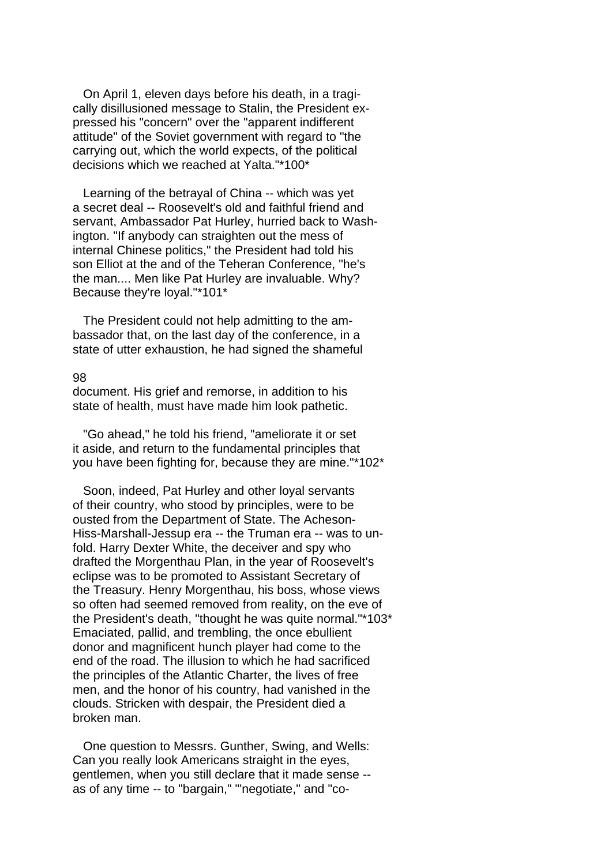On April 1, eleven days before his death, in a tragically disillusioned message to Stalin, the President expressed his "concern" over the "apparent indifferent attitude" of the Soviet government with regard to "the carrying out, which the world expects, of the political decisions which we reached at Yalta."\*100\*

 Learning of the betrayal of China -- which was yet a secret deal -- Roosevelt's old and faithful friend and servant, Ambassador Pat Hurley, hurried back to Washington. "If anybody can straighten out the mess of internal Chinese politics," the President had told his son Elliot at the and of the Teheran Conference, "he's the man.... Men like Pat Hurley are invaluable. Why? Because they're loyal."\*101\*

 The President could not help admitting to the ambassador that, on the last day of the conference, in a state of utter exhaustion, he had signed the shameful

#### 98

document. His grief and remorse, in addition to his state of health, must have made him look pathetic.

 "Go ahead," he told his friend, "ameliorate it or set it aside, and return to the fundamental principles that you have been fighting for, because they are mine."\*102\*

 Soon, indeed, Pat Hurley and other loyal servants of their country, who stood by principles, were to be ousted from the Department of State. The Acheson-Hiss-Marshall-Jessup era -- the Truman era -- was to unfold. Harry Dexter White, the deceiver and spy who drafted the Morgenthau Plan, in the year of Roosevelt's eclipse was to be promoted to Assistant Secretary of the Treasury. Henry Morgenthau, his boss, whose views so often had seemed removed from reality, on the eve of the President's death, "thought he was quite normal."\*103\* Emaciated, pallid, and trembling, the once ebullient donor and magnificent hunch player had come to the end of the road. The illusion to which he had sacrificed the principles of the Atlantic Charter, the lives of free men, and the honor of his country, had vanished in the clouds. Stricken with despair, the President died a broken man.

 One question to Messrs. Gunther, Swing, and Wells: Can you really look Americans straight in the eyes, gentlemen, when you still declare that it made sense - as of any time -- to "bargain," "'negotiate," and "co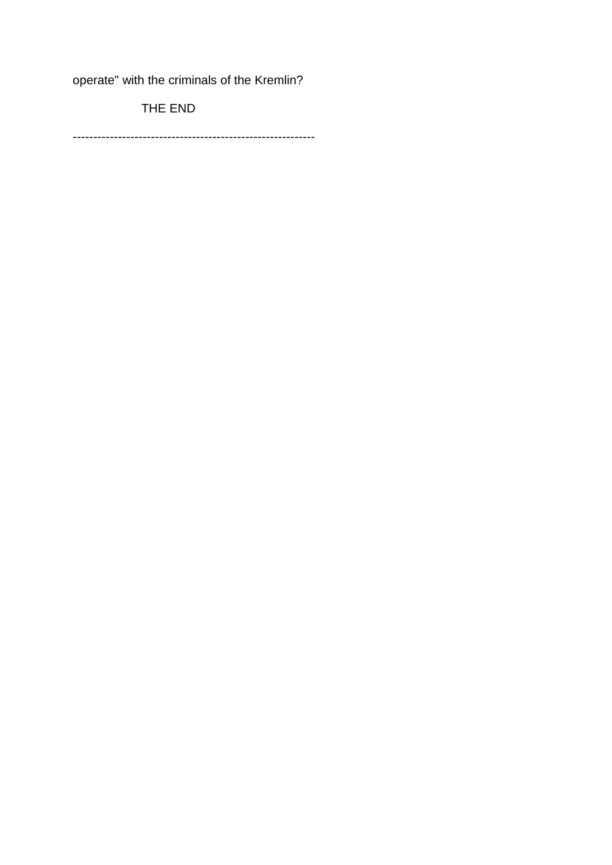operate" with the criminals of the Kremlin?

THE END

-----------------------------------------------------------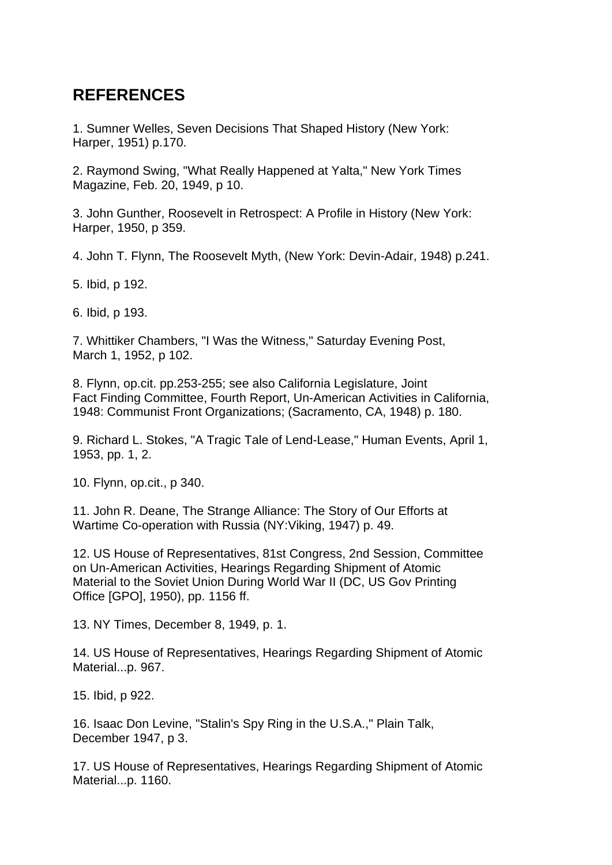# **REFERENCES**

1. Sumner Welles, Seven Decisions That Shaped History (New York: Harper, 1951) p.170.

2. Raymond Swing, "What Really Happened at Yalta," New York Times Magazine, Feb. 20, 1949, p 10.

3. John Gunther, Roosevelt in Retrospect: A Profile in History (New York: Harper, 1950, p 359.

4. John T. Flynn, The Roosevelt Myth, (New York: Devin-Adair, 1948) p.241.

5. Ibid, p 192.

6. Ibid, p 193.

7. Whittiker Chambers, "I Was the Witness," Saturday Evening Post, March 1, 1952, p 102.

8. Flynn, op.cit. pp.253-255; see also California Legislature, Joint Fact Finding Committee, Fourth Report, Un-American Activities in California, 1948: Communist Front Organizations; (Sacramento, CA, 1948) p. 180.

9. Richard L. Stokes, "A Tragic Tale of Lend-Lease," Human Events, April 1, 1953, pp. 1, 2.

10. Flynn, op.cit., p 340.

11. John R. Deane, The Strange Alliance: The Story of Our Efforts at Wartime Co-operation with Russia (NY:Viking, 1947) p. 49.

12. US House of Representatives, 81st Congress, 2nd Session, Committee on Un-American Activities, Hearings Regarding Shipment of Atomic Material to the Soviet Union During World War II (DC, US Gov Printing Office [GPO], 1950), pp. 1156 ff.

13. NY Times, December 8, 1949, p. 1.

14. US House of Representatives, Hearings Regarding Shipment of Atomic Material...p. 967.

15. Ibid, p 922.

16. Isaac Don Levine, "Stalin's Spy Ring in the U.S.A.," Plain Talk, December 1947, p 3.

17. US House of Representatives, Hearings Regarding Shipment of Atomic Material...p. 1160.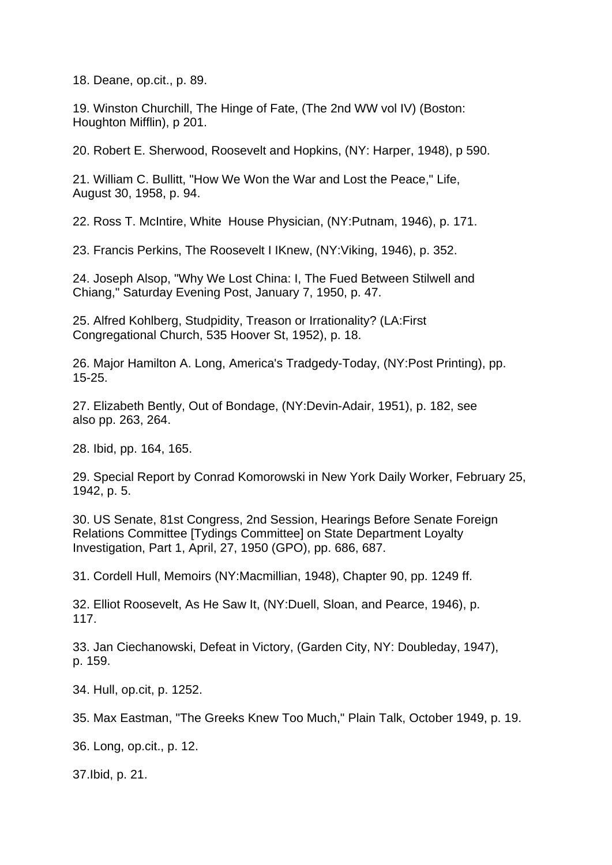18. Deane, op.cit., p. 89.

19. Winston Churchill, The Hinge of Fate, (The 2nd WW vol IV) (Boston: Houghton Mifflin), p 201.

20. Robert E. Sherwood, Roosevelt and Hopkins, (NY: Harper, 1948), p 590.

21. William C. Bullitt, "How We Won the War and Lost the Peace," Life, August 30, 1958, p. 94.

22. Ross T. McIntire, White House Physician, (NY:Putnam, 1946), p. 171.

23. Francis Perkins, The Roosevelt I IKnew, (NY:Viking, 1946), p. 352.

24. Joseph Alsop, "Why We Lost China: I, The Fued Between Stilwell and Chiang," Saturday Evening Post, January 7, 1950, p. 47.

25. Alfred Kohlberg, Studpidity, Treason or Irrationality? (LA:First Congregational Church, 535 Hoover St, 1952), p. 18.

26. Major Hamilton A. Long, America's Tradgedy-Today, (NY:Post Printing), pp. 15-25.

27. Elizabeth Bently, Out of Bondage, (NY:Devin-Adair, 1951), p. 182, see also pp. 263, 264.

28. Ibid, pp. 164, 165.

29. Special Report by Conrad Komorowski in New York Daily Worker, February 25, 1942, p. 5.

30. US Senate, 81st Congress, 2nd Session, Hearings Before Senate Foreign Relations Committee [Tydings Committee] on State Department Loyalty Investigation, Part 1, April, 27, 1950 (GPO), pp. 686, 687.

31. Cordell Hull, Memoirs (NY:Macmillian, 1948), Chapter 90, pp. 1249 ff.

32. Elliot Roosevelt, As He Saw It, (NY:Duell, Sloan, and Pearce, 1946), p. 117.

33. Jan Ciechanowski, Defeat in Victory, (Garden City, NY: Doubleday, 1947), p. 159.

34. Hull, op.cit, p. 1252.

35. Max Eastman, "The Greeks Knew Too Much," Plain Talk, October 1949, p. 19.

36. Long, op.cit., p. 12.

37.Ibid, p. 21.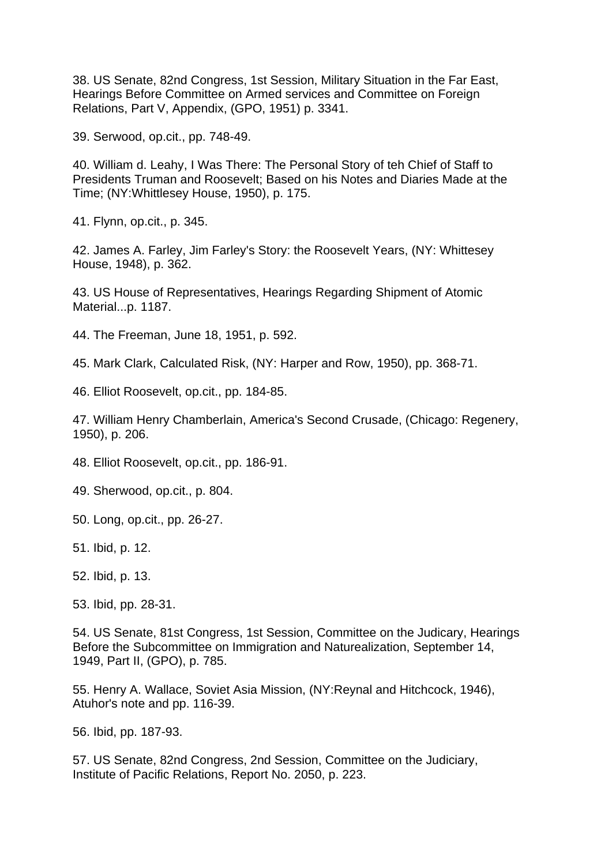38. US Senate, 82nd Congress, 1st Session, Military Situation in the Far East, Hearings Before Committee on Armed services and Committee on Foreign Relations, Part V, Appendix, (GPO, 1951) p. 3341.

39. Serwood, op.cit., pp. 748-49.

40. William d. Leahy, I Was There: The Personal Story of teh Chief of Staff to Presidents Truman and Roosevelt; Based on his Notes and Diaries Made at the Time; (NY:Whittlesey House, 1950), p. 175.

41. Flynn, op.cit., p. 345.

42. James A. Farley, Jim Farley's Story: the Roosevelt Years, (NY: Whittesey House, 1948), p. 362.

43. US House of Representatives, Hearings Regarding Shipment of Atomic Material...p. 1187.

44. The Freeman, June 18, 1951, p. 592.

45. Mark Clark, Calculated Risk, (NY: Harper and Row, 1950), pp. 368-71.

46. Elliot Roosevelt, op.cit., pp. 184-85.

47. William Henry Chamberlain, America's Second Crusade, (Chicago: Regenery, 1950), p. 206.

48. Elliot Roosevelt, op.cit., pp. 186-91.

49. Sherwood, op.cit., p. 804.

50. Long, op.cit., pp. 26-27.

51. Ibid, p. 12.

52. Ibid, p. 13.

53. Ibid, pp. 28-31.

54. US Senate, 81st Congress, 1st Session, Committee on the Judicary, Hearings Before the Subcommittee on Immigration and Naturealization, September 14, 1949, Part II, (GPO), p. 785.

55. Henry A. Wallace, Soviet Asia Mission, (NY:Reynal and Hitchcock, 1946), Atuhor's note and pp. 116-39.

56. Ibid, pp. 187-93.

57. US Senate, 82nd Congress, 2nd Session, Committee on the Judiciary, Institute of Pacific Relations, Report No. 2050, p. 223.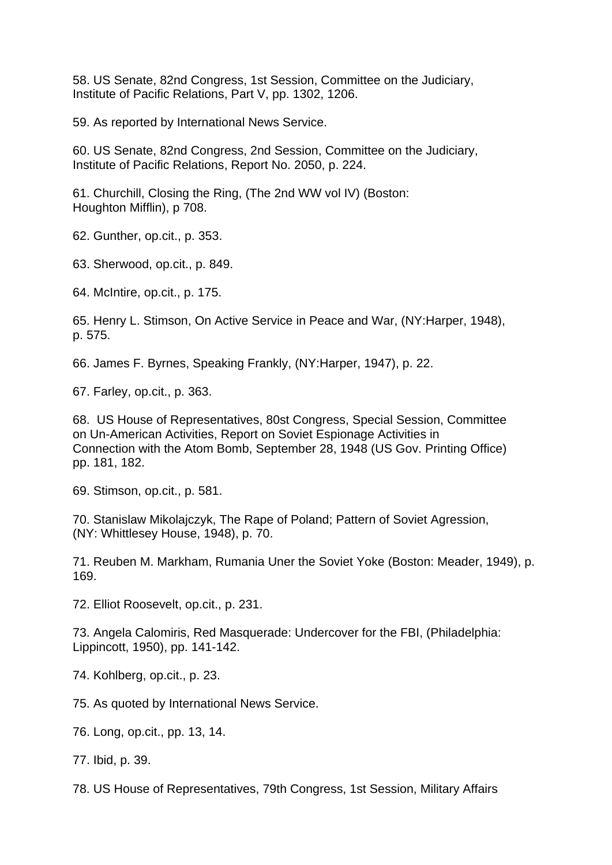58. US Senate, 82nd Congress, 1st Session, Committee on the Judiciary, Institute of Pacific Relations, Part V, pp. 1302, 1206.

59. As reported by International News Service.

60. US Senate, 82nd Congress, 2nd Session, Committee on the Judiciary, Institute of Pacific Relations, Report No. 2050, p. 224.

61. Churchill, Closing the Ring, (The 2nd WW vol IV) (Boston: Houghton Mifflin), p 708.

62. Gunther, op.cit., p. 353.

63. Sherwood, op.cit., p. 849.

64. McIntire, op.cit., p. 175.

65. Henry L. Stimson, On Active Service in Peace and War, (NY:Harper, 1948), p. 575.

66. James F. Byrnes, Speaking Frankly, (NY:Harper, 1947), p. 22.

67. Farley, op.cit., p. 363.

68. US House of Representatives, 80st Congress, Special Session, Committee on Un-American Activities, Report on Soviet Espionage Activities in Connection with the Atom Bomb, September 28, 1948 (US Gov. Printing Office) pp. 181, 182.

69. Stimson, op.cit., p. 581.

70. Stanislaw Mikolajczyk, The Rape of Poland; Pattern of Soviet Agression, (NY: Whittlesey House, 1948), p. 70.

71. Reuben M. Markham, Rumania Uner the Soviet Yoke (Boston: Meader, 1949), p. 169.

72. Elliot Roosevelt, op.cit., p. 231.

73. Angela Calomiris, Red Masquerade: Undercover for the FBI, (Philadelphia: Lippincott, 1950), pp. 141-142.

74. Kohlberg, op.cit., p. 23.

75. As quoted by International News Service.

76. Long, op.cit., pp. 13, 14.

77. Ibid, p. 39.

78. US House of Representatives, 79th Congress, 1st Session, Military Affairs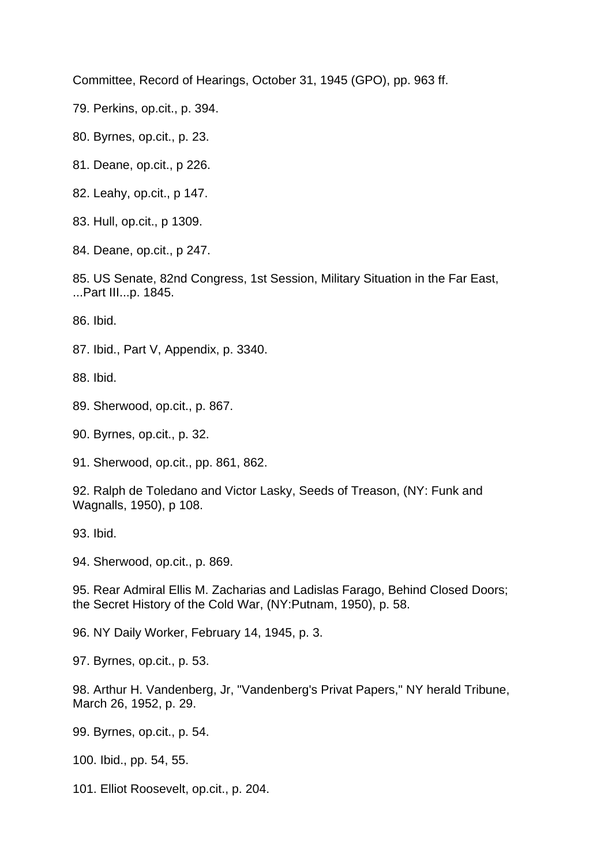Committee, Record of Hearings, October 31, 1945 (GPO), pp. 963 ff.

79. Perkins, op.cit., p. 394.

80. Byrnes, op.cit., p. 23.

81. Deane, op.cit., p 226.

82. Leahy, op.cit., p 147.

83. Hull, op.cit., p 1309.

84. Deane, op.cit., p 247.

85. US Senate, 82nd Congress, 1st Session, Military Situation in the Far East, ...Part III...p. 1845.

86. Ibid.

87. Ibid., Part V, Appendix, p. 3340.

88. Ibid.

89. Sherwood, op.cit., p. 867.

90. Byrnes, op.cit., p. 32.

91. Sherwood, op.cit., pp. 861, 862.

92. Ralph de Toledano and Victor Lasky, Seeds of Treason, (NY: Funk and Wagnalls, 1950), p 108.

93. Ibid.

94. Sherwood, op.cit., p. 869.

95. Rear Admiral Ellis M. Zacharias and Ladislas Farago, Behind Closed Doors; the Secret History of the Cold War, (NY:Putnam, 1950), p. 58.

96. NY Daily Worker, February 14, 1945, p. 3.

97. Byrnes, op.cit., p. 53.

98. Arthur H. Vandenberg, Jr, "Vandenberg's Privat Papers," NY herald Tribune, March 26, 1952, p. 29.

99. Byrnes, op.cit., p. 54.

100. Ibid., pp. 54, 55.

101. Elliot Roosevelt, op.cit., p. 204.